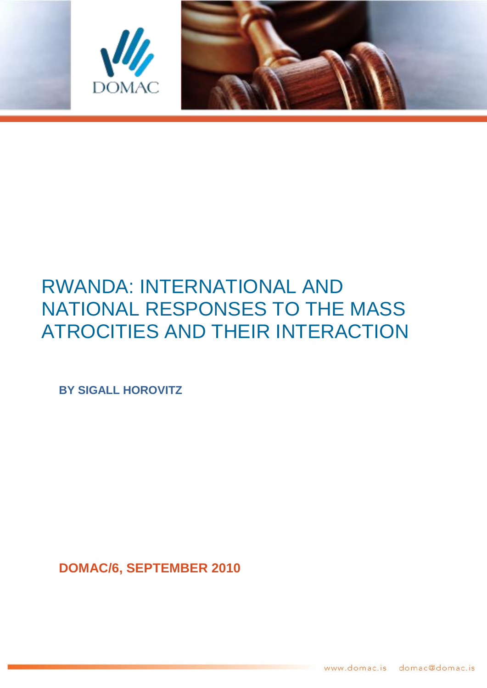



# RWANDA: INTERNATIONAL AND NATIONAL RESPONSES TO THE MASS ATROCITIES AND THEIR INTERACTION

**BY SIGALL HOROVITZ**

**DOMAC/6, SEPTEMBER 2010**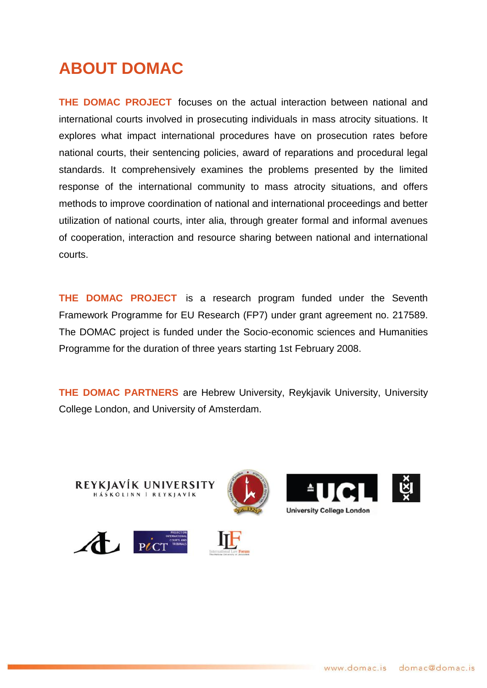# **ABOUT DOMAC**

**THE DOMAC PROJECT** focuses on the actual interaction between national and international courts involved in prosecuting individuals in mass atrocity situations. It explores what impact international procedures have on prosecution rates before national courts, their sentencing policies, award of reparations and procedural legal standards. It comprehensively examines the problems presented by the limited response of the international community to mass atrocity situations, and offers methods to improve coordination of national and international proceedings and better utilization of national courts, inter alia, through greater formal and informal avenues of cooperation, interaction and resource sharing between national and international courts.

**THE DOMAC PROJECT** is a research program funded under the Seventh Framework Programme for EU Research (FP7) under grant agreement no. 217589. The DOMAC project is funded under the Socio-economic sciences and Humanities Programme for the duration of three years starting 1st February 2008.

**THE DOMAC PARTNERS** are Hebrew University, Reykjavik University, University College London, and University of Amsterdam.





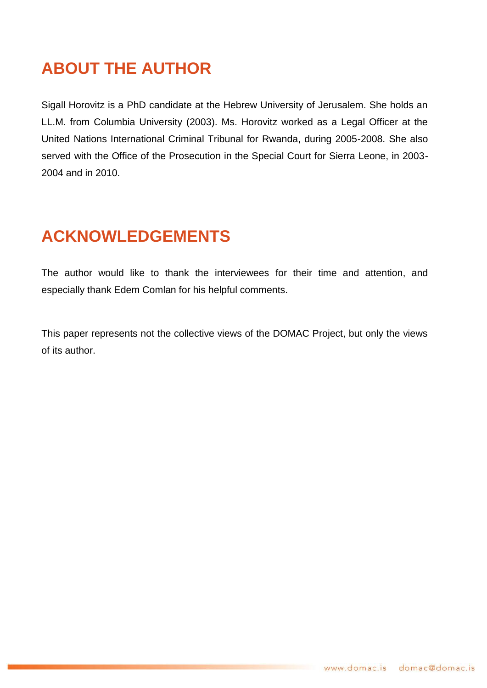# **ABOUT THE AUTHOR**

Sigall Horovitz is a PhD candidate at the Hebrew University of Jerusalem. She holds an LL.M. from Columbia University (2003). Ms. Horovitz worked as a Legal Officer at the United Nations International Criminal Tribunal for Rwanda, during 2005-2008. She also served with the Office of the Prosecution in the Special Court for Sierra Leone, in 2003- 2004 and in 2010.

# **ACKNOWLEDGEMENTS**

The author would like to thank the interviewees for their time and attention, and especially thank Edem Comlan for his helpful comments.

This paper represents not the collective views of the DOMAC Project, but only the views of its author.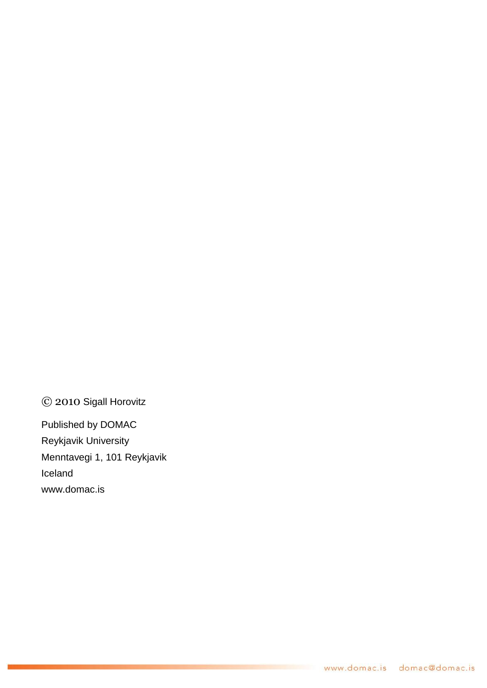© 2010 Sigall Horovitz

Published by DOMAC Reykjavik University Menntavegi 1, 101 Reykjavik Iceland www.domac.is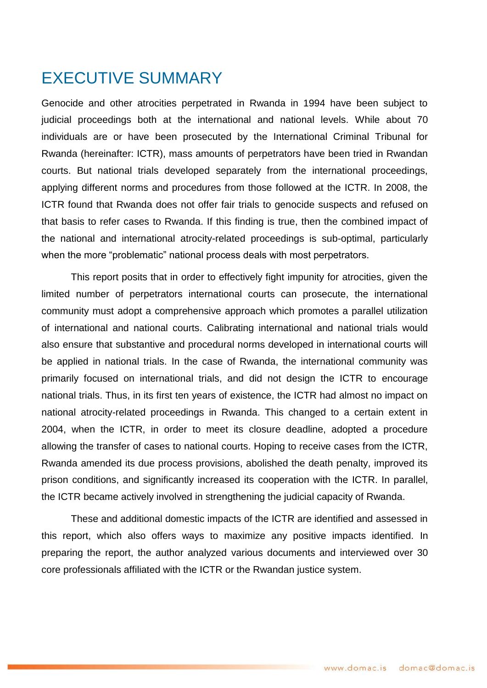# <span id="page-4-0"></span>EXECUTIVE SUMMARY

Genocide and other atrocities perpetrated in Rwanda in 1994 have been subject to judicial proceedings both at the international and national levels. While about 70 individuals are or have been prosecuted by the International Criminal Tribunal for Rwanda (hereinafter: ICTR), mass amounts of perpetrators have been tried in Rwandan courts. But national trials developed separately from the international proceedings, applying different norms and procedures from those followed at the ICTR. In 2008, the ICTR found that Rwanda does not offer fair trials to genocide suspects and refused on that basis to refer cases to Rwanda. If this finding is true, then the combined impact of the national and international atrocity-related proceedings is sub-optimal, particularly when the more "problematic" national process deals with most perpetrators.

This report posits that in order to effectively fight impunity for atrocities, given the limited number of perpetrators international courts can prosecute, the international community must adopt a comprehensive approach which promotes a parallel utilization of international and national courts. Calibrating international and national trials would also ensure that substantive and procedural norms developed in international courts will be applied in national trials. In the case of Rwanda, the international community was primarily focused on international trials, and did not design the ICTR to encourage national trials. Thus, in its first ten years of existence, the ICTR had almost no impact on national atrocity-related proceedings in Rwanda. This changed to a certain extent in 2004, when the ICTR, in order to meet its closure deadline, adopted a procedure allowing the transfer of cases to national courts. Hoping to receive cases from the ICTR, Rwanda amended its due process provisions, abolished the death penalty, improved its prison conditions, and significantly increased its cooperation with the ICTR. In parallel, the ICTR became actively involved in strengthening the judicial capacity of Rwanda.

These and additional domestic impacts of the ICTR are identified and assessed in this report, which also offers ways to maximize any positive impacts identified. In preparing the report, the author analyzed various documents and interviewed over 30 core professionals affiliated with the ICTR or the Rwandan justice system.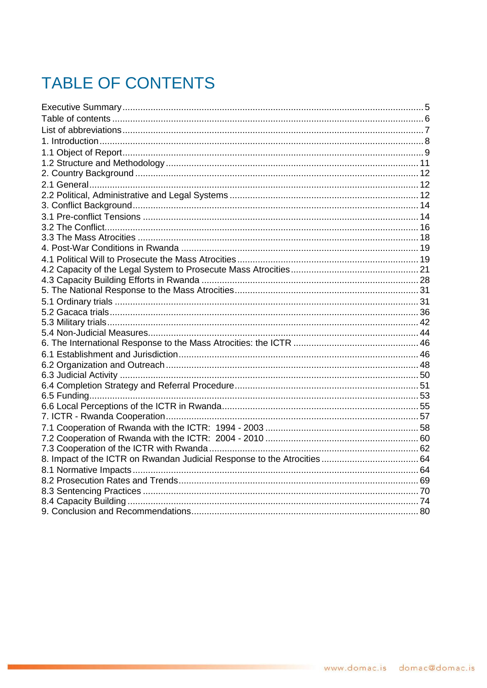# <span id="page-5-0"></span>**TABLE OF CONTENTS**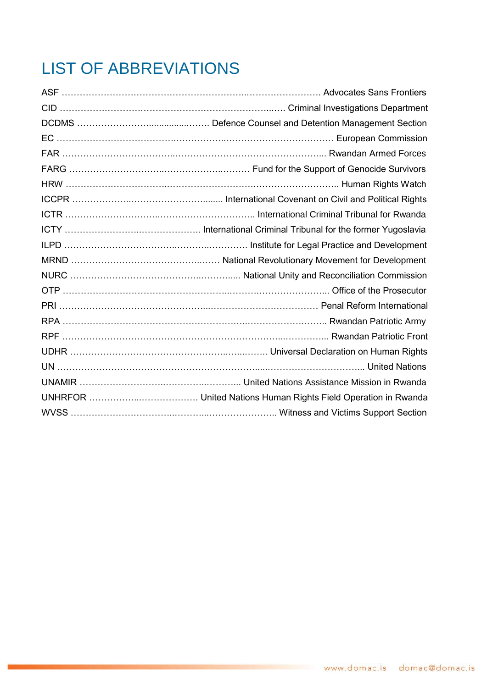# <span id="page-6-0"></span>LIST OF ABBREVIATIONS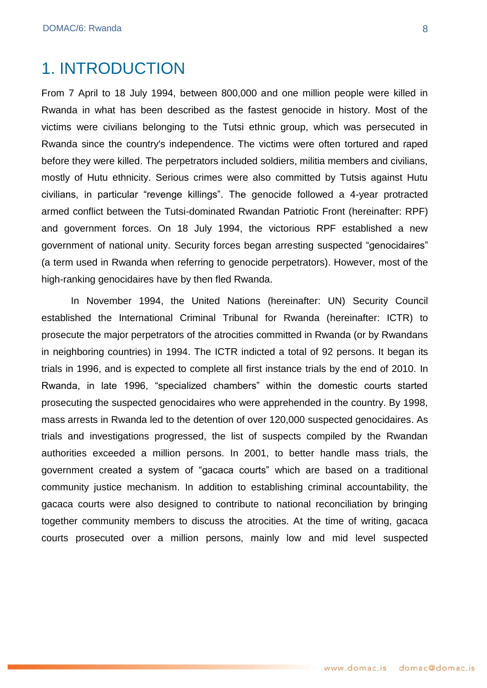## <span id="page-7-0"></span>1. INTRODUCTION

From 7 April to 18 July 1994, between 800,000 and one million people were killed in Rwanda in what has been described as the fastest genocide in history. Most of the victims were civilians belonging to the Tutsi ethnic group, which was persecuted in Rwanda since the country's independence. The victims were often tortured and raped before they were killed. The perpetrators included soldiers, militia members and civilians, mostly of Hutu ethnicity. Serious crimes were also committed by Tutsis against Hutu civilians, in particular "revenge killings". The genocide followed a 4-year protracted armed conflict between the Tutsi-dominated Rwandan Patriotic Front (hereinafter: RPF) and government forces. On 18 July 1994, the victorious RPF established a new government of national unity. Security forces began arresting suspected "genocidaires" (a term used in Rwanda when referring to genocide perpetrators). However, most of the high-ranking genocidaires have by then fled Rwanda.

In November 1994, the United Nations (hereinafter: UN) Security Council established the International Criminal Tribunal for Rwanda (hereinafter: ICTR) to prosecute the major perpetrators of the atrocities committed in Rwanda (or by Rwandans in neighboring countries) in 1994. The ICTR indicted a total of 92 persons. It began its trials in 1996, and is expected to complete all first instance trials by the end of 2010. In Rwanda, in late 1996, "specialized chambers" within the domestic courts started prosecuting the suspected genocidaires who were apprehended in the country. By 1998, mass arrests in Rwanda led to the detention of over 120,000 suspected genocidaires. As trials and investigations progressed, the list of suspects compiled by the Rwandan authorities exceeded a million persons. In 2001, to better handle mass trials, the government created a system of "gacaca courts" which are based on a traditional community justice mechanism. In addition to establishing criminal accountability, the gacaca courts were also designed to contribute to national reconciliation by bringing together community members to discuss the atrocities. At the time of writing, gacaca courts prosecuted over a million persons, mainly low and mid level suspected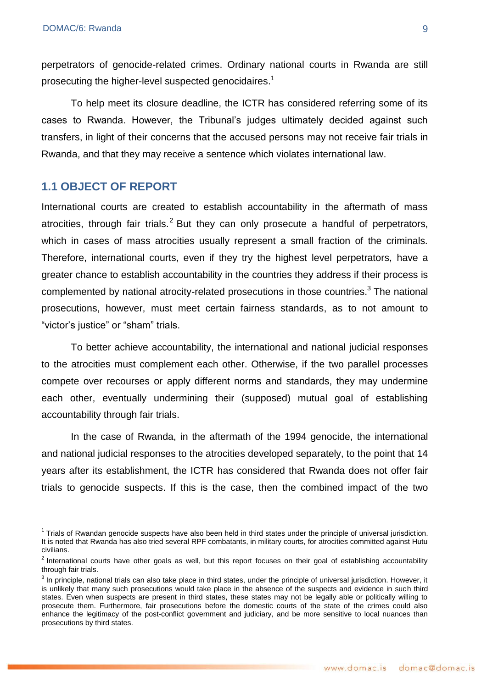perpetrators of genocide-related crimes. Ordinary national courts in Rwanda are still prosecuting the higher-level suspected genocidaires.<sup>1</sup>

To help meet its closure deadline, the ICTR has considered referring some of its cases to Rwanda. However, the Tribunal's judges ultimately decided against such transfers, in light of their concerns that the accused persons may not receive fair trials in Rwanda, and that they may receive a sentence which violates international law.

### <span id="page-8-0"></span>**1.1 OBJECT OF REPORT**

<u>.</u>

International courts are created to establish accountability in the aftermath of mass atrocities, through fair trials.<sup>2</sup> But they can only prosecute a handful of perpetrators, which in cases of mass atrocities usually represent a small fraction of the criminals. Therefore, international courts, even if they try the highest level perpetrators, have a greater chance to establish accountability in the countries they address if their process is complemented by national atrocity-related prosecutions in those countries.<sup>3</sup> The national prosecutions, however, must meet certain fairness standards, as to not amount to "victor's justice" or "sham" trials.

To better achieve accountability, the international and national judicial responses to the atrocities must complement each other. Otherwise, if the two parallel processes compete over recourses or apply different norms and standards, they may undermine each other, eventually undermining their (supposed) mutual goal of establishing accountability through fair trials.

In the case of Rwanda, in the aftermath of the 1994 genocide, the international and national judicial responses to the atrocities developed separately, to the point that 14 years after its establishment, the ICTR has considered that Rwanda does not offer fair trials to genocide suspects. If this is the case, then the combined impact of the two

 $1$  Trials of Rwandan genocide suspects have also been held in third states under the principle of universal jurisdiction. It is noted that Rwanda has also tried several RPF combatants, in military courts, for atrocities committed against Hutu civilians.

 $2$  International courts have other goals as well, but this report focuses on their goal of establishing accountability through fair trials.

 $^3$  In principle, national trials can also take place in third states, under the principle of universal jurisdiction. However, it is unlikely that many such prosecutions would take place in the absence of the suspects and evidence in such third states. Even when suspects are present in third states, these states may not be legally able or politically willing to prosecute them. Furthermore, fair prosecutions before the domestic courts of the state of the crimes could also enhance the legitimacy of the post-conflict government and judiciary, and be more sensitive to local nuances than prosecutions by third states.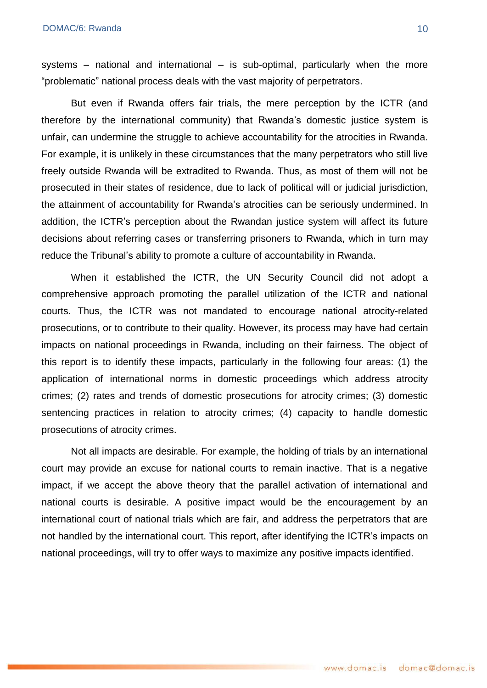systems – national and international – is sub-optimal, particularly when the more "problematic" national process deals with the vast majority of perpetrators.

But even if Rwanda offers fair trials, the mere perception by the ICTR (and therefore by the international community) that Rwanda's domestic justice system is unfair, can undermine the struggle to achieve accountability for the atrocities in Rwanda. For example, it is unlikely in these circumstances that the many perpetrators who still live freely outside Rwanda will be extradited to Rwanda. Thus, as most of them will not be prosecuted in their states of residence, due to lack of political will or judicial jurisdiction, the attainment of accountability for Rwanda's atrocities can be seriously undermined. In addition, the ICTR's perception about the Rwandan justice system will affect its future decisions about referring cases or transferring prisoners to Rwanda, which in turn may reduce the Tribunal's ability to promote a culture of accountability in Rwanda.

When it established the ICTR, the UN Security Council did not adopt a comprehensive approach promoting the parallel utilization of the ICTR and national courts. Thus, the ICTR was not mandated to encourage national atrocity-related prosecutions, or to contribute to their quality. However, its process may have had certain impacts on national proceedings in Rwanda, including on their fairness. The object of this report is to identify these impacts, particularly in the following four areas: (1) the application of international norms in domestic proceedings which address atrocity crimes; (2) rates and trends of domestic prosecutions for atrocity crimes; (3) domestic sentencing practices in relation to atrocity crimes; (4) capacity to handle domestic prosecutions of atrocity crimes.

Not all impacts are desirable. For example, the holding of trials by an international court may provide an excuse for national courts to remain inactive. That is a negative impact, if we accept the above theory that the parallel activation of international and national courts is desirable. A positive impact would be the encouragement by an international court of national trials which are fair, and address the perpetrators that are not handled by the international court. This report, after identifying the ICTR's impacts on national proceedings, will try to offer ways to maximize any positive impacts identified.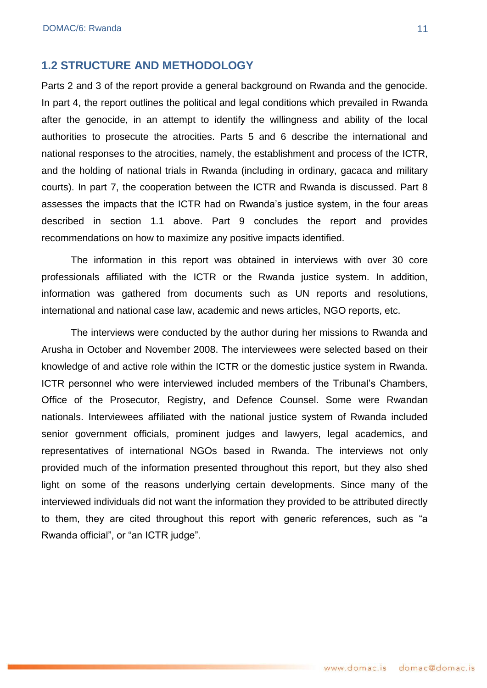#### <span id="page-10-0"></span>**1.2 STRUCTURE AND METHODOLOGY**

Parts 2 and 3 of the report provide a general background on Rwanda and the genocide. In part 4, the report outlines the political and legal conditions which prevailed in Rwanda after the genocide, in an attempt to identify the willingness and ability of the local authorities to prosecute the atrocities. Parts 5 and 6 describe the international and national responses to the atrocities, namely, the establishment and process of the ICTR, and the holding of national trials in Rwanda (including in ordinary, gacaca and military courts). In part 7, the cooperation between the ICTR and Rwanda is discussed. Part 8 assesses the impacts that the ICTR had on Rwanda's justice system, in the four areas described in section 1.1 above. Part 9 concludes the report and provides recommendations on how to maximize any positive impacts identified.

The information in this report was obtained in interviews with over 30 core professionals affiliated with the ICTR or the Rwanda justice system. In addition, information was gathered from documents such as UN reports and resolutions, international and national case law, academic and news articles, NGO reports, etc.

The interviews were conducted by the author during her missions to Rwanda and Arusha in October and November 2008. The interviewees were selected based on their knowledge of and active role within the ICTR or the domestic justice system in Rwanda. ICTR personnel who were interviewed included members of the Tribunal's Chambers, Office of the Prosecutor, Registry, and Defence Counsel. Some were Rwandan nationals. Interviewees affiliated with the national justice system of Rwanda included senior government officials, prominent judges and lawyers, legal academics, and representatives of international NGOs based in Rwanda. The interviews not only provided much of the information presented throughout this report, but they also shed light on some of the reasons underlying certain developments. Since many of the interviewed individuals did not want the information they provided to be attributed directly to them, they are cited throughout this report with generic references, such as "a Rwanda official", or "an ICTR judge".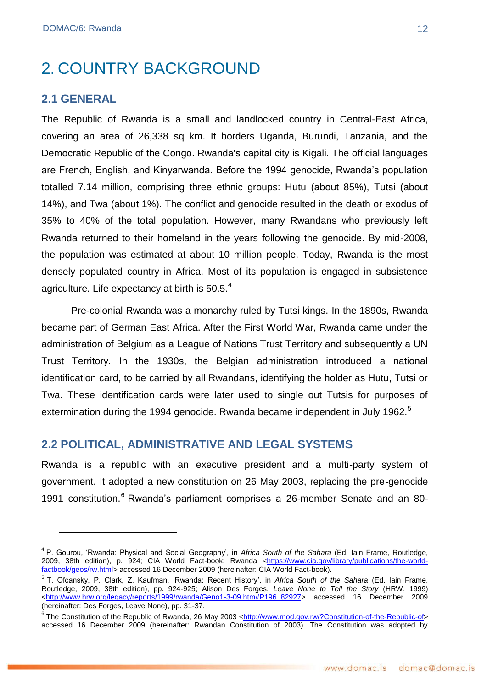## <span id="page-11-0"></span>2. COUNTRY BACKGROUND

#### <span id="page-11-1"></span>**2.1 GENERAL**

<u>.</u>

The Republic of Rwanda is a small and landlocked country in Central-East Africa, covering an area of 26,338 sq km. It borders Uganda, Burundi, Tanzania, and the Democratic Republic of the Congo. Rwanda's capital city is Kigali. The official languages are French, English, and Kinyarwanda. Before the 1994 genocide, Rwanda's population totalled 7.14 million, comprising three ethnic groups: Hutu (about 85%), Tutsi (about 14%), and Twa (about 1%). The conflict and genocide resulted in the death or exodus of 35% to 40% of the total population. However, many Rwandans who previously left Rwanda returned to their homeland in the years following the genocide. By mid-2008, the population was estimated at about 10 million people. Today, Rwanda is the most densely populated country in Africa. Most of its population is engaged in subsistence agriculture. Life expectancy at birth is 50.5.<sup>4</sup>

Pre-colonial Rwanda was a monarchy ruled by Tutsi kings. In the 1890s, Rwanda became part of German East Africa. After the First World War, Rwanda came under the administration of Belgium as a League of Nations Trust Territory and subsequently a UN Trust Territory. In the 1930s, the Belgian administration introduced a national identification card, to be carried by all Rwandans, identifying the holder as Hutu, Tutsi or Twa. These identification cards were later used to single out Tutsis for purposes of extermination during the 1994 genocide. Rwanda became independent in July 1962.<sup>5</sup>

#### <span id="page-11-2"></span>**2.2 POLITICAL, ADMINISTRATIVE AND LEGAL SYSTEMS**

Rwanda is a republic with an executive president and a multi-party system of government. It adopted a new constitution on 26 May 2003, replacing the pre-genocide 1991 constitution.<sup>6</sup> Rwanda's parliament comprises a 26-member Senate and an 80-

<sup>&</sup>lt;sup>4</sup> P. Gourou, 'Rwanda: Physical and Social Geography', in *Africa South of the Sahara* (Ed. lain Frame, Routledge, 2009, 38th edition), p. 924; CIA World Fact-book: Rwanda [<https://www.cia.gov/library/publications/the-world](https://www.cia.gov/library/publications/the-world-factbook/geos/rw.html)[factbook/geos/rw.html>](https://www.cia.gov/library/publications/the-world-factbook/geos/rw.html) accessed 16 December 2009 (hereinafter: CIA World Fact-book).

<sup>&</sup>lt;sup>5</sup> T. Ofcansky, P. Clark, Z. Kaufman, 'Rwanda: Recent History', in *Africa South of the Sahara* (Ed. Iain Frame, Routledge, 2009, 38th edition), pp. 924-925; Alison Des Forges, *Leave None to Tell the Story* (HRW, 1999) [<http://www.hrw.org/legacy/reports/1999/rwanda/Geno1-3-09.htm#P196\\_82927>](http://www.hrw.org/legacy/reports/1999/rwanda/Geno1-3-09.htm#P196_82927) accessed 16 December 2009 (hereinafter: Des Forges, Leave None), pp. 31-37.

<sup>&</sup>lt;sup>6</sup> The Constitution of the Republic of Rwanda, 26 May 2003 [<http://www.mod.gov.rw/?Constitution-of-the-Republic-of>](http://www.mod.gov.rw/?Constitution-of-the-Republic-of) accessed 16 December 2009 (hereinafter: Rwandan Constitution of 2003). The Constitution was adopted by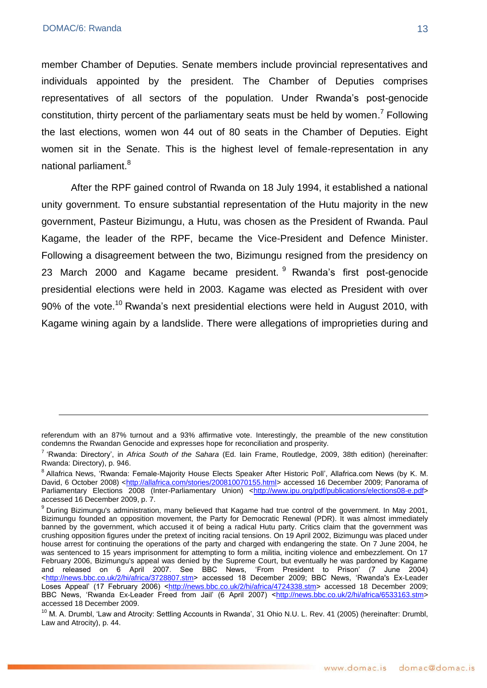<u>.</u>

member Chamber of Deputies. Senate members include provincial representatives and individuals appointed by the president. The Chamber of Deputies comprises representatives of all sectors of the population. Under Rwanda's post-genocide constitution, thirty percent of the parliamentary seats must be held by women.<sup>7</sup> Following the last elections, women won 44 out of 80 seats in the Chamber of Deputies. Eight women sit in the Senate. This is the highest level of female-representation in any national parliament.<sup>8</sup>

After the RPF gained control of Rwanda on 18 July 1994, it established a national unity government. To ensure substantial representation of the Hutu majority in the new government, Pasteur Bizimungu, a Hutu, was chosen as the President of Rwanda. Paul Kagame, the leader of the RPF, became the Vice-President and Defence Minister. Following a disagreement between the two, Bizimungu resigned from the presidency on 23 March 2000 and Kagame became president. <sup>9</sup> Rwanda's first post-genocide presidential elections were held in 2003. Kagame was elected as President with over 90% of the vote.<sup>10</sup> Rwanda's next presidential elections were held in August 2010, with Kagame wining again by a landslide. There were allegations of improprieties during and

referendum with an 87% turnout and a 93% affirmative vote. Interestingly, the preamble of the new constitution condemns the Rwandan Genocide and expresses hope for reconciliation and prosperity.

<sup>7</sup> ‗Rwanda: Directory', in *Africa South of the Sahara* (Ed. Iain Frame, Routledge, 2009, 38th edition) (hereinafter: Rwanda: Directory), p. 946.

<sup>&</sup>lt;sup>8</sup> Allafrica News, 'Rwanda: Female-Majority House Elects Speaker After Historic Poll', Allafrica.com News (by K. M. David, 6 October 2008) [<http://allafrica.com/stories/200810070155.html>](http://allafrica.com/stories/200810070155.html) accessed 16 December 2009; Panorama of Parliamentary Elections 2008 (Inter-Parliamentary Union) [<http://www.ipu.org/pdf/publications/elections08-e.pdf>](http://www.ipu.org/pdf/publications/elections08-e.pdf) accessed 16 December 2009, p. 7.

<sup>9</sup> During Bizimungu's administration, many believed that Kagame had true control of the government. In May 2001, Bizimungu founded an opposition movement, the Party for Democratic Renewal (PDR). It was almost immediately banned by the government, which accused it of being a radical Hutu party. Critics claim that the government was crushing opposition figures under the pretext of inciting racial tensions. On 19 April 2002, Bizimungu was placed under house arrest for continuing the operations of the party and charged with endangering the state. On 7 June 2004, he was sentenced to 15 years imprisonment for attempting to form a militia, inciting violence and embezzlement. On 17 February 2006, Bizimungu's appeal was denied by the Supreme Court, but eventually he was pardoned by Kagame and released on 6 April 2007. See BBC News, ‗From President to Prison' (7 June 2004) [<http://news.bbc.co.uk/2/hi/africa/3728807.stm>](http://news.bbc.co.uk/2/hi/africa/3728807.stm) accessed 18 December 2009; BBC News, 'Rwanda's Ex-Leader Loses Appeal' (17 February 2006) [<http://news.bbc.co.uk/2/hi/africa/4724338.stm>](http://news.bbc.co.uk/2/hi/africa/4724338.stm) accessed 18 December 2009; BBC News, 'Rwanda Ex-Leader Freed from Jail' (6 April 2007) [<http://news.bbc.co.uk/2/hi/africa/6533163.stm>](http://news.bbc.co.uk/2/hi/africa/6533163.stm) accessed 18 December 2009.

<sup>&</sup>lt;sup>10</sup> M. A. Drumbl, 'Law and Atrocity: Settling Accounts in Rwanda', 31 Ohio N.U. L. Rev. 41 (2005) (hereinafter: Drumbl, Law and Atrocity), p. 44.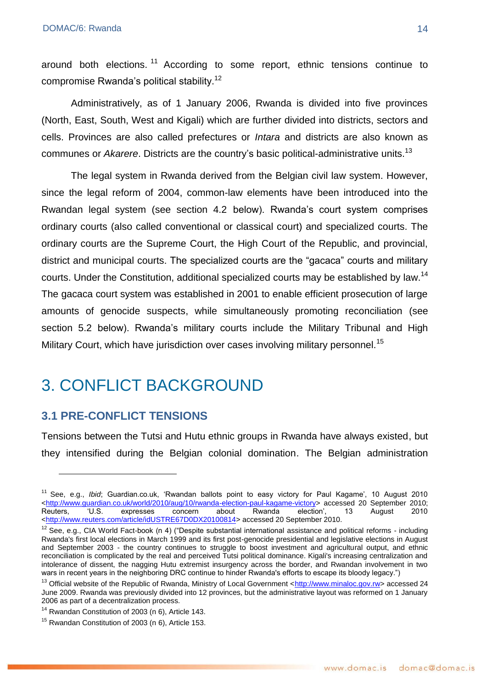around both elections.<sup>11</sup> According to some report, ethnic tensions continue to compromise Rwanda's political stability.<sup>12</sup>

Administratively, as of 1 January 2006, Rwanda is divided into five provinces (North, East, South, West and Kigali) which are further divided into districts, sectors and cells. Provinces are also called prefectures or *Intara* and districts are also known as communes or *Akarere*. Districts are the country's basic political-administrative units.<sup>13</sup>

The legal system in Rwanda derived from the Belgian civil law system. However, since the legal reform of 2004, common-law elements have been introduced into the Rwandan legal system (see section 4.2 below). Rwanda's court system comprises ordinary courts (also called conventional or classical court) and specialized courts. The ordinary courts are the Supreme Court, the High Court of the Republic, and provincial, district and municipal courts. The specialized courts are the "gacaca" courts and military courts. Under the Constitution, additional specialized courts may be established by law.<sup>14</sup> The gacaca court system was established in 2001 to enable efficient prosecution of large amounts of genocide suspects, while simultaneously promoting reconciliation (see section 5.2 below). Rwanda's military courts include the Military Tribunal and High Military Court, which have jurisdiction over cases involving military personnel.<sup>15</sup>

## <span id="page-13-0"></span>3. CONFLICT BACKGROUND

### <span id="page-13-1"></span>**3.1 PRE-CONFLICT TENSIONS**

1

Tensions between the Tutsi and Hutu ethnic groups in Rwanda have always existed, but they intensified during the Belgian colonial domination. The Belgian administration

<sup>&</sup>lt;sup>11</sup> See, e.g., *Ibid*; Guardian.co.uk, 'Rwandan ballots point to easy victory for Paul Kagame', 10 August 2010 <http://www.guardian.co.uk/world/2010/aug/10/rwanda-election-paul-kagame-victory> accessed 20 September 2010; Reuters, ‗U.S. expresses concern about Rwanda election', 13 August 2010 <http://www.reuters.com/article/idUSTRE67D0DX20100814> accessed 20 September 2010.

 $12$  See, e.g., CIA World Fact-book (n 4) ("Despite substantial international assistance and political reforms - including Rwanda's first local elections in March 1999 and its first post-genocide presidential and legislative elections in August and September 2003 - the country continues to struggle to boost investment and agricultural output, and ethnic reconciliation is complicated by the real and perceived Tutsi political dominance. Kigali's increasing centralization and intolerance of dissent, the nagging Hutu extremist insurgency across the border, and Rwandan involvement in two wars in recent years in the neighboring DRC continue to hinder Rwanda's efforts to escape its bloody legacy.")

<sup>&</sup>lt;sup>13</sup> Official website of the Republic of Rwanda, Ministry of Local Government [<http://www.minaloc.gov.rw>](http://www.minaloc.gov.rw/) accessed 24 June 2009. Rwanda was previously divided into 12 provinces, but the administrative layout was reformed on 1 January 2006 as part of a decentralization process.

<sup>&</sup>lt;sup>14</sup> Rwandan Constitution of 2003 (n 6), Article 143.

<sup>&</sup>lt;sup>15</sup> Rwandan Constitution of 2003 (n 6), Article 153.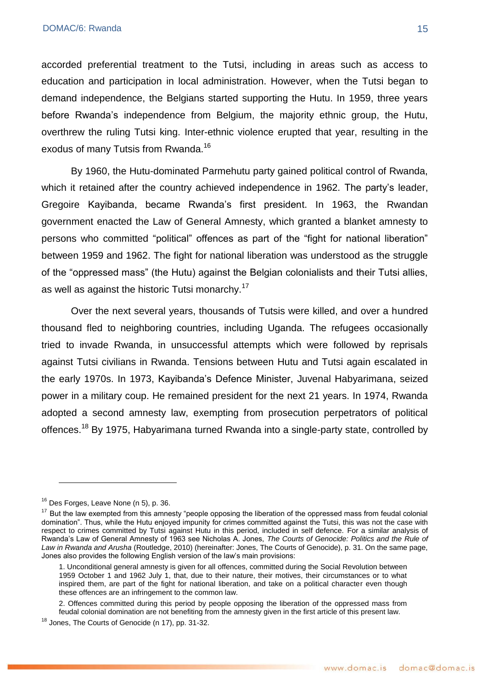accorded preferential treatment to the Tutsi, including in areas such as access to education and participation in local administration. However, when the Tutsi began to demand independence, the Belgians started supporting the Hutu. In 1959, three years before Rwanda's independence from Belgium, the majority ethnic group, the Hutu, overthrew the ruling Tutsi king. Inter-ethnic violence erupted that year, resulting in the exodus of many Tutsis from Rwanda.<sup>16</sup>

By 1960, the Hutu-dominated Parmehutu party gained political control of Rwanda, which it retained after the country achieved independence in 1962. The party's leader, Gregoire Kayibanda, became Rwanda's first president. In 1963, the Rwandan government enacted the Law of General Amnesty, which granted a blanket amnesty to persons who committed "political" offences as part of the "fight for national liberation" between 1959 and 1962. The fight for national liberation was understood as the struggle of the "oppressed mass" (the Hutu) against the Belgian colonialists and their Tutsi allies, as well as against the historic Tutsi monarchy.<sup>17</sup>

Over the next several years, thousands of Tutsis were killed, and over a hundred thousand fled to neighboring countries, including Uganda. The refugees occasionally tried to invade Rwanda, in unsuccessful attempts which were followed by reprisals against Tutsi civilians in Rwanda. Tensions between Hutu and Tutsi again escalated in the early 1970s. In 1973, Kayibanda's Defence Minister, Juvenal Habyarimana, seized power in a military coup. He remained president for the next 21 years. In 1974, Rwanda adopted a second amnesty law, exempting from prosecution perpetrators of political offences.<sup>18</sup> By 1975, Habyarimana turned Rwanda into a single-party state, controlled by

<u>.</u>

<sup>&</sup>lt;sup>16</sup> Des Forges, Leave None (n 5), p. 36.

 $17$  But the law exempted from this amnesty "people opposing the liberation of the oppressed mass from feudal colonial domination". Thus, while the Hutu enjoyed impunity for crimes committed against the Tutsi, this was not the case with respect to crimes committed by Tutsi against Hutu in this period, included in self defence. For a similar analysis of Rwanda's Law of General Amnesty of 1963 see Nicholas A. Jones, *The Courts of Genocide: Politics and the Rule of Law in Rwanda and Arusha* (Routledge, 2010) (hereinafter: Jones, The Courts of Genocide), p. 31. On the same page, Jones also provides the following English version of the law's main provisions:

<sup>1.</sup> Unconditional general amnesty is given for all offences, committed during the Social Revolution between 1959 October 1 and 1962 July 1, that, due to their nature, their motives, their circumstances or to what inspired them, are part of the fight for national liberation, and take on a political character even though these offences are an infringement to the common law.

<sup>2.</sup> Offences committed during this period by people opposing the liberation of the oppressed mass from feudal colonial domination are not benefiting from the amnesty given in the first article of this present law.

<sup>&</sup>lt;sup>18</sup> Jones, The Courts of Genocide (n 17), pp. 31-32.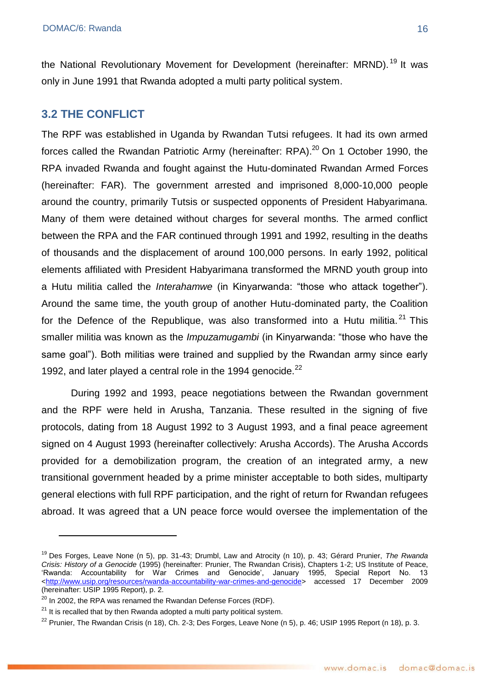the National Revolutionary Movement for Development (hereinafter: MRND).<sup>19</sup> It was only in June 1991 that Rwanda adopted a multi party political system.

### <span id="page-15-0"></span>**3.2 THE CONFLICT**

The RPF was established in Uganda by Rwandan Tutsi refugees. It had its own armed forces called the Rwandan Patriotic Army (hereinafter: RPA).<sup>20</sup> On 1 October 1990, the RPA invaded Rwanda and fought against the Hutu-dominated Rwandan Armed Forces (hereinafter: FAR). The government arrested and imprisoned 8,000-10,000 people around the country, primarily Tutsis or suspected opponents of President Habyarimana. Many of them were detained without charges for several months. The armed conflict between the RPA and the FAR continued through 1991 and 1992, resulting in the deaths of thousands and the displacement of around 100,000 persons. In early 1992, political elements affiliated with President Habyarimana transformed the MRND youth group into a Hutu militia called the *Interahamwe* (in Kinyarwanda: "those who attack together"). Around the same time, the youth group of another Hutu-dominated party, the Coalition for the Defence of the Republique, was also transformed into a Hutu militia.<sup>21</sup> This smaller militia was known as the *Impuzamugambi* (in Kinyarwanda: "those who have the same goal"). Both militias were trained and supplied by the Rwandan army since early 1992, and later played a central role in the 1994 genocide. $^{22}$ 

During 1992 and 1993, peace negotiations between the Rwandan government and the RPF were held in Arusha, Tanzania. These resulted in the signing of five protocols, dating from 18 August 1992 to 3 August 1993, and a final peace agreement signed on 4 August 1993 (hereinafter collectively: Arusha Accords). The Arusha Accords provided for a demobilization program, the creation of an integrated army, a new transitional government headed by a prime minister acceptable to both sides, multiparty general elections with full RPF participation, and the right of return for Rwandan refugees abroad. It was agreed that a UN peace force would oversee the implementation of the

1

<sup>19</sup> Des Forges, Leave None (n 5), pp. 31-43; Drumbl, Law and Atrocity (n 10), p. 43; Gérard Prunier, *The Rwanda Crisis: History of a Genocide* (1995) (hereinafter: Prunier, The Rwandan Crisis), Chapters 1-2; US Institute of Peace, ‗Rwanda: Accountability for War Crimes and Genocide', January 1995, Special Report No. 13 [<http://www.usip.org/resources/rwanda-accountability-war-crimes-and-genocide>](http://www.usip.org/resources/rwanda-accountability-war-crimes-and-genocide) accessed 17 December 2009 (hereinafter: USIP 1995 Report), p. 2.

 $^{20}$  In 2002, the RPA was renamed the Rwandan Defense Forces (RDF).

 $21$  It is recalled that by then Rwanda adopted a multi party political system.

 $^{22}$  Prunier, The Rwandan Crisis (n 18), Ch. 2-3; Des Forges, Leave None (n 5), p. 46; USIP 1995 Report (n 18), p. 3.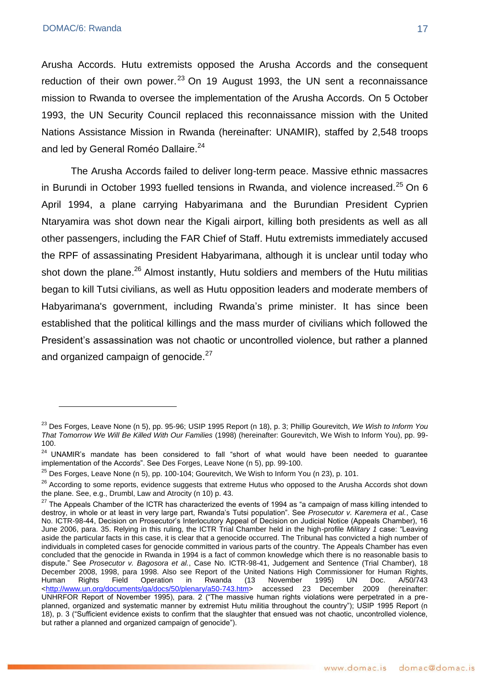Arusha Accords. Hutu extremists opposed the Arusha Accords and the consequent reduction of their own power. $^{23}$  On 19 August 1993, the UN sent a reconnaissance mission to Rwanda to oversee the implementation of the Arusha Accords. On 5 October 1993, the UN Security Council replaced this reconnaissance mission with the United Nations Assistance Mission in Rwanda (hereinafter: UNAMIR), staffed by 2,548 troops and led by General Roméo Dallaire.<sup>24</sup>

The Arusha Accords failed to deliver long-term peace. Massive ethnic massacres in Burundi in October 1993 fuelled tensions in Rwanda, and violence increased.<sup>25</sup> On 6 April 1994, a plane carrying Habyarimana and the Burundian President Cyprien Ntaryamira was shot down near the Kigali airport, killing both presidents as well as all other passengers, including the FAR Chief of Staff. Hutu extremists immediately accused the RPF of assassinating President Habyarimana, although it is unclear until today who shot down the plane.<sup>26</sup> Almost instantly, Hutu soldiers and members of the Hutu militias began to kill Tutsi civilians, as well as Hutu opposition leaders and moderate members of Habyarimana's government, including Rwanda's prime minister. It has since been established that the political killings and the mass murder of civilians which followed the President's assassination was not chaotic or uncontrolled violence, but rather a planned and organized campaign of genocide. $27$ 

<sup>23</sup> Des Forges, Leave None (n 5), pp. 95-96; USIP 1995 Report (n 18), p. 3; Phillip Gourevitch, *We Wish to Inform You That Tomorrow We Will Be Killed With Our Families* (1998) (hereinafter: Gourevitch, We Wish to Inform You), pp. 99- 100.

 $24$  UNAMIR's mandate has been considered to fall "short of what would have been needed to guarantee implementation of the Accords". See Des Forges, Leave None (n 5), pp. 99-100.

 $25$  Des Forges, Leave None (n 5), pp. 100-104; Gourevitch, We Wish to Inform You (n 23), p. 101.

<sup>&</sup>lt;sup>26</sup> According to some reports, evidence suggests that extreme Hutus who opposed to the Arusha Accords shot down the plane. See, e.g., Drumbl, Law and Atrocity (n 10) p. 43.

<sup>&</sup>lt;sup>27</sup> The Appeals Chamber of the ICTR has characterized the events of 1994 as "a campaign of mass killing intended to destroy, in whole or at least in very large part, Rwanda's Tutsi population". See *Prosecutor v. Karemera et al.*, Case No. ICTR-98-44, Decision on Prosecutor's Interlocutory Appeal of Decision on Judicial Notice (Appeals Chamber), 16 June 2006, para. 35. Relying in this ruling, the ICTR Trial Chamber held in the high-profile *Military 1* case: "Leaving aside the particular facts in this case, it is clear that a genocide occurred. The Tribunal has convicted a high number of individuals in completed cases for genocide committed in various parts of the country. The Appeals Chamber has even concluded that the genocide in Rwanda in 1994 is a fact of common knowledge which there is no reasonable basis to dispute.‖ See *Prosecutor v. Bagosora et al.*, Case No. ICTR-98-41, Judgement and Sentence (Trial Chamber), 18 December 2008, 1998, para 1998. Also see Report of the United Nations High Commissioner for Human Rights, Human Rights, Human Rights, Altal Operation in Rwanda (13 November 1995) UN Doc. A/50/743 Human Rights Field Operation in Rwanda (13 November 1995) UN Doc. A/50/743 [<http://www.un.org/documents/ga/docs/50/plenary/a50-743.htm>](http://www.un.org/documents/ga/docs/50/plenary/a50-743.htm) accessed 23 December 2009 (hereinafter: UNHRFOR Report of November 1995), para. 2 ("The massive human rights violations were perpetrated in a preplanned, organized and systematic manner by extremist Hutu militia throughout the country"); USIP 1995 Report (n 18), p. 3 ("Sufficient evidence exists to confirm that the slaughter that ensued was not chaotic, uncontrolled violence, but rather a planned and organized campaign of genocide").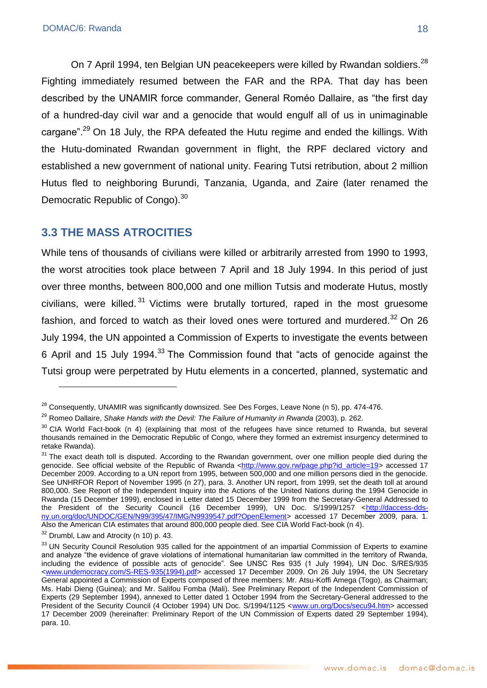On 7 April 1994, ten Belgian UN peacekeepers were killed by Rwandan soldiers.<sup>28</sup> Fighting immediately resumed between the FAR and the RPA. That day has been described by the UNAMIR force commander, General Roméo Dallaire, as "the first day of a hundred-day civil war and a genocide that would engulf all of us in unimaginable cargane".<sup>29</sup> On 18 July, the RPA defeated the Hutu regime and ended the killings. With the Hutu-dominated Rwandan government in flight, the RPF declared victory and established a new government of national unity. Fearing Tutsi retribution, about 2 million Hutus fled to neighboring Burundi, Tanzania, Uganda, and Zaire (later renamed the Democratic Republic of Congo).<sup>30</sup>

## <span id="page-17-0"></span>**3.3 THE MASS ATROCITIES**

While tens of thousands of civilians were killed or arbitrarily arrested from 1990 to 1993, the worst atrocities took place between 7 April and 18 July 1994. In this period of just over three months, between 800,000 and one million Tutsis and moderate Hutus, mostly civilians, were killed. <sup>31</sup> Victims were brutally tortured, raped in the most gruesome fashion, and forced to watch as their loved ones were tortured and murdered. $32$  On 26 July 1994, the UN appointed a Commission of Experts to investigate the events between 6 April and 15 July 1994.<sup>33</sup> The Commission found that "acts of genocide against the Tutsi group were perpetrated by Hutu elements in a concerted, planned, systematic and

1

<sup>&</sup>lt;sup>28</sup> Consequently, UNAMIR was significantly downsized. See Des Forges, Leave None (n 5), pp. 474-476.

<sup>29</sup> Romeo Dallaire, *Shake Hands with the Devil: The Failure of Humanity in Rwanda* (2003), p. 262.

 $30$  CIA World Fact-book (n 4) (explaining that most of the refugees have since returned to Rwanda, but several thousands remained in the Democratic Republic of Congo, where they formed an extremist insurgency determined to retake Rwanda).

<sup>&</sup>lt;sup>31</sup> The exact death toll is disputed. According to the Rwandan government, over one million people died during the genocide. See official website of the Republic of Rwanda [<http://www.gov.rw/page.php?id\\_article=19>](http://www.gov.rw/page.php?id_article=19) accessed 17 December 2009. According to a UN report from 1995, between 500,000 and one million persons died in the genocide. See UNHRFOR Report of November 1995 (n 27), para. 3. Another UN report, from 1999, set the death toll at around 800,000. See Report of the Independent Inquiry into the Actions of the United Nations during the 1994 Genocide in Rwanda (15 December 1999), enclosed in Letter dated 15 December 1999 from the Secretary-General Addressed to the President of the Security Council (16 December 1999), UN Doc. S/1999/1257 [<http://daccess-dds](http://daccess-dds-ny.un.org/doc/UNDOC/GEN/N99/395/47/IMG/N9939547.pdf?OpenElement)[ny.un.org/doc/UNDOC/GEN/N99/395/47/IMG/N9939547.pdf?OpenElement>](http://daccess-dds-ny.un.org/doc/UNDOC/GEN/N99/395/47/IMG/N9939547.pdf?OpenElement) accessed 17 December 2009, para. 1. Also the American CIA estimates that around 800,000 people died. See CIA World Fact-book (n 4).

<sup>&</sup>lt;sup>32</sup> Drumbl, Law and Atrocity (n 10) p. 43.

<sup>&</sup>lt;sup>33</sup> UN Security Council Resolution 935 called for the appointment of an impartial Commission of Experts to examine and analyze "the evidence of grave violations of international humanitarian law committed in the territory of Rwanda, including the evidence of possible acts of genocide". See UNSC Res 935 (1 July 1994), UN Doc. S/RES/935 [<www.undemocracy.com/S-RES-935\(1994\).pdf>](http://www.undemocracy.com/S-RES-935(1994).pdf) accessed 17 December 2009. On 26 July 1994, the UN Secretary General appointed a Commission of Experts composed of three members: Mr. Atsu-Koffi Amega (Togo), as Chairman; Ms. Habi Dieng (Guinea); and Mr. Salifou Fomba (Mali). See Preliminary Report of the Independent Commission of Experts (29 September 1994), annexed to Letter dated 1 October 1994 from the Secretary-General addressed to the President of the Security Council (4 October 1994) UN Doc. S/1994/1125 <www.un.org/Docs/secu94.htm> accessed 17 December 2009 (hereinafter: Preliminary Report of the UN Commission of Experts dated 29 September 1994), para. 10.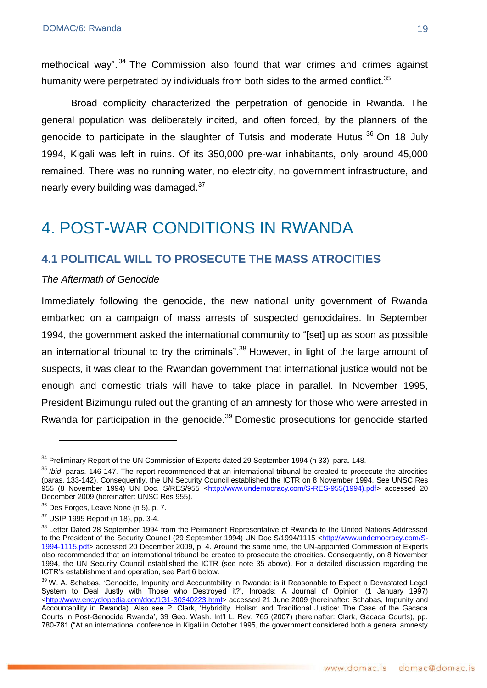methodical way".  $34$  The Commission also found that war crimes and crimes against humanity were perpetrated by individuals from both sides to the armed conflict.<sup>35</sup>

Broad complicity characterized the perpetration of genocide in Rwanda. The general population was deliberately incited, and often forced, by the planners of the genocide to participate in the slaughter of Tutsis and moderate Hutus.<sup>36</sup> On 18 July 1994, Kigali was left in ruins. Of its 350,000 pre-war inhabitants, only around 45,000 remained. There was no running water, no electricity, no government infrastructure, and nearly every building was damaged.<sup>37</sup>

## <span id="page-18-0"></span>4. POST-WAR CONDITIONS IN RWANDA

### <span id="page-18-1"></span>**4.1 POLITICAL WILL TO PROSECUTE THE MASS ATROCITIES**

#### *The Aftermath of Genocide*

Immediately following the genocide, the new national unity government of Rwanda embarked on a campaign of mass arrests of suspected genocidaires. In September 1994, the government asked the international community to "[set] up as soon as possible an international tribunal to try the criminals".<sup>38</sup> However, in light of the large amount of suspects, it was clear to the Rwandan government that international justice would not be enough and domestic trials will have to take place in parallel. In November 1995, President Bizimungu ruled out the granting of an amnesty for those who were arrested in Rwanda for participation in the genocide.<sup>39</sup> Domestic prosecutions for genocide started

<u>.</u>

<sup>&</sup>lt;sup>34</sup> Preliminary Report of the UN Commission of Experts dated 29 September 1994 (n 33), para. 148.

<sup>&</sup>lt;sup>35</sup> Ibid, paras. 146-147. The report recommended that an international tribunal be created to prosecute the atrocities (paras. 133-142). Consequently, the UN Security Council established the ICTR on 8 November 1994. See UNSC Res 955 (8 November 1994) UN Doc. S/RES/955 [<http://www.undemocracy.com/S-RES-955\(1994\).pdf>](http://www.undemocracy.com/S-RES-955(1994).pdf) accessed 20 December 2009 (hereinafter: UNSC Res 955).

<sup>36</sup> Des Forges, Leave None (n 5), p. 7.

<sup>37</sup> USIP 1995 Report (n 18), pp. 3-4.

<sup>&</sup>lt;sup>38</sup> Letter Dated 28 September 1994 from the Permanent Representative of Rwanda to the United Nations Addressed to the President of the Security Council (29 September 1994) UN Doc S/1994/1115 [<http://www.undemocracy.com/S-](http://www.undemocracy.com/S-1994-1115.pdf)1994-1115.pdf > accessed 20 December 2009, p. 4. Around the same time, the UN-appointed Commission of Experts also recommended that an international tribunal be created to prosecute the atrocities. Consequently, on 8 November 1994, the UN Security Council established the ICTR (see note 35 above). For a detailed discussion regarding the ICTR's establishment and operation, see Part 6 below.

<sup>&</sup>lt;sup>39</sup> W. A. Schabas, 'Genocide, Impunity and Accountability in Rwanda: is it Reasonable to Expect a Devastated Legal System to Deal Justly with Those who Destroyed it?', Inroads: A Journal of Opinion (1 January 1997) [<http://www.encyclopedia.com/doc/1G1-30340223.html>](http://www.encyclopedia.com/doc/1G1-30340223.html) accessed 21 June 2009 (hereinafter: Schabas, Impunity and Accountability in Rwanda). Also see P. Clark, 'Hybridity, Holism and Traditional Justice: The Case of the Gacaca Courts in Post-Genocide Rwanda', 39 Geo. Wash. Int'l L. Rev. 765 (2007) (hereinafter: Clark, Gacaca Courts), pp. 780-781 ("At an international conference in Kigali in October 1995, the government considered both a general amnesty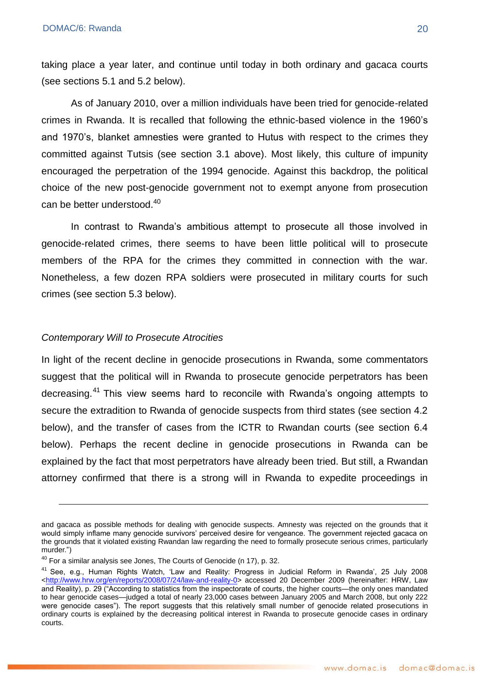taking place a year later, and continue until today in both ordinary and gacaca courts (see sections 5.1 and 5.2 below).

As of January 2010, over a million individuals have been tried for genocide-related crimes in Rwanda. It is recalled that following the ethnic-based violence in the 1960's and 1970's, blanket amnesties were granted to Hutus with respect to the crimes they committed against Tutsis (see section 3.1 above). Most likely, this culture of impunity encouraged the perpetration of the 1994 genocide. Against this backdrop, the political choice of the new post-genocide government not to exempt anyone from prosecution can be better understood.<sup>40</sup>

In contrast to Rwanda's ambitious attempt to prosecute all those involved in genocide-related crimes, there seems to have been little political will to prosecute members of the RPA for the crimes they committed in connection with the war. Nonetheless, a few dozen RPA soldiers were prosecuted in military courts for such crimes (see section 5.3 below).

#### *Contemporary Will to Prosecute Atrocities*

<u>.</u>

In light of the recent decline in genocide prosecutions in Rwanda, some commentators suggest that the political will in Rwanda to prosecute genocide perpetrators has been decreasing.<sup>41</sup> This view seems hard to reconcile with Rwanda's ongoing attempts to secure the extradition to Rwanda of genocide suspects from third states (see section 4.2 below), and the transfer of cases from the ICTR to Rwandan courts (see section 6.4 below). Perhaps the recent decline in genocide prosecutions in Rwanda can be explained by the fact that most perpetrators have already been tried. But still, a Rwandan attorney confirmed that there is a strong will in Rwanda to expedite proceedings in

and gacaca as possible methods for dealing with genocide suspects. Amnesty was rejected on the grounds that it would simply inflame many genocide survivors' perceived desire for vengeance. The government rejected gacaca on the grounds that it violated existing Rwandan law regarding the need to formally prosecute serious crimes, particularly murder.")

 $40$  For a similar analysis see Jones, The Courts of Genocide (n 17), p. 32.

<sup>&</sup>lt;sup>41</sup> See, e.g., Human Rights Watch, 'Law and Reality: Progress in Judicial Reform in Rwanda', 25 July 2008 [<http://www.hrw.org/en/reports/2008/07/24/law-and-reality-0>](http://www.hrw.org/en/reports/2008/07/24/law-and-reality-0) accessed 20 December 2009 (hereinafter: HRW, Law and Reality), p. 29 ("According to statistics from the inspectorate of courts, the higher courts—the only ones mandated to hear genocide cases—judged a total of nearly 23,000 cases between January 2005 and March 2008, but only 222 were genocide cases"). The report suggests that this relatively small number of genocide related prosecutions in ordinary courts is explained by the decreasing political interest in Rwanda to prosecute genocide cases in ordinary courts.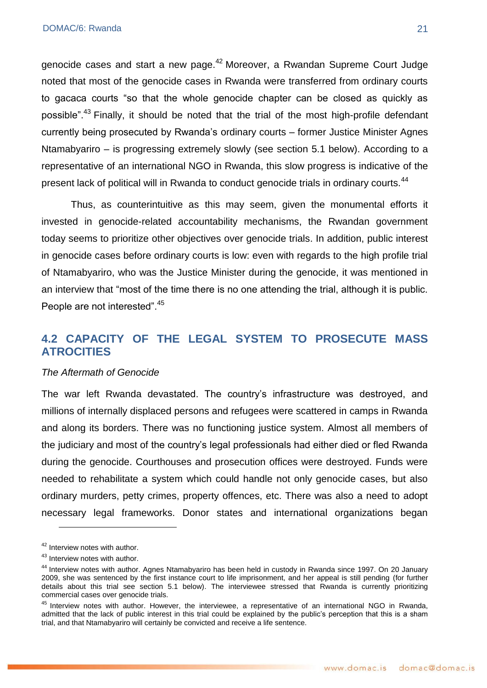genocide cases and start a new page.<sup>42</sup> Moreover, a Rwandan Supreme Court Judge noted that most of the genocide cases in Rwanda were transferred from ordinary courts to gacaca courts "so that the whole genocide chapter can be closed as quickly as possible".<sup>43</sup> Finally, it should be noted that the trial of the most high-profile defendant currently being prosecuted by Rwanda's ordinary courts – former Justice Minister Agnes Ntamabyariro – is progressing extremely slowly (see section 5.1 below). According to a representative of an international NGO in Rwanda, this slow progress is indicative of the present lack of political will in Rwanda to conduct genocide trials in ordinary courts.<sup>44</sup>

Thus, as counterintuitive as this may seem, given the monumental efforts it invested in genocide-related accountability mechanisms, the Rwandan government today seems to prioritize other objectives over genocide trials. In addition, public interest in genocide cases before ordinary courts is low: even with regards to the high profile trial of Ntamabyariro, who was the Justice Minister during the genocide, it was mentioned in an interview that "most of the time there is no one attending the trial, although it is public. People are not interested".<sup>45</sup>

## <span id="page-20-0"></span>**4.2 CAPACITY OF THE LEGAL SYSTEM TO PROSECUTE MASS ATROCITIES**

#### *The Aftermath of Genocide*

The war left Rwanda devastated. The country's infrastructure was destroyed, and millions of internally displaced persons and refugees were scattered in camps in Rwanda and along its borders. There was no functioning justice system. Almost all members of the judiciary and most of the country's legal professionals had either died or fled Rwanda during the genocide. Courthouses and prosecution offices were destroyed. Funds were needed to rehabilitate a system which could handle not only genocide cases, but also ordinary murders, petty crimes, property offences, etc. There was also a need to adopt necessary legal frameworks. Donor states and international organizations began

<u>.</u>

<sup>&</sup>lt;sup>42</sup> Interview notes with author.

<sup>43</sup> Interview notes with author.

<sup>44</sup> Interview notes with author. Agnes Ntamabyariro has been held in custody in Rwanda since 1997. On 20 January 2009, she was sentenced by the first instance court to life imprisonment, and her appeal is still pending (for further details about this trial see section 5.1 below). The interviewee stressed that Rwanda is currently prioritizing commercial cases over genocide trials.

<sup>&</sup>lt;sup>45</sup> Interview notes with author. However, the interviewee, a representative of an international NGO in Rwanda, admitted that the lack of public interest in this trial could be explained by the public's perception that this is a sham trial, and that Ntamabyariro will certainly be convicted and receive a life sentence.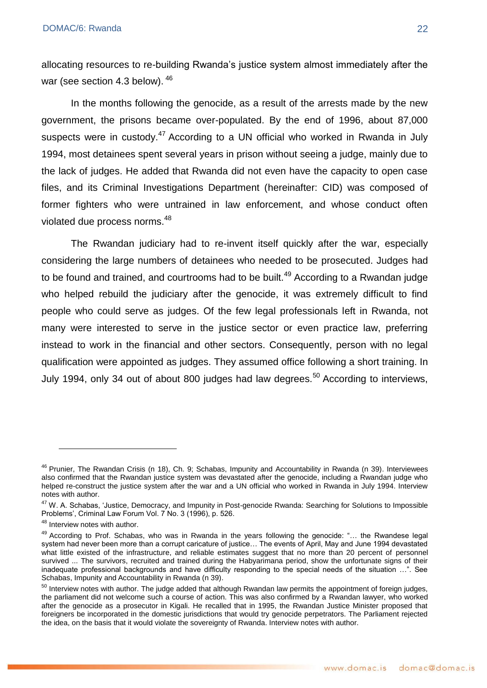allocating resources to re-building Rwanda's justice system almost immediately after the war (see section 4.3 below). <sup>46</sup>

In the months following the genocide, as a result of the arrests made by the new government, the prisons became over-populated. By the end of 1996, about 87,000 suspects were in custody.<sup>47</sup> According to a UN official who worked in Rwanda in July 1994, most detainees spent several years in prison without seeing a judge, mainly due to the lack of judges. He added that Rwanda did not even have the capacity to open case files, and its Criminal Investigations Department (hereinafter: CID) was composed of former fighters who were untrained in law enforcement, and whose conduct often violated due process norms.<sup>48</sup>

The Rwandan judiciary had to re-invent itself quickly after the war, especially considering the large numbers of detainees who needed to be prosecuted. Judges had to be found and trained, and courtrooms had to be built.<sup>49</sup> According to a Rwandan judge who helped rebuild the judiciary after the genocide, it was extremely difficult to find people who could serve as judges. Of the few legal professionals left in Rwanda, not many were interested to serve in the justice sector or even practice law, preferring instead to work in the financial and other sectors. Consequently, person with no legal qualification were appointed as judges. They assumed office following a short training. In July 1994, only 34 out of about 800 judges had law degrees.<sup>50</sup> According to interviews.

1

<sup>&</sup>lt;sup>46</sup> Prunier, The Rwandan Crisis (n 18), Ch. 9; Schabas, Impunity and Accountability in Rwanda (n 39). Interviewees also confirmed that the Rwandan justice system was devastated after the genocide, including a Rwandan judge who helped re-construct the justice system after the war and a UN official who worked in Rwanda in July 1994. Interview notes with author.

<sup>&</sup>lt;sup>47</sup> W. A. Schabas, 'Justice, Democracy, and Impunity in Post-genocide Rwanda: Searching for Solutions to Impossible Problems', Criminal Law Forum Vol. 7 No. 3 (1996), p. 526.

<sup>&</sup>lt;sup>48</sup> Interview notes with author.

<sup>49</sup> According to Prof. Schabas, who was in Rwanda in the years following the genocide: "... the Rwandese legal system had never been more than a corrupt caricature of justice… The events of April, May and June 1994 devastated what little existed of the infrastructure, and reliable estimates suggest that no more than 20 percent of personnel survived ... The survivors, recruited and trained during the Habyarimana period, show the unfortunate signs of their inadequate professional backgrounds and have difficulty responding to the special needs of the situation ...". See Schabas, Impunity and Accountability in Rwanda (n 39).

 $50$  Interview notes with author. The judge added that although Rwandan law permits the appointment of foreign judges, the parliament did not welcome such a course of action. This was also confirmed by a Rwandan lawyer, who worked after the genocide as a prosecutor in Kigali. He recalled that in 1995, the Rwandan Justice Minister proposed that foreigners be incorporated in the domestic jurisdictions that would try genocide perpetrators. The Parliament rejected the idea, on the basis that it would violate the sovereignty of Rwanda. Interview notes with author.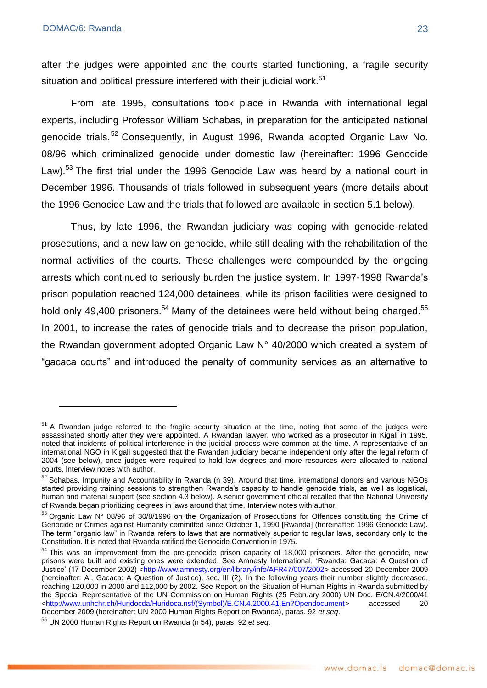after the judges were appointed and the courts started functioning, a fragile security situation and political pressure interfered with their judicial work.<sup>51</sup>

From late 1995, consultations took place in Rwanda with international legal experts, including Professor William Schabas, in preparation for the anticipated national genocide trials.<sup>52</sup> Consequently, in August 1996, Rwanda adopted Organic Law No. 08/96 which criminalized genocide under domestic law (hereinafter: 1996 Genocide Law).<sup>53</sup> The first trial under the 1996 Genocide Law was heard by a national court in December 1996. Thousands of trials followed in subsequent years (more details about the 1996 Genocide Law and the trials that followed are available in section 5.1 below).

Thus, by late 1996, the Rwandan judiciary was coping with genocide-related prosecutions, and a new law on genocide, while still dealing with the rehabilitation of the normal activities of the courts. These challenges were compounded by the ongoing arrests which continued to seriously burden the justice system. In 1997-1998 Rwanda's prison population reached 124,000 detainees, while its prison facilities were designed to hold only 49,400 prisoners.<sup>54</sup> Many of the detainees were held without being charged.<sup>55</sup> In 2001, to increase the rates of genocide trials and to decrease the prison population, the Rwandan government adopted Organic Law N° 40/2000 which created a system of ―gacaca courts‖ and introduced the penalty of community services as an alternative to

<sup>&</sup>lt;sup>51</sup> A Rwandan judge referred to the fragile security situation at the time, noting that some of the judges were assassinated shortly after they were appointed. A Rwandan lawyer, who worked as a prosecutor in Kigali in 1995, noted that incidents of political interference in the judicial process were common at the time. A representative of an international NGO in Kigali suggested that the Rwandan judiciary became independent only after the legal reform of 2004 (see below), once judges were required to hold law degrees and more resources were allocated to national courts. Interview notes with author.

<sup>52</sup> Schabas, Impunity and Accountability in Rwanda (n 39). Around that time, international donors and various NGOs started providing training sessions to strengthen Rwanda's capacity to handle genocide trials, as well as logistical, human and material support (see section 4.3 below). A senior government official recalled that the National University of Rwanda began prioritizing degrees in laws around that time. Interview notes with author.

<sup>53</sup> Organic Law N° 08/96 of 30/8/1996 on the Organization of Prosecutions for Offences constituting the Crime of Genocide or Crimes against Humanity committed since October 1, 1990 [Rwanda] (hereinafter: 1996 Genocide Law). The term "organic law" in Rwanda refers to laws that are normatively superior to regular laws, secondary only to the Constitution. It is noted that Rwanda ratified the Genocide Convention in 1975.

<sup>&</sup>lt;sup>54</sup> This was an improvement from the pre-genocide prison capacity of 18,000 prisoners. After the genocide, new prisons were built and existing ones were extended. See Amnesty International, 'Rwanda: Gacaca: A Question of Justice' (17 December 2002) <<u>http://www.amnesty.org/en/library/info/AFR47/007/2002</u>> accessed 20 December 2009 (hereinafter: AI, Gacaca: A Question of Justice), sec. III (2). In the following years their number slightly decreased, reaching 120,000 in 2000 and 112,000 by 2002. See Report on the Situation of Human Rights in Rwanda submitted by the Special Representative of the UN Commission on Human Rights (25 February 2000) UN Doc. E/CN.4/2000/41 [<http://www.unhchr.ch/Huridocda/Huridoca.nsf/\(Symbol\)/E.CN.4.2000.41.En?Opendocument>](http://www.unhchr.ch/Huridocda/Huridoca.nsf/(Symbol)/E.CN.4.2000.41.En?Opendocument) accessed 20 December 2009 (hereinafter: UN 2000 Human Rights Report on Rwanda), paras. 92 *et seq*.

<sup>55</sup> UN 2000 Human Rights Report on Rwanda (n 54), paras. 92 *et seq*.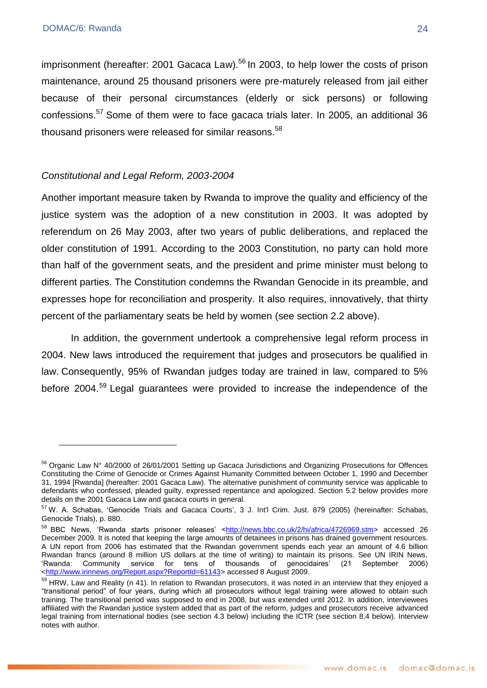imprisonment (hereafter: 2001 Gacaca Law). $56$  In 2003, to help lower the costs of prison maintenance, around 25 thousand prisoners were pre-maturely released from jail either because of their personal circumstances (elderly or sick persons) or following confessions.<sup>57</sup> Some of them were to face gacaca trials later. In 2005, an additional 36 thousand prisoners were released for similar reasons.<sup>58</sup>

#### *Constitutional and Legal Reform, 2003-2004*

Another important measure taken by Rwanda to improve the quality and efficiency of the justice system was the adoption of a new constitution in 2003. It was adopted by referendum on 26 May 2003, after two years of public deliberations, and replaced the older constitution of 1991. According to the 2003 Constitution, no party can hold more than half of the government seats, and the president and prime minister must belong to different parties. The Constitution condemns the Rwandan Genocide in its preamble, and expresses hope for reconciliation and prosperity. It also requires, innovatively, that thirty percent of the parliamentary seats be held by women (see section 2.2 above).

In addition, the government undertook a comprehensive legal reform process in 2004. New laws introduced the requirement that judges and prosecutors be qualified in law. Consequently, 95% of Rwandan judges today are trained in law, compared to 5% before 2004.<sup>59</sup> Legal guarantees were provided to increase the independence of the

<sup>&</sup>lt;sup>56</sup> Organic Law N° 40/2000 of 26/01/2001 Setting up Gacaca Jurisdictions and Organizing Prosecutions for Offences Constituting the Crime of Genocide or Crimes Against Humanity Committed between October 1, 1990 and December 31, 1994 [Rwanda] (hereafter: 2001 Gacaca Law). The alternative punishment of community service was applicable to defendants who confessed, pleaded guilty, expressed repentance and apologized. Section 5.2 below provides more details on the 2001 Gacaca Law and gacaca courts in general.

<sup>57</sup> W. A. Schabas, ‗Genocide Trials and Gacaca Courts', 3 J. Int'l Crim. Just. 879 (2005) (hereinafter: Schabas, Genocide Trials), p. 880.

<sup>58</sup> BBC News, 'Rwanda starts prisoner releases' [<http://news.bbc.co.uk/2/hi/africa/4726969.stm>](http://news.bbc.co.uk/2/hi/africa/4726969.stm) accessed 26 December 2009. It is noted that keeping the large amounts of detainees in prisons has drained government resources. A UN report from 2006 has estimated that the Rwandan government spends each year an amount of 4.6 billion Rwandan francs (around 8 million US dollars at the time of writing) to maintain its prisons. See UN IRIN News, ‗Rwanda: Community service for tens of thousands of genocidaires' (21 September 2006) [<http://www.irinnews.org/Report.aspx?ReportId=61143>](http://www.irinnews.org/Report.aspx?ReportId=61143) accessed 8 August 2009.

<sup>&</sup>lt;sup>59</sup> HRW, Law and Reality (n 41). In relation to Rwandan prosecutors, it was noted in an interview that they enjoyed a ―transitional period‖ of four years, during which all prosecutors without legal training were allowed to obtain such training. The transitional period was supposed to end in 2008, but was extended until 2012. In addition, interviewees affiliated with the Rwandan justice system added that as part of the reform, judges and prosecutors receive advanced legal training from international bodies (see section 4.3 below) including the ICTR (see section 8.4 below). Interview notes with author.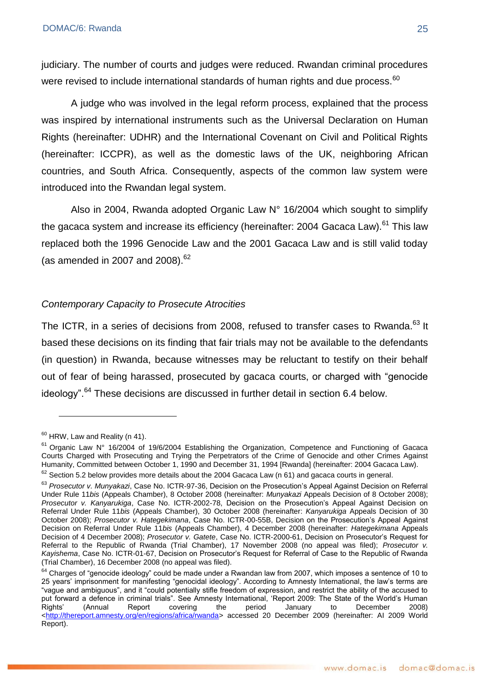judiciary. The number of courts and judges were reduced. Rwandan criminal procedures were revised to include international standards of human rights and due process.<sup>60</sup>

A judge who was involved in the legal reform process, explained that the process was inspired by international instruments such as the Universal Declaration on Human Rights (hereinafter: UDHR) and the International Covenant on Civil and Political Rights (hereinafter: ICCPR), as well as the domestic laws of the UK, neighboring African countries, and South Africa. Consequently, aspects of the common law system were introduced into the Rwandan legal system.

Also in 2004, Rwanda adopted Organic Law N° 16/2004 which sought to simplify the gacaca system and increase its efficiency (hereinafter: 2004 Gacaca Law).<sup>61</sup> This law replaced both the 1996 Genocide Law and the 2001 Gacaca Law and is still valid today (as amended in 2007 and 2008). $62$ 

#### *Contemporary Capacity to Prosecute Atrocities*

The ICTR, in a series of decisions from 2008, refused to transfer cases to Rwanda.<sup>63</sup> It based these decisions on its finding that fair trials may not be available to the defendants (in question) in Rwanda, because witnesses may be reluctant to testify on their behalf out of fear of being harassed, prosecuted by gacaca courts, or charged with "genocide" ideology".<sup>64</sup> These decisions are discussed in further detail in section 6.4 below.

1

 $60$  HRW, Law and Reality (n 41).

 $61$  Organic Law N° 16/2004 of 19/6/2004 Establishing the Organization, Competence and Functioning of Gacaca Courts Charged with Prosecuting and Trying the Perpetrators of the Crime of Genocide and other Crimes Against Humanity, Committed between October 1, 1990 and December 31, 1994 [Rwanda] (hereinafter: 2004 Gacaca Law).

 $62$  Section 5.2 below provides more details about the 2004 Gacaca Law (n 61) and gacaca courts in general.

<sup>63</sup> *Prosecutor v. Munyakazi*, Case No. ICTR-97-36, Decision on the Prosecution's Appeal Against Decision on Referral Under Rule 11*bis* (Appeals Chamber), 8 October 2008 (hereinafter: *Munyakazi* Appeals Decision of 8 October 2008); *Prosecutor v. Kanyarukiga*, Case No. ICTR-2002-78, Decision on the Prosecution's Appeal Against Decision on Referral Under Rule 11*bis* (Appeals Chamber), 30 October 2008 (hereinafter: *Kanyarukiga* Appeals Decision of 30 October 2008); *Prosecutor v. Hategekimana*, Case No. ICTR-00-55B, Decision on the Prosecution's Appeal Against Decision on Referral Under Rule 11*bis* (Appeals Chamber), 4 December 2008 (hereinafter: *Hategekimana* Appeals Decision of 4 December 2008); *Prosecutor v. Gatete*, Case No. ICTR-2000-61, Decision on Prosecutor's Request for Referral to the Republic of Rwanda (Trial Chamber), 17 November 2008 (no appeal was filed); *Prosecutor v. Kayishema*, Case No. ICTR-01-67, Decision on Prosecutor's Request for Referral of Case to the Republic of Rwanda (Trial Chamber), 16 December 2008 (no appeal was filed).

<sup>&</sup>lt;sup>64</sup> Charges of "genocide ideology" could be made under a Rwandan law from 2007, which imposes a sentence of 10 to 25 years' imprisonment for manifesting "genocidal ideology". According to Amnesty International, the law's terms are ―vague and ambiguous‖, and it ―could potentially stifle freedom of expression, and restrict the ability of the accused to put forward a defence in criminal trials". See Amnesty International, 'Report 2009: The State of the World's Human Rights' (Annual Report covering the period January to December 2008) [<http://thereport.amnesty.org/en/regions/africa/rwanda>](http://thereport.amnesty.org/en/regions/africa/rwanda) accessed 20 December 2009 (hereinafter: AI 2009 World Report).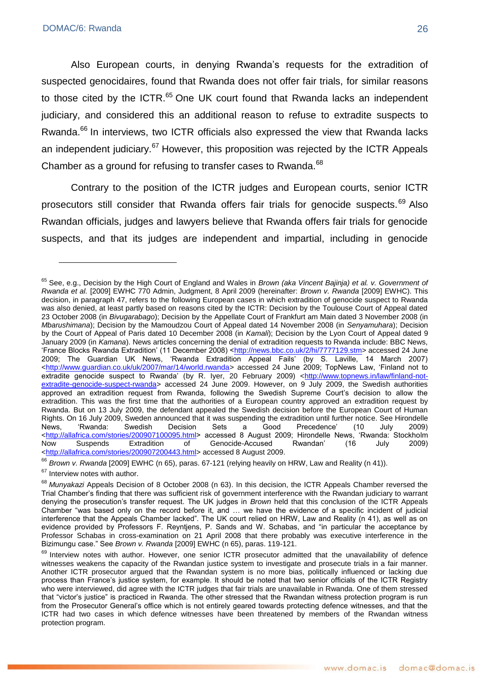Also European courts, in denying Rwanda's requests for the extradition of suspected genocidaires, found that Rwanda does not offer fair trials, for similar reasons to those cited by the ICTR.<sup>65</sup> One UK court found that Rwanda lacks an independent judiciary, and considered this an additional reason to refuse to extradite suspects to Rwanda.<sup>66</sup> In interviews, two ICTR officials also expressed the view that Rwanda lacks an independent judiciary.<sup>67</sup> However, this proposition was rejected by the ICTR Appeals Chamber as a ground for refusing to transfer cases to Rwanda.<sup>68</sup>

Contrary to the position of the ICTR judges and European courts, senior ICTR prosecutors still consider that Rwanda offers fair trials for genocide suspects.<sup>69</sup> Also Rwandan officials, judges and lawyers believe that Rwanda offers fair trials for genocide suspects, and that its judges are independent and impartial, including in genocide

<sup>65</sup> See, e.g., Decision by the High Court of England and Wales in *Brown (aka Vincent Bajinja) et al. v. Government of Rwanda et al.* [2009] EWHC 770 Admin, Judgment, 8 April 2009 (hereinafter: *Brown v. Rwanda* [2009] EWHC). This decision, in paragraph 47, refers to the following European cases in which extradition of genocide suspect to Rwanda was also denied, at least partly based on reasons cited by the ICTR: Decision by the Toulouse Court of Appeal dated 23 October 2008 (in *Bivugarabago*); Decision by the Appellate Court of Frankfurt am Main dated 3 November 2008 (in *Mbarushimana*); Decision by the Mamoudzou Court of Appeal dated 14 November 2008 (in *Senyamuhara*); Decision by the Court of Appeal of Paris dated 10 December 2008 (in *Kamali*); Decision by the Lyon Court of Appeal dated 9 January 2009 (in *Kamana*). News articles concerning the denial of extradition requests to Rwanda include: BBC News, ‗France Blocks Rwanda Extradition' (11 December 2008) [<http://news.bbc.co.uk/2/hi/7777129.stm>](http://news.bbc.co.uk/2/hi/7777129.stm) accessed 24 June 2009; The Guardian UK News, 'Rwanda Extradition Appeal Fails' (by S. Laville, 14 March 2007) [<http://www.guardian.co.uk/uk/2007/mar/14/world.rwanda>](http://www.guardian.co.uk/uk/2007/mar/14/world.rwanda) accessed 24 June 2009; TopNews Law, ‗Finland not to extradite genocide suspect to Rwanda' (by R. Iyer, 20 February 2009) [<http://www.topnews.in/law/finland-not](http://www.topnews.in/law/finland-not-extradite-genocide-suspect-rwanda)[extradite-genocide-suspect-rwanda>](http://www.topnews.in/law/finland-not-extradite-genocide-suspect-rwanda) accessed 24 June 2009. However, on 9 July 2009, the Swedish authorities approved an extradition request from Rwanda, following the Swedish Supreme Court's decision to allow the extradition. This was the first time that the authorities of a European country approved an extradition request by Rwanda. But on 13 July 2009, the defendant appealed the Swedish decision before the European Court of Human Rights. On 16 July 2009, Sweden announced that it was suspending the extradition until further notice. See Hirondelle News, ‗Rwanda: Swedish Decision Sets a Good Precedence' (10 July 2009) khttp://allafrica.com/stories/200907100095.html> accessed 8 August 2009; Hirondelle News, 'Rwanda: Stockholm <br />
Now Suspends Extradition of Genocide-Accused Rwandan' (16 July 2009) Genocide-Accused Rwandan' (16 July [<http://allafrica.com/stories/200907200443.html>](http://allafrica.com/stories/200907200443.html) accessed 8 August 2009.

<sup>66</sup> *Brown v. Rwanda* [2009] EWHC (n 65), paras. 67-121 (relying heavily on HRW, Law and Reality (n 41)).

<sup>&</sup>lt;sup>67</sup> Interview notes with author.

<sup>68</sup> *Munyakazi* Appeals Decision of 8 October 2008 (n 63). In this decision, the ICTR Appeals Chamber reversed the Trial Chamber's finding that there was sufficient risk of government interference with the Rwandan judiciary to warrant denying the prosecution's transfer request. The UK judges in *Brown* held that this conclusion of the ICTR Appeals Chamber "was based only on the record before it, and ... we have the evidence of a specific incident of judicial interference that the Appeals Chamber lacked". The UK court relied on HRW, Law and Reality (n 41), as well as on evidence provided by Professors F. Reyntiens, P. Sands and W. Schabas, and "in particular the acceptance by Professor Schabas in cross-examination on 21 April 2008 that there probably was executive interference in the Bizimungu case.‖ See *Brown v. Rwanda* [2009] EWHC (n 65), paras. 119-121.

<sup>&</sup>lt;sup>69</sup> Interview notes with author. However, one senior ICTR prosecutor admitted that the unavailability of defence witnesses weakens the capacity of the Rwandan justice system to investigate and prosecute trials in a fair manner. Another ICTR prosecutor argued that the Rwandan system is no more bias, politically influenced or lacking due process than France's justice system, for example. It should be noted that two senior officials of the ICTR Registry who were interviewed, did agree with the ICTR judges that fair trials are unavailable in Rwanda. One of them stressed that "victor's justice" is practiced in Rwanda. The other stressed that the Rwandan witness protection program is run from the Prosecutor General's office which is not entirely geared towards protecting defence witnesses, and that the ICTR had two cases in which defence witnesses have been threatened by members of the Rwandan witness protection program.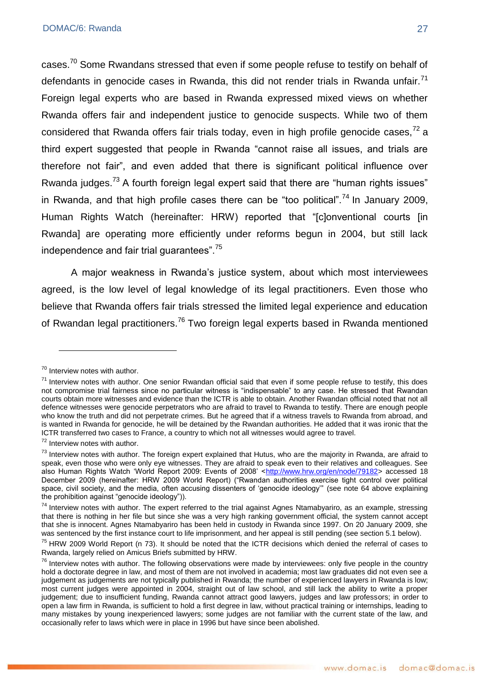cases.<sup>70</sup> Some Rwandans stressed that even if some people refuse to testify on behalf of defendants in genocide cases in Rwanda, this did not render trials in Rwanda unfair. $71$ Foreign legal experts who are based in Rwanda expressed mixed views on whether Rwanda offers fair and independent justice to genocide suspects. While two of them considered that Rwanda offers fair trials today, even in high profile genocide cases.<sup>72</sup> a third expert suggested that people in Rwanda "cannot raise all issues, and trials are therefore not fair", and even added that there is significant political influence over Rwanda judges.<sup>73</sup> A fourth foreign legal expert said that there are "human rights issues" in Rwanda, and that high profile cases there can be "too political".<sup>74</sup> In January 2009. Human Rights Watch (hereinafter: HRW) reported that "[c]onventional courts [in Rwanda] are operating more efficiently under reforms begun in 2004, but still lack independence and fair trial guarantees".<sup>75</sup>

A major weakness in Rwanda's justice system, about which most interviewees agreed, is the low level of legal knowledge of its legal practitioners. Even those who believe that Rwanda offers fair trials stressed the limited legal experience and education of Rwandan legal practitioners.<sup>76</sup> Two foreign legal experts based in Rwanda mentioned

1

<sup>70</sup> Interview notes with author.

 $71$  Interview notes with author. One senior Rwandan official said that even if some people refuse to testify, this does not compromise trial fairness since no particular witness is "indispensable" to any case. He stressed that Rwandan courts obtain more witnesses and evidence than the ICTR is able to obtain. Another Rwandan official noted that not all defence witnesses were genocide perpetrators who are afraid to travel to Rwanda to testify. There are enough people who know the truth and did not perpetrate crimes. But he agreed that if a witness travels to Rwanda from abroad, and is wanted in Rwanda for genocide, he will be detained by the Rwandan authorities. He added that it was ironic that the ICTR transferred two cases to France, a country to which not all witnesses would agree to travel.

<sup>72</sup> Interview notes with author.

 $73$  Interview notes with author. The foreign expert explained that Hutus, who are the majority in Rwanda, are afraid to speak, even those who were only eye witnesses. They are afraid to speak even to their relatives and colleagues. See also Human Rights Watch 'World Report 2009: Events of 2008' [<http://www.hrw.org/en/node/79182>](http://www.hrw.org/en/node/79182) accessed 18 December 2009 (hereinafter: HRW 2009 World Report) ("Rwandan authorities exercise tight control over political space, civil society, and the media, often accusing dissenters of 'genocide ideology'" (see note 64 above explaining the prohibition against "genocide ideology")).

 $74$  Interview notes with author. The expert referred to the trial against Agnes Ntamabyariro, as an example, stressing that there is nothing in her file but since she was a very high ranking government official, the system cannot accept that she is innocent. Agnes Ntamabyariro has been held in custody in Rwanda since 1997. On 20 January 2009, she was sentenced by the first instance court to life imprisonment, and her appeal is still pending (see section 5.1 below).

 $75$  HRW 2009 World Report (n 73). It should be noted that the ICTR decisions which denied the referral of cases to Rwanda, largely relied on Amicus Briefs submitted by HRW.

 $76$  Interview notes with author. The following observations were made by interviewees: only five people in the country hold a doctorate degree in law, and most of them are not involved in academia; most law graduates did not even see a judgement as judgements are not typically published in Rwanda; the number of experienced lawyers in Rwanda is low; most current judges were appointed in 2004, straight out of law school, and still lack the ability to write a proper judgement; due to insufficient funding, Rwanda cannot attract good lawyers, judges and law professors; in order to open a law firm in Rwanda, is sufficient to hold a first degree in law, without practical training or internships, leading to many mistakes by young inexperienced lawyers; some judges are not familiar with the current state of the law, and occasionally refer to laws which were in place in 1996 but have since been abolished.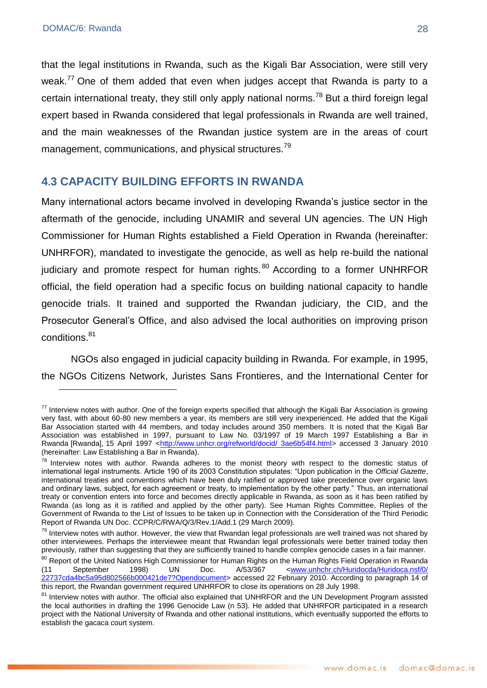that the legal institutions in Rwanda, such as the Kigali Bar Association, were still very weak.<sup>77</sup> One of them added that even when judges accept that Rwanda is party to a certain international treaty, they still only apply national norms.<sup>78</sup> But a third foreign legal expert based in Rwanda considered that legal professionals in Rwanda are well trained, and the main weaknesses of the Rwandan justice system are in the areas of court management, communications, and physical structures.<sup>79</sup>

## <span id="page-27-0"></span>**4.3 CAPACITY BUILDING EFFORTS IN RWANDA**

Many international actors became involved in developing Rwanda's justice sector in the aftermath of the genocide, including UNAMIR and several UN agencies. The UN High Commissioner for Human Rights established a Field Operation in Rwanda (hereinafter: UNHRFOR), mandated to investigate the genocide, as well as help re-build the national judiciary and promote respect for human rights.<sup>80</sup> According to a former UNHRFOR official, the field operation had a specific focus on building national capacity to handle genocide trials. It trained and supported the Rwandan judiciary, the CID, and the Prosecutor General's Office, and also advised the local authorities on improving prison conditions.<sup>81</sup>

NGOs also engaged in judicial capacity building in Rwanda. For example, in 1995, the NGOs Citizens Network, Juristes Sans Frontieres, and the International Center for

 $77$  Interview notes with author. One of the foreign experts specified that although the Kigali Bar Association is growing very fast, with about 60-80 new members a year, its members are still very inexperienced. He added that the Kigali Bar Association started with 44 members, and today includes around 350 members. It is noted that the Kigali Bar Association was established in 1997, pursuant to Law No. 03/1997 of 19 March 1997 Establishing a Bar in Rwanda [Rwanda], 15 April 1997 [<http://www.unhcr.org/refworld/docid/ 3ae6b54f4.html>](http://www.unhcr.org/refworld/docid/%203ae6b54f4.html) accessed 3 January 2010 (hereinafter: Law Establishing a Bar in Rwanda).

 $78$  Interview notes with author. Rwanda adheres to the monist theory with respect to the domestic status of international legal instruments. Article 190 of its 2003 Constitution stipulates: "Upon publication in the *Official Gazette*, international treaties and conventions which have been duly ratified or approved take precedence over organic laws and ordinary laws, subject, for each agreement or treaty, to implementation by the other party." Thus, an international treaty or convention enters into force and becomes directly applicable in Rwanda, as soon as it has been ratified by Rwanda (as long as it is ratified and applied by the other party). See Human Rights Committee, Replies of the Government of Rwanda to the List of Issues to be taken up in Connection with the Consideration of the Third Periodic Report of Rwanda UN Doc. CCPR/C/RWA/Q/3/Rev.1/Add.1 (29 March 2009).

 $79$  Interview notes with author. However, the view that Rwandan legal professionals are well trained was not shared by other interviewees. Perhaps the interviewee meant that Rwandan legal professionals were better trained today then previously, rather than suggesting that they are sufficiently trained to handle complex genocide cases in a fair manner.

<sup>&</sup>lt;sup>80</sup> Report of the United Nations High Commissioner for Human Rights on the Human Rights Field Operation in Rwanda<br>(11 September 1998) UN Doc. A/53/367 <www.unhchr.ch/Huridocda/Huridoca.nsf/0/ (11 September 1998) UN Doc. A/53/367 [<www.unhchr.ch/Huridocda/Huridoca.nsf/0/](http://www.unhchr.ch/Huridocda/Huridoca.nsf/0/%2022737cda4bc5a95d802566b000421de7?Opendocument)  [22737cda4bc5a95d802566b000421de7?Opendocument>](http://www.unhchr.ch/Huridocda/Huridoca.nsf/0/%2022737cda4bc5a95d802566b000421de7?Opendocument) accessed 22 February 2010. According to paragraph 14 of this report, the Rwandan government required UNHRFOR to close its operations on 28 July 1998.

<sup>&</sup>lt;sup>81</sup> Interview notes with author. The official also explained that UNHRFOR and the UN Development Program assisted the local authorities in drafting the 1996 Genocide Law (n 53). He added that UNHRFOR participated in a research project with the National University of Rwanda and other national institutions, which eventually supported the efforts to establish the gacaca court system.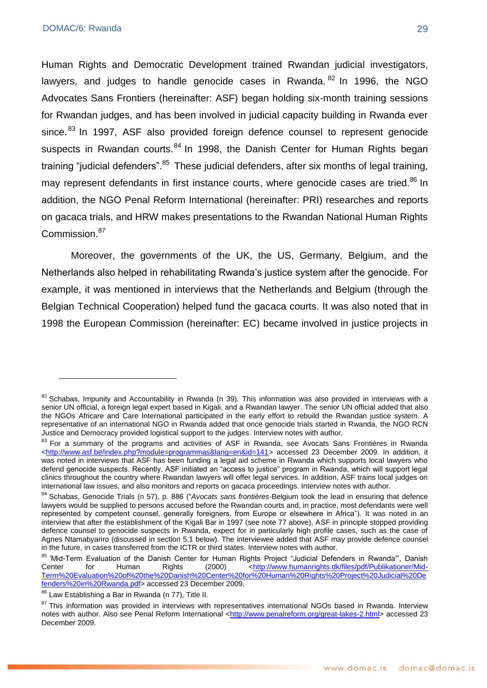Human Rights and Democratic Development trained Rwandan judicial investigators, lawyers, and judges to handle genocide cases in Rwanda.  $82$  In 1996, the NGO Advocates Sans Frontiers (hereinafter: ASF) began holding six-month training sessions for Rwandan judges, and has been involved in judicial capacity building in Rwanda ever since.<sup>83</sup> In 1997, ASF also provided foreign defence counsel to represent genocide suspects in Rwandan courts.<sup>84</sup> In 1998, the Danish Center for Human Rights began training "judicial defenders".<sup>85</sup> These judicial defenders, after six months of legal training, may represent defendants in first instance courts, where genocide cases are tried.<sup>86</sup> In addition, the NGO Penal Reform International (hereinafter: PRI) researches and reports on gacaca trials, and HRW makes presentations to the Rwandan National Human Rights Commission.<sup>87</sup>

Moreover, the governments of the UK, the US, Germany, Belgium, and the Netherlands also helped in rehabilitating Rwanda's justice system after the genocide. For example, it was mentioned in interviews that the Netherlands and Belgium (through the Belgian Technical Cooperation) helped fund the gacaca courts. It was also noted that in 1998 the European Commission (hereinafter: EC) became involved in justice projects in

 $82$  Schabas, Impunity and Accountability in Rwanda (n 39). This information was also provided in interviews with a senior UN official, a foreign legal expert based in Kigali, and a Rwandan lawyer. The senior UN official added that also the NGOs Africare and Care International participated in the early effort to rebuild the Rwandan justice system. A representative of an international NGO in Rwanda added that once genocide trials started in Rwanda, the NGO RCN Justice and Democracy provided logistical support to the judges. Interview notes with author.

<sup>83</sup> For a summarv of the programs and activities of ASF in Rwanda, see Avocats Sans Frontières in Rwanda [<http://www.asf.be/index.php?module=programmas&lang=en&id=141>](http://www.asf.be/index.php?module=programmas&lang=en&id=141) accessed 23 December 2009. In addition, it was noted in interviews that ASF has been funding a legal aid scheme in Rwanda which supports local lawyers who defend genocide suspects. Recently, ASF initiated an "access to justice" program in Rwanda, which will support legal clinics throughout the country where Rwandan lawyers will offer legal services. In addition, ASF trains local judges on international law issues, and also monitors and reports on gacaca proceedings. Interview notes with author.

<sup>84</sup> Schabas, Genocide Trials (n 57), p. 886 ("Avocats sans frontières-Belgium took the lead in ensuring that defence lawyers would be supplied to persons accused before the Rwandan courts and, in practice, most defendants were well represented by competent counsel, generally foreigners, from Europe or elsewhere in Africa"). It was noted in an interview that after the establishment of the Kigali Bar in 1997 (see note 77 above), ASF in principle stopped providing defence counsel to genocide suspects in Rwanda, expect for in particularly high profile cases, such as the case of Agnes Ntamabyariro (discussed in section 5.1 below). The interviewee added that ASF may provide defence counsel in the future, in cases transferred from the ICTR or third states. Interview notes with author.

<sup>&</sup>lt;sup>85</sup> 'Mid-Term Evaluation of the Danish Center for Human Rights Project "Judicial Defenders in Rwanda", Danish<br>Center for Human Rights (2000) <http://www.humanrights.dk/files/pdf/Publikationer/Mid-Center for Human Rights (2000) [<http://www.humanrights.dk/files/pdf/Publikationer/Mid-](http://www.humanrights.dk/files/pdf/Publikationer/Mid-Term%20Evaluation%20of%20the%20Danish%20Centre%20for%20Human%20Rights%20Project%20Judicial%20Defenders%20in%20Rwanda.pdf)[Term%20Evaluation%20of%20the%20Danish%20Center%20for%20Human%20Rights%20Project%20Judicial%20De](http://www.humanrights.dk/files/pdf/Publikationer/Mid-Term%20Evaluation%20of%20the%20Danish%20Centre%20for%20Human%20Rights%20Project%20Judicial%20Defenders%20in%20Rwanda.pdf) [fenders%20in%20Rwanda.pdf>](http://www.humanrights.dk/files/pdf/Publikationer/Mid-Term%20Evaluation%20of%20the%20Danish%20Centre%20for%20Human%20Rights%20Project%20Judicial%20Defenders%20in%20Rwanda.pdf) accessed 23 December 2009.

<sup>&</sup>lt;sup>86</sup> Law Establishing a Bar in Rwanda (n 77), Title II.

<sup>&</sup>lt;sup>87</sup> This information was provided in interviews with representatives international NGOs based in Rwanda. Interview notes with author. Also see Penal Reform International [<http://www.penalreform.org/great-lakes-2.html>](http://www.penalreform.org/great-lakes-2.html) accessed 23 December 2009.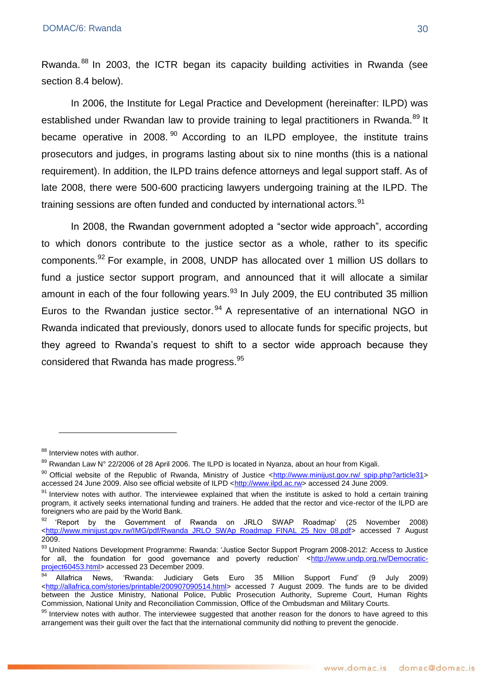Rwanda.<sup>88</sup> In 2003, the ICTR began its capacity building activities in Rwanda (see section 8.4 below).

In 2006, the Institute for Legal Practice and Development (hereinafter: ILPD) was established under Rwandan law to provide training to legal practitioners in Rwanda.<sup>89</sup> It became operative in 2008.  $90$  According to an ILPD employee, the institute trains prosecutors and judges, in programs lasting about six to nine months (this is a national requirement). In addition, the ILPD trains defence attorneys and legal support staff. As of late 2008, there were 500-600 practicing lawyers undergoing training at the ILPD. The training sessions are often funded and conducted by international actors.<sup>91</sup>

In 2008, the Rwandan government adopted a "sector wide approach", according to which donors contribute to the justice sector as a whole, rather to its specific components.<sup>92</sup> For example, in 2008, UNDP has allocated over 1 million US dollars to fund a justice sector support program, and announced that it will allocate a similar amount in each of the four following years. $93$  In July 2009, the EU contributed 35 million Euros to the Rwandan justice sector.<sup>94</sup> A representative of an international NGO in Rwanda indicated that previously, donors used to allocate funds for specific projects, but they agreed to Rwanda's request to shift to a sector wide approach because they considered that Rwanda has made progress.<sup>95</sup>

<u>.</u>

<sup>88</sup> Interview notes with author.

 $89$  Rwandan Law N° 22/2006 of 28 April 2006. The ILPD is located in Nyanza, about an hour from Kigali.

<sup>&</sup>lt;sup>90</sup> Official website of the Republic of Rwanda, Ministry of Justice [<http://www.minijust.gov.rw/ spip.php?article31>](http://www.minijust.gov.rw/%20spip.php?article31) accessed 24 June 2009. Also see official website of ILPD [<http://www.ilpd.ac.rw>](http://www.ilpd.ac.rw/) accessed 24 June 2009.

 $91$  Interview notes with author. The interviewee explained that when the institute is asked to hold a certain training program, it actively seeks international funding and trainers. He added that the rector and vice-rector of the ILPD are foreigners who are paid by the World Bank.

<sup>&#</sup>x27;Report by the Government of Rwanda on JRLO SWAP Roadmap' (25 November 2008) [<http://www.minijust.gov.rw/IMG/pdf/Rwanda\\_JRLO\\_SWAp\\_Roadmap\\_FINAL\\_25\\_Nov\\_08.pdf>](http://www.minijust.gov.rw/IMG/pdf/Rwanda_JRLO_SWAp_Roadmap_FINAL_25_Nov_08.pdf) accessed 7 August 2009.

<sup>93</sup> United Nations Development Programme: Rwanda: 'Justice Sector Support Program 2008-2012: Access to Justice for all, the foundation for good governance and poverty reduction' [<http://www.undp.org.rw/Democratic](http://www.undp.org.rw/Democratic-project60453.html)[project60453.html>](http://www.undp.org.rw/Democratic-project60453.html) accessed 23 December 2009.

<sup>94</sup> Allafrica News, ‗Rwanda: Judiciary Gets Euro 35 Million Support Fund' (9 July 2009) [<http://allafrica.com/stories/printable/200907090514.html>](http://allafrica.com/stories/printable/200907090514.html) accessed 7 August 2009. The funds are to be divided between the Justice Ministry, National Police, Public Prosecution Authority, Supreme Court, Human Rights Commission, National Unity and Reconciliation Commission, Office of the Ombudsman and Military Courts.

<sup>&</sup>lt;sup>95</sup> Interview notes with author. The interviewee suggested that another reason for the donors to have agreed to this arrangement was their guilt over the fact that the international community did nothing to prevent the genocide.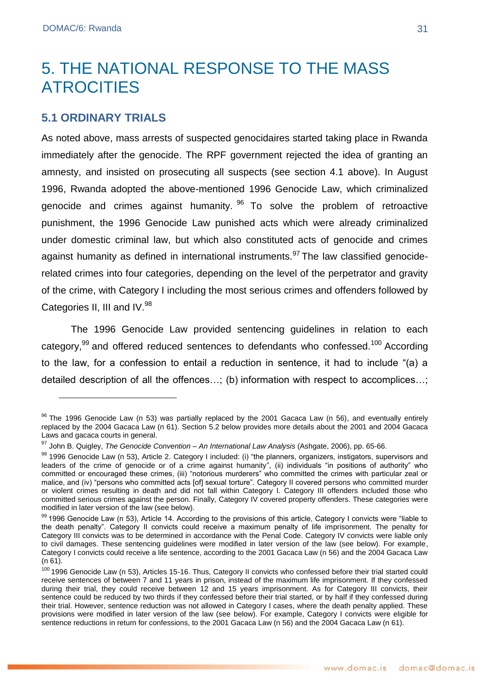# <span id="page-30-0"></span>5. THE NATIONAL RESPONSE TO THE MASS ATROCITIES

### <span id="page-30-1"></span>**5.1 ORDINARY TRIALS**

As noted above, mass arrests of suspected genocidaires started taking place in Rwanda immediately after the genocide. The RPF government rejected the idea of granting an amnesty, and insisted on prosecuting all suspects (see section 4.1 above). In August 1996, Rwanda adopted the above-mentioned 1996 Genocide Law, which criminalized genocide and crimes against humanity.  $96$  To solve the problem of retroactive punishment, the 1996 Genocide Law punished acts which were already criminalized under domestic criminal law, but which also constituted acts of genocide and crimes against humanity as defined in international instruments.  $97$  The law classified genociderelated crimes into four categories, depending on the level of the perpetrator and gravity of the crime, with Category I including the most serious crimes and offenders followed by Categories II, III and IV.<sup>98</sup>

The 1996 Genocide Law provided sentencing guidelines in relation to each category,<sup>99</sup> and offered reduced sentences to defendants who confessed.<sup>100</sup> According to the law, for a confession to entail a reduction in sentence, it had to include "(a) a detailed description of all the offences…; (b) information with respect to accomplices…;

 $96$  The 1996 Genocide Law (n 53) was partially replaced by the 2001 Gacaca Law (n 56), and eventually entirely replaced by the 2004 Gacaca Law (n 61). Section 5.2 below provides more details about the 2001 and 2004 Gacaca Laws and gacaca courts in general.

<sup>97</sup> John B. Quigley, *The Genocide Convention – An International Law Analysis* (Ashgate, 2006), pp. 65-66.

<sup>98 1996</sup> Genocide Law (n 53), Article 2. Category I included: (i) "the planners, organizers, instigators, supervisors and leaders of the crime of genocide or of a crime against humanity", (ii) individuals "in positions of authority" who committed or encouraged these crimes, (iii) "notorious murderers" who committed the crimes with particular zeal or malice, and (iv) "persons who committed acts [of] sexual torture". Category II covered persons who committed murder or violent crimes resulting in death and did not fall within Category I. Category III offenders included those who committed serious crimes against the person. Finally, Category IV covered property offenders. These categories were modified in later version of the law (see below).

<sup>99 1996</sup> Genocide Law (n 53), Article 14. According to the provisions of this article, Category I convicts were "liable to the death penalty". Category II convicts could receive a maximum penalty of life imprisonment. The penalty for Category III convicts was to be determined in accordance with the Penal Code. Category IV convicts were liable only to civil damages. These sentencing guidelines were modified in later version of the law (see below). For example, Category I convicts could receive a life sentence, according to the 2001 Gacaca Law (n 56) and the 2004 Gacaca Law (n 61).

<sup>100 1996</sup> Genocide Law (n 53), Articles 15-16. Thus, Category II convicts who confessed before their trial started could receive sentences of between 7 and 11 years in prison, instead of the maximum life imprisonment. If they confessed during their trial, they could receive between 12 and 15 years imprisonment. As for Category III convicts, their sentence could be reduced by two thirds if they confessed before their trial started, or by half if they confessed during their trial. However, sentence reduction was not allowed in Category I cases, where the death penalty applied. These provisions were modified in later version of the law (see below). For example, Category I convicts were eligible for sentence reductions in return for confessions, to the 2001 Gacaca Law (n 56) and the 2004 Gacaca Law (n 61).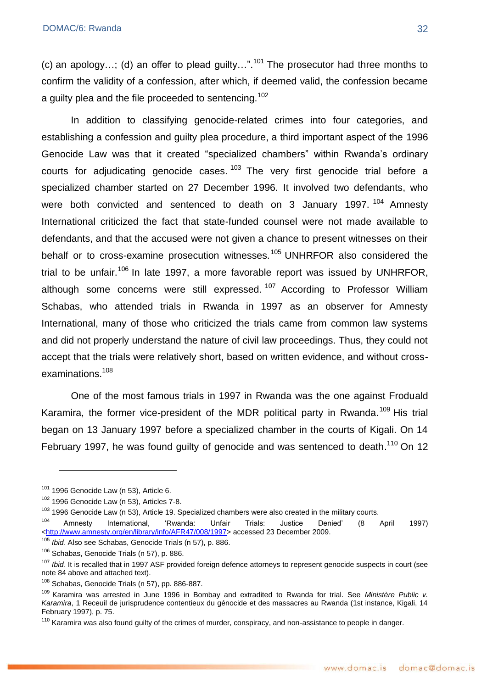(c) an apology...; (d) an offer to plead guilty...".<sup>101</sup> The prosecutor had three months to confirm the validity of a confession, after which, if deemed valid, the confession became a guilty plea and the file proceeded to sentencing.<sup>102</sup>

In addition to classifying genocide-related crimes into four categories, and establishing a confession and guilty plea procedure, a third important aspect of the 1996 Genocide Law was that it created "specialized chambers" within Rwanda's ordinary courts for adjudicating genocide cases.  $103$  The very first genocide trial before a specialized chamber started on 27 December 1996. It involved two defendants, who were both convicted and sentenced to death on 3 January 1997.  $104$  Amnesty International criticized the fact that state-funded counsel were not made available to defendants, and that the accused were not given a chance to present witnesses on their behalf or to cross-examine prosecution witnesses.<sup>105</sup> UNHRFOR also considered the trial to be unfair.<sup>106</sup> In late 1997, a more favorable report was issued by UNHRFOR, although some concerns were still expressed.<sup>107</sup> According to Professor William Schabas, who attended trials in Rwanda in 1997 as an observer for Amnesty International, many of those who criticized the trials came from common law systems and did not properly understand the nature of civil law proceedings. Thus, they could not accept that the trials were relatively short, based on written evidence, and without crossexaminations.<sup>108</sup>

One of the most famous trials in 1997 in Rwanda was the one against Froduald Karamira, the former vice-president of the MDR political party in Rwanda.<sup>109</sup> His trial began on 13 January 1997 before a specialized chamber in the courts of Kigali. On 14 February 1997, he was found guilty of genocide and was sentenced to death.<sup>110</sup> On 12

<u>.</u>

 $101$  1996 Genocide Law (n 53), Article 6.

 $102$  1996 Genocide Law (n 53), Articles 7-8.

<sup>&</sup>lt;sup>103</sup> 1996 Genocide Law (n 53), Article 19. Specialized chambers were also created in the military courts.

<sup>&</sup>lt;sup>104</sup> Amnesty International, 'Rwanda: Unfair Trials: Justice Denied' (8 April 1997) [<http://www.amnesty.org/en/library/info/AFR47/008/1997>](http://www.amnesty.org/en/library/info/AFR47/008/1997) accessed 23 December 2009.

<sup>105</sup> *Ibid*. Also see Schabas, Genocide Trials (n 57), p. 886.

<sup>&</sup>lt;sup>106</sup> Schabas, Genocide Trials (n 57), p. 886.

<sup>&</sup>lt;sup>107</sup> *Ibid*. It is recalled that in 1997 ASF provided foreign defence attorneys to represent genocide suspects in court (see note 84 above and attached text).

<sup>108</sup> Schabas, Genocide Trials (n 57), pp. 886-887.

<sup>109</sup> Karamira was arrested in June 1996 in Bombay and extradited to Rwanda for trial. See *Ministère Public v. Karamira*, 1 Receuil de jurisprudence contentieux du génocide et des massacres au Rwanda (1st instance, Kigali, 14 February 1997), p. 75.

<sup>&</sup>lt;sup>110</sup> Karamira was also found guilty of the crimes of murder, conspiracy, and non-assistance to people in danger.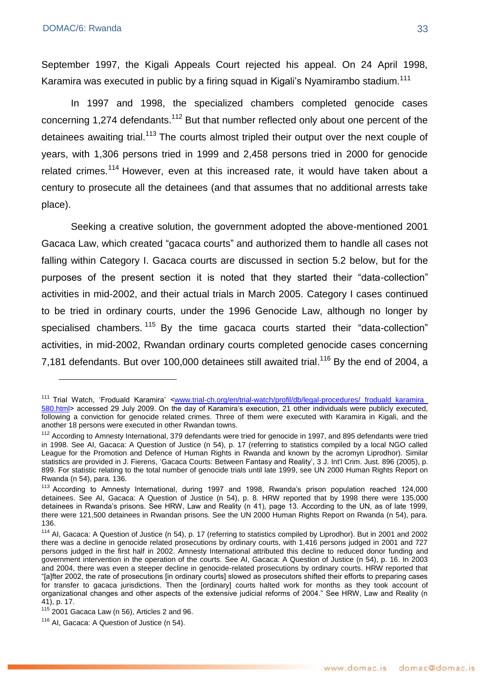<u>.</u>

September 1997, the Kigali Appeals Court rejected his appeal. On 24 April 1998, Karamira was executed in public by a firing squad in Kigali's Nyamirambo stadium.<sup>111</sup>

In 1997 and 1998, the specialized chambers completed genocide cases concerning 1,274 defendants.<sup>112</sup> But that number reflected only about one percent of the detainees awaiting trial.<sup>113</sup> The courts almost tripled their output over the next couple of years, with 1,306 persons tried in 1999 and 2,458 persons tried in 2000 for genocide related crimes.<sup>114</sup> However, even at this increased rate, it would have taken about a century to prosecute all the detainees (and that assumes that no additional arrests take place).

Seeking a creative solution, the government adopted the above-mentioned 2001 Gacaca Law, which created "gacaca courts" and authorized them to handle all cases not falling within Category I. Gacaca courts are discussed in section 5.2 below, but for the purposes of the present section it is noted that they started their "data-collection" activities in mid-2002, and their actual trials in March 2005. Category I cases continued to be tried in ordinary courts, under the 1996 Genocide Law, although no longer by specialised chambers.  $115$  By the time gacaca courts started their "data-collection" activities, in mid-2002, Rwandan ordinary courts completed genocide cases concerning 7,181 defendants. But over 100,000 detainees still awaited trial.<sup>116</sup> By the end of 2004, a

<sup>&</sup>lt;sup>111</sup> Trial Watch, 'Froduald Karamira' <www.trial-ch.org/en/trial-watch/profil/db/legal-procedures/ froduald karamira [580.html>](http://www.trial-ch.org/en/trial-watch/profil/db/legal-procedures/%20froduald_karamira_%20580.html) accessed 29 July 2009. On the day of Karamira's execution, 21 other individuals were publicly executed, following a conviction for genocide related crimes. Three of them were executed with Karamira in Kigali, and the another 18 persons were executed in other Rwandan towns.

<sup>&</sup>lt;sup>112</sup> According to Amnesty International, 379 defendants were tried for genocide in 1997, and 895 defendants were tried in 1998. See AI, Gacaca: A Question of Justice (n 54), p. 17 (referring to statistics compiled by a local NGO called League for the Promotion and Defence of Human Rights in Rwanda and known by the acromyn Liprodhor). Similar statistics are provided in J. Fierens, 'Gacaca Courts: Between Fantasy and Reality', 3 J. Int'l Crim. Just. 896 (2005), p. 899. For statistic relating to the total number of genocide trials until late 1999, see UN 2000 Human Rights Report on Rwanda (n 54), para. 136.

<sup>&</sup>lt;sup>113</sup> According to Amnesty International, during 1997 and 1998, Rwanda's prison population reached 124,000 detainees. See AI, Gacaca: A Question of Justice (n 54), p. 8. HRW reported that by 1998 there were 135,000 detainees in Rwanda's prisons. See HRW, Law and Reality (n 41), page 13. According to the UN, as of late 1999, there were 121,500 detainees in Rwandan prisons. See the UN 2000 Human Rights Report on Rwanda (n 54), para. 136.

<sup>114</sup> AI, Gacaca: A Question of Justice (n 54), p. 17 (referring to statistics compiled by Liprodhor). But in 2001 and 2002 there was a decline in genocide related prosecutions by ordinary courts, with 1,416 persons judged in 2001 and 727 persons judged in the first half in 2002. Amnesty International attributed this decline to reduced donor funding and government intervention in the operation of the courts. See AI, Gacaca: A Question of Justice (n 54), p. 16. In 2003 and 2004, there was even a steeper decline in genocide-related prosecutions by ordinary courts. HRW reported that ―[a]fter 2002, the rate of prosecutions [in ordinary courts] slowed as prosecutors shifted their efforts to preparing cases for transfer to gacaca jurisdictions. Then the [ordinary] courts halted work for months as they took account of organizational changes and other aspects of the extensive judicial reforms of 2004." See HRW, Law and Reality (n 41), p. 17.

 $115$  2001 Gacaca Law (n 56), Articles 2 and 96.

<sup>&</sup>lt;sup>116</sup> AI, Gacaca: A Question of Justice (n 54).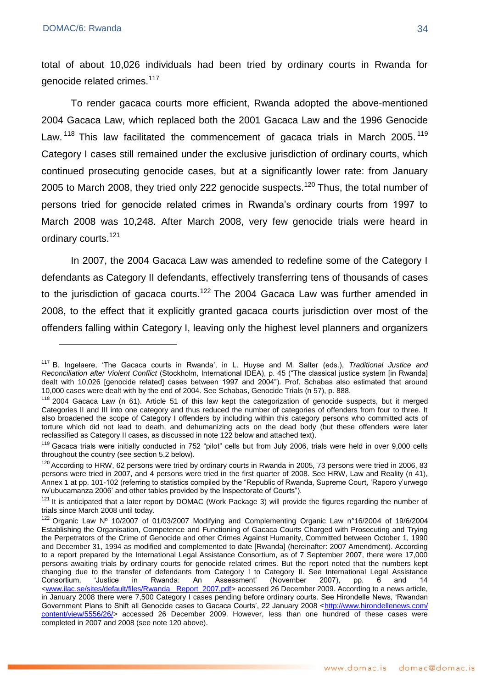total of about 10,026 individuals had been tried by ordinary courts in Rwanda for genocide related crimes.<sup>117</sup>

To render gacaca courts more efficient, Rwanda adopted the above-mentioned 2004 Gacaca Law, which replaced both the 2001 Gacaca Law and the 1996 Genocide Law.<sup>118</sup> This law facilitated the commencement of gacaca trials in March 2005.<sup>119</sup> Category I cases still remained under the exclusive jurisdiction of ordinary courts, which continued prosecuting genocide cases, but at a significantly lower rate: from January 2005 to March 2008, they tried only 222 genocide suspects.<sup>120</sup> Thus, the total number of persons tried for genocide related crimes in Rwanda's ordinary courts from 1997 to March 2008 was 10,248. After March 2008, very few genocide trials were heard in ordinary courts.<sup>121</sup>

In 2007, the 2004 Gacaca Law was amended to redefine some of the Category I defendants as Category II defendants, effectively transferring tens of thousands of cases to the jurisdiction of gacaca courts.<sup>122</sup> The 2004 Gacaca Law was further amended in 2008, to the effect that it explicitly granted gacaca courts jurisdiction over most of the offenders falling within Category I, leaving only the highest level planners and organizers

<sup>117</sup> B. Ingelaere, ‗The Gacaca courts in Rwanda', in L. Huyse and M. Salter (eds.), *Traditional Justice and Reconciliation after Violent Conflict* (Stockholm, International IDEA), p. 45 (―The classical justice system [in Rwanda] dealt with 10,026 [genocide related] cases between 1997 and 2004"). Prof. Schabas also estimated that around 10,000 cases were dealt with by the end of 2004. See Schabas, Genocide Trials (n 57), p. 888.

<sup>&</sup>lt;sup>118</sup> 2004 Gacaca Law (n 61). Article 51 of this law kept the categorization of genocide suspects, but it merged Categories II and III into one category and thus reduced the number of categories of offenders from four to three. It also broadened the scope of Category I offenders by including within this category persons who committed acts of torture which did not lead to death, and dehumanizing acts on the dead body (but these offenders were later reclassified as Category II cases, as discussed in note 122 below and attached text).

 $119$  Gacaca trials were initially conducted in 752 "pilot" cells but from July 2006, trials were held in over 9,000 cells throughout the country (see section 5.2 below).

<sup>&</sup>lt;sup>120</sup> According to HRW, 62 persons were tried by ordinary courts in Rwanda in 2005, 73 persons were tried in 2006, 83 persons were tried in 2007, and 4 persons were tried in the first quarter of 2008. See HRW, Law and Reality (n 41), Annex 1 at pp. 101-102 (referring to statistics compiled by the "Republic of Rwanda, Supreme Court, 'Raporo y'urwego rw'ubucamanza 2006' and other tables provided by the Inspectorate of Courts").

 $121$  It is anticipated that a later report by DOMAC (Work Package 3) will provide the figures regarding the number of trials since March 2008 until today.

<sup>122</sup> Organic Law Nº 10/2007 of 01/03/2007 Modifying and Complementing Organic Law n°16/2004 of 19/6/2004 Establishing the Organisation, Competence and Functioning of Gacaca Courts Charged with Prosecuting and Trying the Perpetrators of the Crime of Genocide and other Crimes Against Humanity, Committed between October 1, 1990 and December 31, 1994 as modified and complemented to date [Rwanda] (hereinafter: 2007 Amendment). According to a report prepared by the International Legal Assistance Consortium, as of 7 September 2007, there were 17,000 persons awaiting trials by ordinary courts for genocide related crimes. But the report noted that the numbers kept changing due to the transfer of defendants from Category I to Category II. See International Legal Assistance<br>Consortium. 'Justice in Rwanda: An Assessment' (November 2007), pp. 6 and 14 Consortium, ‗Justice in Rwanda: An Assessment' (November 2007), pp. 6 and 14 [<www.ilac.se/sites/default/files/Rwanda\\_ Report\\_2007.pdf>](http://www.ilac.se/sites/default/files/Rwanda_%20Report_2007.pdf) accessed 26 December 2009. According to a news article, in January 2008 there were 7,500 Category I cases pending before ordinary courts. See Hirondelle News, 'Rwandan Government Plans to Shift all Genocide cases to Gacaca Courts', 22 January 2008 <http://www.hirondellenews.com/ [content/view/5556/26/>](http://www.hirondellenews.com/%20content/view/5556/26/) accessed 26 December 2009. However, less than one hundred of these cases were completed in 2007 and 2008 (see note 120 above).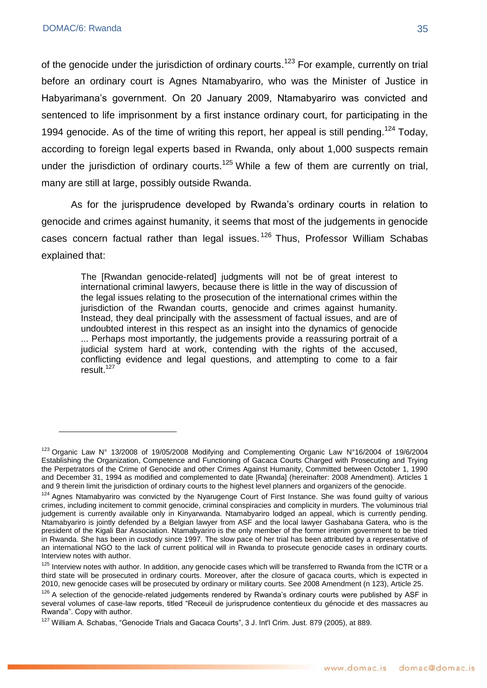of the genocide under the jurisdiction of ordinary courts.<sup>123</sup> For example, currently on trial before an ordinary court is Agnes Ntamabyariro, who was the Minister of Justice in Habyarimana's government. On 20 January 2009, Ntamabyariro was convicted and sentenced to life imprisonment by a first instance ordinary court, for participating in the 1994 genocide. As of the time of writing this report, her appeal is still pending.<sup>124</sup> Today, according to foreign legal experts based in Rwanda, only about 1,000 suspects remain under the jurisdiction of ordinary courts.<sup>125</sup> While a few of them are currently on trial, many are still at large, possibly outside Rwanda.

As for the jurisprudence developed by Rwanda's ordinary courts in relation to genocide and crimes against humanity, it seems that most of the judgements in genocide cases concern factual rather than legal issues.<sup>126</sup> Thus, Professor William Schabas explained that:

> The [Rwandan genocide-related] judgments will not be of great interest to international criminal lawyers, because there is little in the way of discussion of the legal issues relating to the prosecution of the international crimes within the jurisdiction of the Rwandan courts, genocide and crimes against humanity. Instead, they deal principally with the assessment of factual issues, and are of undoubted interest in this respect as an insight into the dynamics of genocide ... Perhaps most importantly, the judgements provide a reassuring portrait of a judicial system hard at work, contending with the rights of the accused, conflicting evidence and legal questions, and attempting to come to a fair result. 127

<sup>123</sup> Organic Law N° 13/2008 of 19/05/2008 Modifying and Complementing Organic Law N°16/2004 of 19/6/2004 Establishing the Organization, Competence and Functioning of Gacaca Courts Charged with Prosecuting and Trying the Perpetrators of the Crime of Genocide and other Crimes Against Humanity, Committed between October 1, 1990 and December 31, 1994 as modified and complemented to date [Rwanda] (hereinafter: 2008 Amendment). Articles 1 and 9 therein limit the jurisdiction of ordinary courts to the highest level planners and organizers of the genocide.

<sup>&</sup>lt;sup>124</sup> Agnes Ntamabyariro was convicted by the Nyarugenge Court of First Instance. She was found guilty of various crimes, including incitement to commit genocide, criminal conspiracies and complicity in murders. The voluminous trial judgement is currently available only in Kinyarwanda. Ntamabyariro lodged an appeal, which is currently pending. Ntamabyariro is jointly defended by a Belgian lawyer from ASF and the local lawyer Gashabana Gatera, who is the president of the Kigali Bar Association. Ntamabyariro is the only member of the former interim government to be tried in Rwanda. She has been in custody since 1997. The slow pace of her trial has been attributed by a representative of an international NGO to the lack of current political will in Rwanda to prosecute genocide cases in ordinary courts. Interview notes with author.

<sup>&</sup>lt;sup>125</sup> Interview notes with author. In addition, any genocide cases which will be transferred to Rwanda from the ICTR or a third state will be prosecuted in ordinary courts. Moreover, after the closure of gacaca courts, which is expected in 2010, new genocide cases will be prosecuted by ordinary or military courts. See 2008 Amendment (n 123), Article 25.

<sup>&</sup>lt;sup>126</sup> A selection of the genocide-related judgements rendered by Rwanda's ordinary courts were published by ASF in several volumes of case-law reports, titled "Receuil de jurisprudence contentieux du génocide et des massacres au Rwanda". Copy with author.

<sup>127</sup> William A. Schabas, "Genocide Trials and Gacaca Courts", 3 J. Int'l Crim. Just. 879 (2005), at 889.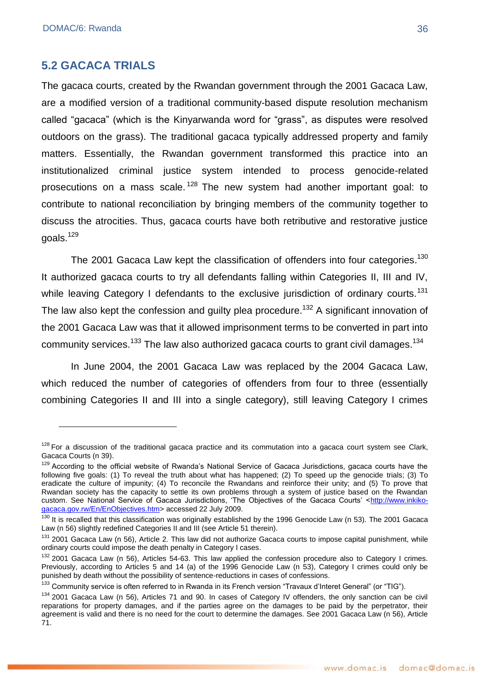### <span id="page-35-0"></span>**5.2 GACACA TRIALS**

The gacaca courts, created by the Rwandan government through the 2001 Gacaca Law, are a modified version of a traditional community-based dispute resolution mechanism called "gacaca" (which is the Kinyarwanda word for "grass", as disputes were resolved outdoors on the grass). The traditional gacaca typically addressed property and family matters. Essentially, the Rwandan government transformed this practice into an institutionalized criminal justice system intended to process genocide-related prosecutions on a mass scale.<sup>128</sup> The new system had another important goal: to contribute to national reconciliation by bringing members of the community together to discuss the atrocities. Thus, gacaca courts have both retributive and restorative justice goals.<sup>129</sup>

The 2001 Gacaca Law kept the classification of offenders into four categories.<sup>130</sup> It authorized gacaca courts to try all defendants falling within Categories II, III and IV, while leaving Category I defendants to the exclusive jurisdiction of ordinary courts.<sup>131</sup> The law also kept the confession and guilty plea procedure.<sup>132</sup> A significant innovation of the 2001 Gacaca Law was that it allowed imprisonment terms to be converted in part into community services.<sup>133</sup> The law also authorized gacaca courts to grant civil damages.<sup>134</sup>

In June 2004, the 2001 Gacaca Law was replaced by the 2004 Gacaca Law, which reduced the number of categories of offenders from four to three (essentially combining Categories II and III into a single category), still leaving Category I crimes

 $128$  For a discussion of the traditional gacaca practice and its commutation into a gacaca court system see Clark, Gacaca Courts (n 39).

<sup>&</sup>lt;sup>129</sup> According to the official website of Rwanda's National Service of Gacaca Jurisdictions, gacaca courts have the following five goals: (1) To reveal the truth about what has happened; (2) To speed up the genocide trials; (3) To eradicate the culture of impunity; (4) To reconcile the Rwandans and reinforce their unity; and (5) To prove that Rwandan society has the capacity to settle its own problems through a system of justice based on the Rwandan custom. See National Service of Gacaca Jurisdictions, 'The Objectives of the Gacaca Courts' [<http://www.inkiko](http://www.inkiko-gacaca.gov.rw/En/EnObjectives)[gacaca.gov.rw/En/EnObjectives.](http://www.inkiko-gacaca.gov.rw/En/EnObjectives)htm> accessed 22 July 2009.

 $130$  It is recalled that this classification was originally established by the 1996 Genocide Law (n 53). The 2001 Gacaca Law (n 56) slightly redefined Categories II and III (see Article 51 therein).

<sup>&</sup>lt;sup>131</sup> 2001 Gacaca Law (n 56), Article 2. This law did not authorize Gacaca courts to impose capital punishment, while ordinary courts could impose the death penalty in Category I cases.

<sup>132 2001</sup> Gacaca Law (n 56), Articles 54-63. This law applied the confession procedure also to Category I crimes. Previously, according to Articles 5 and 14 (a) of the 1996 Genocide Law (n 53), Category I crimes could only be punished by death without the possibility of sentence-reductions in cases of confessions.

<sup>133</sup> Community service is often referred to in Rwanda in its French version "Travaux d'Interet General" (or "TIG").

<sup>134 2001</sup> Gacaca Law (n 56), Articles 71 and 90. In cases of Category IV offenders, the only sanction can be civil reparations for property damages, and if the parties agree on the damages to be paid by the perpetrator, their agreement is valid and there is no need for the court to determine the damages. See 2001 Gacaca Law (n 56), Article 71.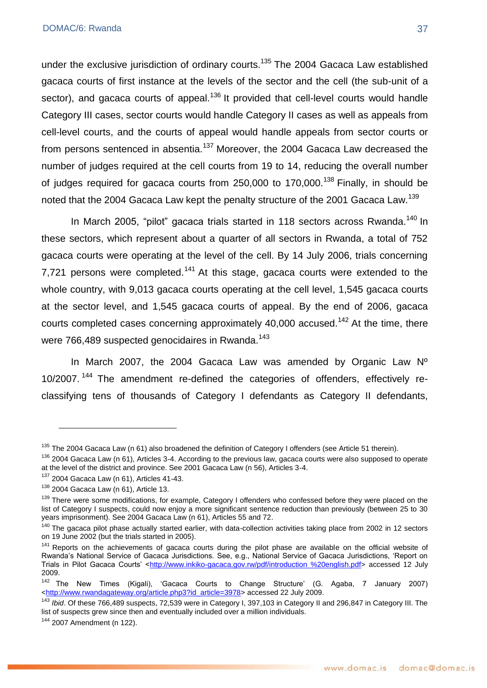under the exclusive jurisdiction of ordinary courts.<sup>135</sup> The 2004 Gacaca Law established gacaca courts of first instance at the levels of the sector and the cell (the sub-unit of a sector), and gacaca courts of appeal.<sup>136</sup> It provided that cell-level courts would handle Category III cases, sector courts would handle Category II cases as well as appeals from cell-level courts, and the courts of appeal would handle appeals from sector courts or from persons sentenced in absentia.<sup>137</sup> Moreover, the 2004 Gacaca Law decreased the number of judges required at the cell courts from 19 to 14, reducing the overall number of judges required for gacaca courts from 250,000 to 170,000.<sup>138</sup> Finally, in should be noted that the 2004 Gacaca Law kept the penalty structure of the 2001 Gacaca Law.<sup>139</sup>

In March 2005, "pilot" gacaca trials started in 118 sectors across Rwanda.<sup>140</sup> In these sectors, which represent about a quarter of all sectors in Rwanda, a total of 752 gacaca courts were operating at the level of the cell. By 14 July 2006, trials concerning 7,721 persons were completed.<sup>141</sup> At this stage, gacaca courts were extended to the whole country, with 9,013 gacaca courts operating at the cell level, 1,545 gacaca courts at the sector level, and 1,545 gacaca courts of appeal. By the end of 2006, gacaca courts completed cases concerning approximately  $40,000$  accused.<sup>142</sup> At the time, there were 766,489 suspected genocidaires in Rwanda.<sup>143</sup>

In March 2007, the 2004 Gacaca Law was amended by Organic Law Nº 10/2007.<sup>144</sup> The amendment re-defined the categories of offenders, effectively reclassifying tens of thousands of Category I defendants as Category II defendants,

<sup>&</sup>lt;sup>135</sup> The 2004 Gacaca Law (n 61) also broadened the definition of Category I offenders (see Article 51 therein).

 $136$  2004 Gacaca Law (n 61), Articles 3-4. According to the previous law, gacaca courts were also supposed to operate at the level of the district and province. See 2001 Gacaca Law (n 56), Articles 3-4.

 $137$  2004 Gacaca Law (n 61), Articles 41-43.

 $138$  2004 Gacaca Law (n 61), Article 13.

<sup>&</sup>lt;sup>139</sup> There were some modifications, for example, Category I offenders who confessed before they were placed on the list of Category I suspects, could now enjoy a more significant sentence reduction than previously (between 25 to 30 years imprisonment). See 2004 Gacaca Law (n 61), Articles 55 and 72.

<sup>&</sup>lt;sup>140</sup> The gacaca pilot phase actually started earlier, with data-collection activities taking place from 2002 in 12 sectors on 19 June 2002 (but the trials started in 2005).

<sup>&</sup>lt;sup>141</sup> Reports on the achievements of gacaca courts during the pilot phase are available on the official website of Rwanda's National Service of Gacaca Jurisdictions. See, e.g., National Service of Gacaca Jurisdictions, 'Report on Trials in Pilot Gacaca Courts' [<http://www.inkiko-gacaca.gov.rw/pdf/introduction %20english.pdf>](http://www.inkiko-gacaca.gov.rw/pdf/introduction%20%20english.pdf) accessed 12 July 2009.

 $142$  The New Times (Kigali), 'Gacaca Courts to Change Structure' (G. Agaba, 7 January 2007) [<http://www.rwandagateway.org/article.php3?id\\_article=3978>](http://www.rwandagateway.org/article.php3?id_article=3978) accessed 22 July 2009.

<sup>143</sup> *Ibid*. Of these 766,489 suspects, 72,539 were in Category I, 397,103 in Category II and 296,847 in Category III. The list of suspects grew since then and eventually included over a million individuals.

<sup>144</sup> 2007 Amendment (n 122).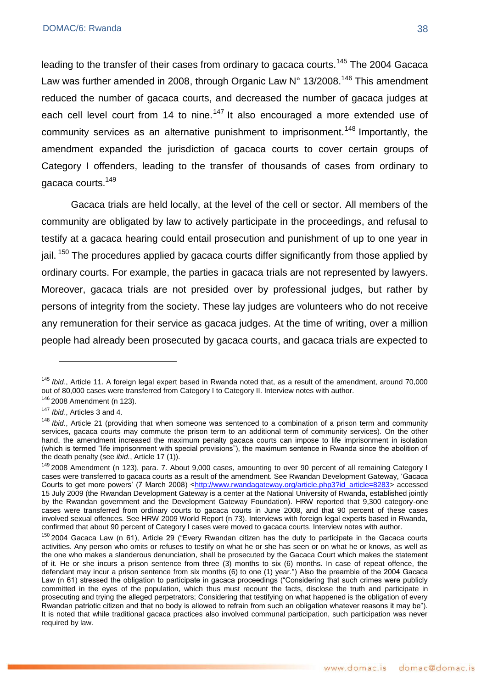leading to the transfer of their cases from ordinary to gacaca courts.<sup>145</sup> The 2004 Gacaca Law was further amended in 2008, through Organic Law  $N^{\circ}$  13/2008.<sup>146</sup> This amendment reduced the number of gacaca courts, and decreased the number of gacaca judges at each cell level court from 14 to nine.<sup>147</sup> It also encouraged a more extended use of community services as an alternative punishment to imprisonment.<sup>148</sup> Importantly, the amendment expanded the jurisdiction of gacaca courts to cover certain groups of Category I offenders, leading to the transfer of thousands of cases from ordinary to gacaca courts.<sup>149</sup>

Gacaca trials are held locally, at the level of the cell or sector. All members of the community are obligated by law to actively participate in the proceedings, and refusal to testify at a gacaca hearing could entail prosecution and punishment of up to one year in jail. <sup>150</sup> The procedures applied by gacaca courts differ significantly from those applied by ordinary courts. For example, the parties in gacaca trials are not represented by lawyers. Moreover, gacaca trials are not presided over by professional judges, but rather by persons of integrity from the society. These lay judges are volunteers who do not receive any remuneration for their service as gacaca judges. At the time of writing, over a million people had already been prosecuted by gacaca courts, and gacaca trials are expected to

<sup>145</sup> *Ibid*., Article 11. A foreign legal expert based in Rwanda noted that, as a result of the amendment, around 70,000 out of 80,000 cases were transferred from Category I to Category II. Interview notes with author.

<sup>146</sup> 2008 Amendment (n 123).

<sup>147</sup> *Ibid*., Articles 3 and 4.

<sup>&</sup>lt;sup>148</sup> *Ibid.*, Article 21 (providing that when someone was sentenced to a combination of a prison term and community services, gacaca courts may commute the prison term to an additional term of community services). On the other hand, the amendment increased the maximum penalty gacaca courts can impose to life imprisonment in isolation (which is termed "life imprisonment with special provisions"), the maximum sentence in Rwanda since the abolition of the death penalty (see *ibid.*, Article 17 (1)).

<sup>&</sup>lt;sup>149</sup> 2008 Amendment (n 123), para. 7. About 9,000 cases, amounting to over 90 percent of all remaining Category I cases were transferred to gacaca courts as a result of the amendment. See Rwandan Development Gateway, ‗Gacaca Courts to get more powers' (7 March 2008) [<http://www.rwandagateway.org/article.php3?id\\_article=8283>](http://www.rwandagateway.org/article.php3?id_article=8283) accessed 15 July 2009 (the Rwandan Development Gateway is a center at the National University of Rwanda, established jointly by the Rwandan government and the Development Gateway Foundation). HRW reported that 9,300 category-one cases were transferred from ordinary courts to gacaca courts in June 2008, and that 90 percent of these cases involved sexual offences. See HRW 2009 World Report (n 73). Interviews with foreign legal experts based in Rwanda, confirmed that about 90 percent of Category I cases were moved to gacaca courts. Interview notes with author.

 $150$  2004 Gacaca Law (n 61), Article 29 ("Every Rwandan citizen has the duty to participate in the Gacaca courts activities. Any person who omits or refuses to testify on what he or she has seen or on what he or knows, as well as the one who makes a slanderous denunciation, shall be prosecuted by the Gacaca Court which makes the statement of it. He or she incurs a prison sentence from three (3) months to six (6) months. In case of repeat offence, the defendant may incur a prison sentence from six months (6) to one (1) year.<sup>"</sup>) Also the preamble of the 2004 Gacaca Law (n 61) stressed the obligation to participate in gacaca proceedings ("Considering that such crimes were publicly committed in the eyes of the population, which thus must recount the facts, disclose the truth and participate in prosecuting and trying the alleged perpetrators; Considering that testifying on what happened is the obligation of every Rwandan patriotic citizen and that no body is allowed to refrain from such an obligation whatever reasons it may be"). It is noted that while traditional gacaca practices also involved communal participation, such participation was never required by law.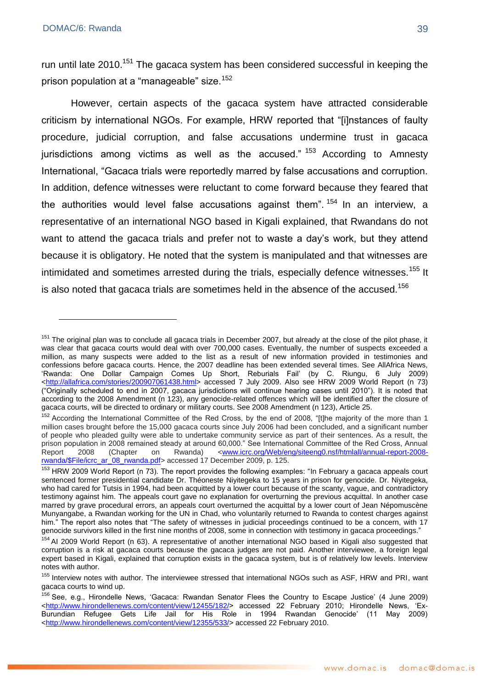run until late 2010.<sup>151</sup> The gacaca system has been considered successful in keeping the prison population at a "manageable" size.<sup>152</sup>

However, certain aspects of the gacaca system have attracted considerable criticism by international NGOs. For example, HRW reported that "[i]nstances of faulty procedure, judicial corruption, and false accusations undermine trust in gacaca jurisdictions among victims as well as the accused."  $153$  According to Amnesty International, "Gacaca trials were reportedly marred by false accusations and corruption. In addition, defence witnesses were reluctant to come forward because they feared that the authorities would level false accusations against them".  $154$  In an interview, a representative of an international NGO based in Kigali explained, that Rwandans do not want to attend the gacaca trials and prefer not to waste a day's work, but they attend because it is obligatory. He noted that the system is manipulated and that witnesses are intimidated and sometimes arrested during the trials, especially defence witnesses.<sup>155</sup> It is also noted that gacaca trials are sometimes held in the absence of the accused.<sup>156</sup>

<sup>&</sup>lt;sup>151</sup> The original plan was to conclude all gacaca trials in December 2007, but already at the close of the pilot phase, it was clear that gacaca courts would deal with over 700,000 cases. Eventually, the number of suspects exceeded a million, as many suspects were added to the list as a result of new information provided in testimonies and confessions before gacaca courts. Hence, the 2007 deadline has been extended several times. See AllAfrica News, ‗Rwanda: One Dollar Campaign Comes Up Short, Reburials Fail' (by C. Riungu, 6 July 2009) [<http://allafrica.com/stories/200907061438.html>](http://allafrica.com/stories/200907061438.html) accessed 7 July 2009. Also see HRW 2009 World Report (n 73) (―Originally scheduled to end in 2007, gacaca jurisdictions will continue hearing cases until 2010‖). It is noted that according to the 2008 Amendment (n 123), any genocide-related offences which will be identified after the closure of gacaca courts, will be directed to ordinary or military courts. See 2008 Amendment (n 123), Article 25.

<sup>&</sup>lt;sup>152</sup> According the International Committee of the Red Cross, by the end of 2008, "[t]he majority of the more than 1 million cases brought before the 15,000 gacaca courts since July 2006 had been concluded, and a significant number of people who pleaded guilty were able to undertake community service as part of their sentences. As a result, the prison population in 2008 remained steady at around 60,000." See International Committee of the Red Cross, Annual<br>Report 2008 (Chapter on Rwanda) <www.icrc.org/Web/eng/siteeng0.nsf/htmlall/annual-report-2008-Report 2008 (Chapter on Rwanda) [<www.icrc.org/Web/eng/siteeng0.nsf/htmlall/annual-report-2008](http://www.icrc.org/Web/eng/siteeng0.nsf/htmlall/annual-report-2008-rwanda/$File/icrc_ar_08_rwanda.pdf) [rwanda/\\$File/icrc\\_ar\\_08\\_rwanda.pdf>](http://www.icrc.org/Web/eng/siteeng0.nsf/htmlall/annual-report-2008-rwanda/$File/icrc_ar_08_rwanda.pdf) accessed 17 December 2009, p. 125.

 $153$  HRW 2009 World Report (n 73). The report provides the following examples: "In February a gacaca appeals court sentenced former presidential candidate Dr. Théoneste Niyitegeka to 15 years in prison for genocide. Dr. Niyitegeka, who had cared for Tutsis in 1994, had been acquitted by a lower court because of the scanty, vague, and contradictory testimony against him. The appeals court gave no explanation for overturning the previous acquittal. In another case marred by grave procedural errors, an appeals court overturned the acquittal by a lower court of Jean Népomuscène Munyangabe, a Rwandan working for the UN in Chad, who voluntarily returned to Rwanda to contest charges against him." The report also notes that "The safety of witnesses in judicial proceedings continued to be a concern, with 17 genocide survivors killed in the first nine months of 2008, some in connection with testimony in gacaca proceedings."

<sup>&</sup>lt;sup>154</sup> AI 2009 World Report (n 63). A representative of another international NGO based in Kigali also suggested that corruption is a risk at gacaca courts because the gacaca judges are not paid. Another interviewee, a foreign legal expert based in Kigali, explained that corruption exists in the gacaca system, but is of relatively low levels. Interview notes with author.

<sup>&</sup>lt;sup>155</sup> Interview notes with author. The interviewee stressed that international NGOs such as ASF, HRW and PRI, want gacaca courts to wind up.

<sup>&</sup>lt;sup>156</sup> See, e.g., Hirondelle News, 'Gacaca: Rwandan Senator Flees the Country to Escape Justice' (4 June 2009) [<http://www.hirondellenews.com/content/view/12455/182/>](http://www.hirondellenews.com/content/view/12455/182/) accessed 22 February 2010; Hirondelle News, 'Ex-Burundian Refugee Gets Life Jail for His Role in 1994 Rwandan Genocide' (11 May 2009) [<http://www.hirondellenews.com/content/view/12355/533/>](http://www.hirondellenews.com/content/view/12355/533/) accessed 22 February 2010.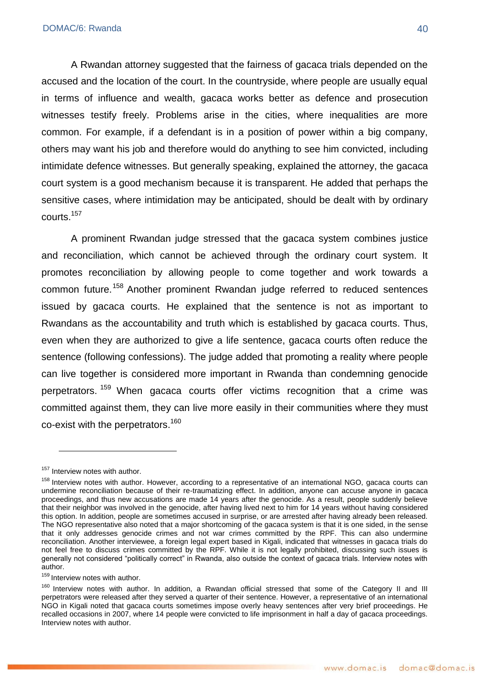A Rwandan attorney suggested that the fairness of gacaca trials depended on the accused and the location of the court. In the countryside, where people are usually equal in terms of influence and wealth, gacaca works better as defence and prosecution witnesses testify freely. Problems arise in the cities, where inequalities are more common. For example, if a defendant is in a position of power within a big company, others may want his job and therefore would do anything to see him convicted, including intimidate defence witnesses. But generally speaking, explained the attorney, the gacaca court system is a good mechanism because it is transparent. He added that perhaps the sensitive cases, where intimidation may be anticipated, should be dealt with by ordinary courts.<sup>157</sup>

A prominent Rwandan judge stressed that the gacaca system combines justice and reconciliation, which cannot be achieved through the ordinary court system. It promotes reconciliation by allowing people to come together and work towards a common future.<sup>158</sup> Another prominent Rwandan judge referred to reduced sentences issued by gacaca courts. He explained that the sentence is not as important to Rwandans as the accountability and truth which is established by gacaca courts. Thus, even when they are authorized to give a life sentence, gacaca courts often reduce the sentence (following confessions). The judge added that promoting a reality where people can live together is considered more important in Rwanda than condemning genocide perpetrators.<sup>159</sup> When gacaca courts offer victims recognition that a crime was committed against them, they can live more easily in their communities where they must co-exist with the perpetrators.<sup>160</sup>

1

159 Interview notes with author.

<sup>&</sup>lt;sup>157</sup> Interview notes with author.

<sup>&</sup>lt;sup>158</sup> Interview notes with author. However, according to a representative of an international NGO, gacaca courts can undermine reconciliation because of their re-traumatizing effect. In addition, anyone can accuse anyone in gacaca proceedings, and thus new accusations are made 14 years after the genocide. As a result, people suddenly believe that their neighbor was involved in the genocide, after having lived next to him for 14 years without having considered this option. In addition, people are sometimes accused in surprise, or are arrested after having already been released. The NGO representative also noted that a major shortcoming of the gacaca system is that it is one sided, in the sense that it only addresses genocide crimes and not war crimes committed by the RPF. This can also undermine reconciliation. Another interviewee, a foreign legal expert based in Kigali, indicated that witnesses in gacaca trials do not feel free to discuss crimes committed by the RPF. While it is not legally prohibited, discussing such issues is generally not considered "politically correct" in Rwanda, also outside the context of gacaca trials. Interview notes with author.

<sup>&</sup>lt;sup>160</sup> Interview notes with author. In addition, a Rwandan official stressed that some of the Category II and III perpetrators were released after they served a quarter of their sentence. However, a representative of an international NGO in Kigali noted that gacaca courts sometimes impose overly heavy sentences after very brief proceedings. He recalled occasions in 2007, where 14 people were convicted to life imprisonment in half a day of gacaca proceedings. Interview notes with author.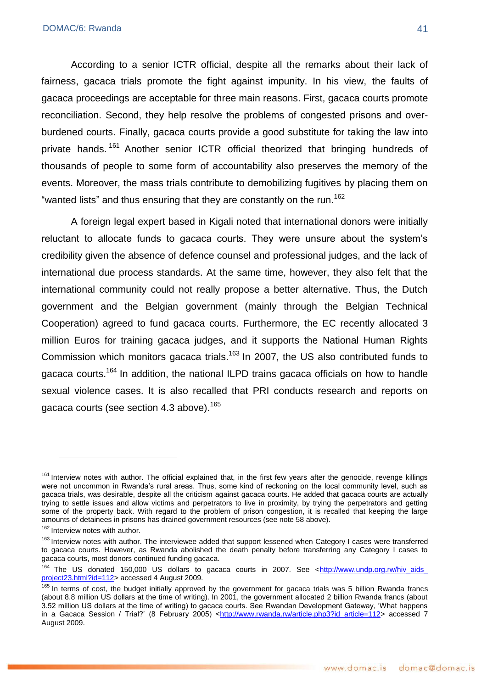According to a senior ICTR official, despite all the remarks about their lack of fairness, gacaca trials promote the fight against impunity. In his view, the faults of gacaca proceedings are acceptable for three main reasons. First, gacaca courts promote reconciliation. Second, they help resolve the problems of congested prisons and overburdened courts. Finally, gacaca courts provide a good substitute for taking the law into private hands.<sup>161</sup> Another senior ICTR official theorized that bringing hundreds of thousands of people to some form of accountability also preserves the memory of the events. Moreover, the mass trials contribute to demobilizing fugitives by placing them on "wanted lists" and thus ensuring that they are constantly on the run.<sup>162</sup>

A foreign legal expert based in Kigali noted that international donors were initially reluctant to allocate funds to gacaca courts. They were unsure about the system's credibility given the absence of defence counsel and professional judges, and the lack of international due process standards. At the same time, however, they also felt that the international community could not really propose a better alternative. Thus, the Dutch government and the Belgian government (mainly through the Belgian Technical Cooperation) agreed to fund gacaca courts. Furthermore, the EC recently allocated 3 million Euros for training gacaca judges, and it supports the National Human Rights Commission which monitors gacaca trials.<sup>163</sup> In 2007, the US also contributed funds to gacaca courts.<sup>164</sup> In addition, the national ILPD trains gacaca officials on how to handle sexual violence cases. It is also recalled that PRI conducts research and reports on gacaca courts (see section 4.3 above).<sup>165</sup>

<sup>&</sup>lt;sup>161</sup> Interview notes with author. The official explained that, in the first few years after the genocide, revenge killings were not uncommon in Rwanda's rural areas. Thus, some kind of reckoning on the local community level, such as gacaca trials, was desirable, despite all the criticism against gacaca courts. He added that gacaca courts are actually trying to settle issues and allow victims and perpetrators to live in proximity, by trying the perpetrators and getting some of the property back. With regard to the problem of prison congestion, it is recalled that keeping the large amounts of detainees in prisons has drained government resources (see note 58 above).

<sup>&</sup>lt;sup>162</sup> Interview notes with author.

<sup>&</sup>lt;sup>163</sup> Interview notes with author. The interviewee added that support lessened when Category I cases were transferred to gacaca courts. However, as Rwanda abolished the death penalty before transferring any Category I cases to gacaca courts, most donors continued funding gacaca.

<sup>&</sup>lt;sup>164</sup> The US donated 150,000 US dollars to gacaca courts in 2007. See <http://www.undp.org.rw/hiv\_aids\_ [project23.html?id=112>](http://www.undp.org.rw/hiv_aids_%20project23.html?id=112) accessed 4 August 2009.

<sup>&</sup>lt;sup>165</sup> In terms of cost, the budget initially approved by the government for gacaca trials was 5 billion Rwanda francs (about 8.8 million US dollars at the time of writing). In 2001, the government allocated 2 billion Rwanda francs (about 3.52 million US dollars at the time of writing) to gacaca courts. See Rwandan Development Gateway, 'What happens in a Gacaca Session / Trial?' (8 February 2005) [<http://www.rwanda.rw/article.php3?id\\_article=112>](http://www.rwanda.rw/article.php3?id_article=112) accessed 7 August 2009.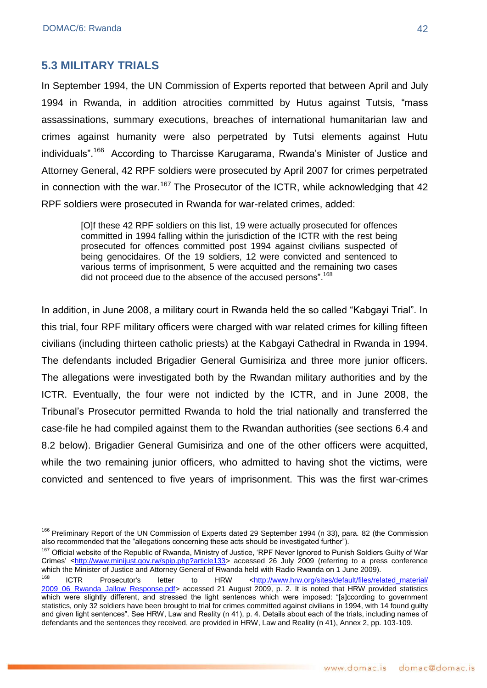<u>.</u>

# **5.3 MILITARY TRIALS**

In September 1994, the UN Commission of Experts reported that between April and July 1994 in Rwanda, in addition atrocities committed by Hutus against Tutsis, "mass assassinations, summary executions, breaches of international humanitarian law and crimes against humanity were also perpetrated by Tutsi elements against Hutu individuals".<sup>166</sup> According to Tharcisse Karugarama, Rwanda's Minister of Justice and Attorney General, 42 RPF soldiers were prosecuted by April 2007 for crimes perpetrated in connection with the war.<sup>167</sup> The Prosecutor of the ICTR, while acknowledging that  $42$ RPF soldiers were prosecuted in Rwanda for war-related crimes, added:

[O]f these 42 RPF soldiers on this list, 19 were actually prosecuted for offences committed in 1994 falling within the jurisdiction of the ICTR with the rest being prosecuted for offences committed post 1994 against civilians suspected of being genocidaires. Of the 19 soldiers, 12 were convicted and sentenced to various terms of imprisonment, 5 were acquitted and the remaining two cases did not proceed due to the absence of the accused persons".<sup>168</sup>

In addition, in June 2008, a military court in Rwanda held the so called "Kabgayi Trial". In this trial, four RPF military officers were charged with war related crimes for killing fifteen civilians (including thirteen catholic priests) at the Kabgayi Cathedral in Rwanda in 1994. The defendants included Brigadier General Gumisiriza and three more junior officers. The allegations were investigated both by the Rwandan military authorities and by the ICTR. Eventually, the four were not indicted by the ICTR, and in June 2008, the Tribunal's Prosecutor permitted Rwanda to hold the trial nationally and transferred the case-file he had compiled against them to the Rwandan authorities (see sections 6.4 and 8.2 below). Brigadier General Gumisiriza and one of the other officers were acquitted, while the two remaining junior officers, who admitted to having shot the victims, were convicted and sentenced to five years of imprisonment. This was the first war-crimes

<sup>&</sup>lt;sup>166</sup> Preliminary Report of the UN Commission of Experts dated 29 September 1994 (n 33), para. 82 (the Commission also recommended that the "allegations concerning these acts should be investigated further").

<sup>&</sup>lt;sup>167</sup> Official website of the Republic of Rwanda, Ministry of Justice, 'RPF Never Ignored to Punish Soldiers Guilty of War Crimes' [<http://www.minijust.gov.rw/spip.php?article133>](http://www.minijust.gov.rw/spip.php?article133) accessed 26 July 2009 (referring to a press conference which the Minister of Justice and Attorney General of Rwanda held with Radio Rwanda on 1 June 2009).

<sup>&</sup>lt;sup>168</sup> ICTR Prosecutor's letter to HRW <http://www.hrw.org/sites/default/files/related\_material/ [2009\\_06\\_Rwanda\\_Jallow\\_Response.pdf>](http://www.hrw.org/sites/default/files/related_material/%202009_06_Rwanda_Jallow_Response.pdf) accessed 21 August 2009, p. 2. It is noted that HRW provided statistics which were slightly different, and stressed the light sentences which were imposed: "[a]ccording to government statistics, only 32 soldiers have been brought to trial for crimes committed against civilians in 1994, with 14 found guilty and given light sentences". See HRW, Law and Reality (n 41), p. 4. Details about each of the trials, including names of defendants and the sentences they received, are provided in HRW, Law and Reality (n 41), Annex 2, pp. 103-109.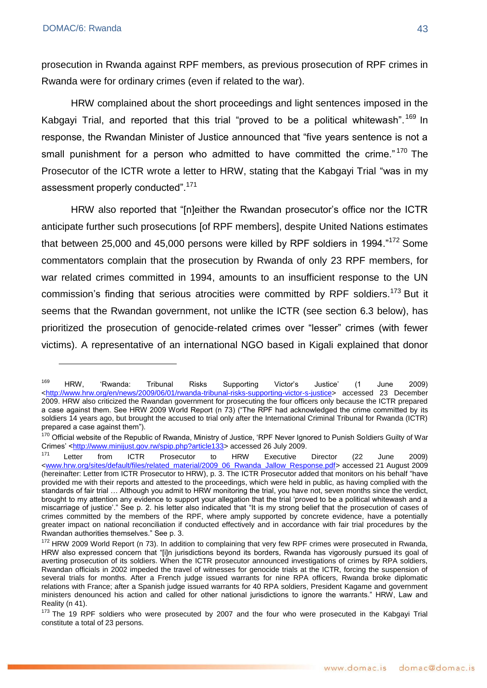prosecution in Rwanda against RPF members, as previous prosecution of RPF crimes in Rwanda were for ordinary crimes (even if related to the war).

HRW complained about the short proceedings and light sentences imposed in the Kabgayi Trial, and reported that this trial "proved to be a political whitewash".<sup>169</sup> In response, the Rwandan Minister of Justice announced that "five years sentence is not a small punishment for a person who admitted to have committed the crime." $170$  The Prosecutor of the ICTR wrote a letter to HRW, stating that the Kabgayi Trial "was in my assessment properly conducted".<sup>171</sup>

HRW also reported that "[n]either the Rwandan prosecutor's office nor the ICTR anticipate further such prosecutions [of RPF members], despite United Nations estimates that between 25,000 and 45,000 persons were killed by RPF soldiers in 1994. $172$  Some commentators complain that the prosecution by Rwanda of only 23 RPF members, for war related crimes committed in 1994, amounts to an insufficient response to the UN commission's finding that serious atrocities were committed by RPF soldiers.<sup>173</sup> But it seems that the Rwandan government, not unlike the ICTR (see section 6.3 below), has prioritized the prosecution of genocide-related crimes over "lesser" crimes (with fewer victims). A representative of an international NGO based in Kigali explained that donor

<sup>&</sup>lt;sup>169</sup> HRW, 'Rwanda: Tribunal Risks Supporting Victor's Justice' (1 June 2009) [<http://www.hrw.org/en/news/2009/06/01/rwanda-tribunal-risks-supporting-victor-s-justice>](http://www.hrw.org/en/news/2009/06/01/rwanda-tribunal-risks-supporting-victor-s-justice) accessed 23 December 2009. HRW also criticized the Rwandan government for prosecuting the four officers only because the ICTR prepared a case against them. See HRW 2009 World Report (n 73) ("The RPF had acknowledged the crime committed by its soldiers 14 years ago, but brought the accused to trial only after the International Criminal Tribunal for Rwanda (ICTR) prepared a case against them").

<sup>&</sup>lt;sup>170</sup> Official website of the Republic of Rwanda, Ministry of Justice, 'RPF Never Ignored to Punish Soldiers Guilty of War Crimes' [<http://www.minijust.gov.rw/spip.php?article133>](http://www.minijust.gov.rw/spip.php?article133) accessed 26 July 2009.

<sup>&</sup>lt;sup>171</sup> Letter from ICTR Prosecutor to HRW Executive Director (22 June 2009) [<www.hrw.org/sites/default/files/related\\_material/2009\\_06\\_Rwanda\\_Jallow\\_Response.pdf>](http://www.hrw.org/sites/default/files/related_material/2009_06_Rwanda_Jallow_Response.pdf) accessed 21 August 2009 (hereinafter: Letter from ICTR Prosecutor to HRW), p. 3. The ICTR Prosecutor added that monitors on his behalf "have provided me with their reports and attested to the proceedings, which were held in public, as having complied with the standards of fair trial … Although you admit to HRW monitoring the trial, you have not, seven months since the verdict, brought to my attention any evidence to support your allegation that the trial 'proved to be a political whitewash and a miscarriage of justice'." See p. 2. his letter also indicated that "It is my strong belief that the prosecution of cases of crimes committed by the members of the RPF, where amply supported by concrete evidence, have a potentially greater impact on national reconciliation if conducted effectively and in accordance with fair trial procedures by the Rwandan authorities themselves." See p. 3.

<sup>&</sup>lt;sup>172</sup> HRW 2009 World Report (n 73). In addition to complaining that very few RPF crimes were prosecuted in Rwanda, HRW also expressed concern that "[i]n jurisdictions beyond its borders, Rwanda has vigorously pursued its goal of averting prosecution of its soldiers. When the ICTR prosecutor announced investigations of crimes by RPA soldiers, Rwandan officials in 2002 impeded the travel of witnesses for genocide trials at the ICTR, forcing the suspension of several trials for months. After a French judge issued warrants for nine RPA officers, Rwanda broke diplomatic relations with France; after a Spanish judge issued warrants for 40 RPA soldiers, President Kagame and government ministers denounced his action and called for other national jurisdictions to ignore the warrants." HRW, Law and Reality (n 41).

<sup>&</sup>lt;sup>173</sup> The 19 RPF soldiers who were prosecuted by 2007 and the four who were prosecuted in the Kabgayi Trial constitute a total of 23 persons.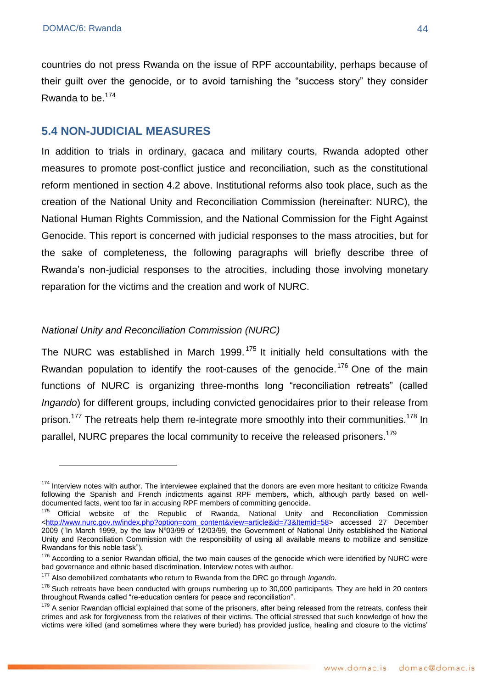countries do not press Rwanda on the issue of RPF accountability, perhaps because of their guilt over the genocide, or to avoid tarnishing the "success story" they consider Rwanda to be.<sup>174</sup>

## **5.4 NON-JUDICIAL MEASURES**

In addition to trials in ordinary, gacaca and military courts, Rwanda adopted other measures to promote post-conflict justice and reconciliation, such as the constitutional reform mentioned in section 4.2 above. Institutional reforms also took place, such as the creation of the National Unity and Reconciliation Commission (hereinafter: NURC), the National Human Rights Commission, and the National Commission for the Fight Against Genocide. This report is concerned with judicial responses to the mass atrocities, but for the sake of completeness, the following paragraphs will briefly describe three of Rwanda's non-judicial responses to the atrocities, including those involving monetary reparation for the victims and the creation and work of NURC.

#### *National Unity and Reconciliation Commission (NURC)*

The NURC was established in March 1999.<sup>175</sup> It initially held consultations with the Rwandan population to identify the root-causes of the genocide.<sup>176</sup> One of the main functions of NURC is organizing three-months long "reconciliation retreats" (called *Ingando*) for different groups, including convicted genocidaires prior to their release from prison.<sup>177</sup> The retreats help them re-integrate more smoothly into their communities.<sup>178</sup> In parallel. NURC prepares the local community to receive the released prisoners.<sup>179</sup>

<sup>&</sup>lt;sup>174</sup> Interview notes with author. The interviewee explained that the donors are even more hesitant to criticize Rwanda following the Spanish and French indictments against RPF members, which, although partly based on welldocumented facts, went too far in accusing RPF members of committing genocide.

 $175$  Official website of the Republic of Rwanda, National Unity and Reconciliation Commission [<http://www.nurc.gov.rw/index.php?option=com\\_content&view=article&id=73&Itemid=58>](http://www.nurc.gov.rw/index.php?option=com_content&view=article&id=73&Itemid=58) accessed 27 December 2009 ("In March 1999, by the law Nº03/99 of 12/03/99, the Government of National Unity established the National Unity and Reconciliation Commission with the responsibility of using all available means to mobilize and sensitize Rwandans for this noble task").

<sup>&</sup>lt;sup>176</sup> According to a senior Rwandan official, the two main causes of the genocide which were identified by NURC were bad governance and ethnic based discrimination. Interview notes with author.

<sup>177</sup> Also demobilized combatants who return to Rwanda from the DRC go through *Ingando*.

 $178$  Such retreats have been conducted with groups numbering up to 30,000 participants. They are held in 20 centers throughout Rwanda called "re-education centers for peace and reconciliation".

 $179$  A senior Rwandan official explained that some of the prisoners, after being released from the retreats, confess their crimes and ask for forgiveness from the relatives of their victims. The official stressed that such knowledge of how the victims were killed (and sometimes where they were buried) has provided justice, healing and closure to the victims'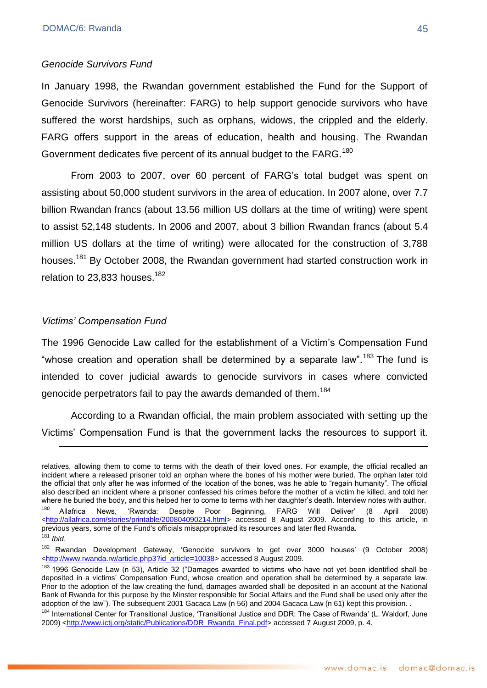#### *Genocide Survivors Fund*

In January 1998, the Rwandan government established the Fund for the Support of Genocide Survivors (hereinafter: FARG) to help support genocide survivors who have suffered the worst hardships, such as orphans, widows, the crippled and the elderly. FARG offers support in the areas of education, health and housing. The Rwandan Government dedicates five percent of its annual budget to the FARG.<sup>180</sup>

From 2003 to 2007, over 60 percent of FARG's total budget was spent on assisting about 50,000 student survivors in the area of education. In 2007 alone, over 7.7 billion Rwandan francs (about 13.56 million US dollars at the time of writing) were spent to assist 52,148 students. In 2006 and 2007, about 3 billion Rwandan francs (about 5.4 million US dollars at the time of writing) were allocated for the construction of 3,788 houses.<sup>181</sup> By October 2008, the Rwandan government had started construction work in relation to 23,833 houses.<sup>182</sup>

#### *Victims' Compensation Fund*

1

The 1996 Genocide Law called for the establishment of a Victim's Compensation Fund "whose creation and operation shall be determined by a separate law".<sup>183</sup> The fund is intended to cover judicial awards to genocide survivors in cases where convicted genocide perpetrators fail to pay the awards demanded of them.<sup>184</sup>

According to a Rwandan official, the main problem associated with setting up the Victims' Compensation Fund is that the government lacks the resources to support it.

relatives, allowing them to come to terms with the death of their loved ones. For example, the official recalled an incident where a released prisoner told an orphan where the bones of his mother were buried. The orphan later told the official that only after he was informed of the location of the bones, was he able to "regain humanity". The official also described an incident where a prisoner confessed his crimes before the mother of a victim he killed, and told her where he buried the body, and this helped her to come to terms with her daughter's death. Interview notes with author. <sup>180</sup> Allafrica News, 'Rwanda: Despite Poor Beginning, FARG Will Deliver' (8 April [<http://allafrica.com/stories/printable/200804090214.html>](http://allafrica.com/stories/printable/200804090214.html) accessed 8 August 2009. According to this article, in previous years, some of the Fund's officials misappropriated its resources and later fled Rwanda. <sup>181</sup> *Ibid*.

<sup>&</sup>lt;sup>182</sup> Rwandan Development Gateway, 'Genocide survivors to get over 3000 houses' (9 October 2008) [<http://www.rwanda.rw/article.php3?id\\_article=10038>](http://www.rwanda.rw/article.php3?id_article=10038) accessed 8 August 2009.

 $183$  1996 Genocide Law (n 53), Article 32 ("Damages awarded to victims who have not yet been identified shall be deposited in a victims' Compensation Fund, whose creation and operation shall be determined by a separate law. Prior to the adoption of the law creating the fund, damages awarded shall be deposited in an account at the National Bank of Rwanda for this purpose by the Minster responsible for Social Affairs and the Fund shall be used only after the adoption of the law"). The subsequent 2001 Gacaca Law (n 56) and 2004 Gacaca Law (n 61) kept this provision. .

<sup>184</sup> International Center for Transitional Justice, 'Transitional Justice and DDR: The Case of Rwanda' (L. Waldorf, June 2009) [<http://www.ictj.org/static/Publications/DDR\\_Rwanda\\_Final.pdf>](http://www.ictj.org/static/Publications/DDR_Rwanda_Final.pdf) accessed 7 August 2009, p. 4.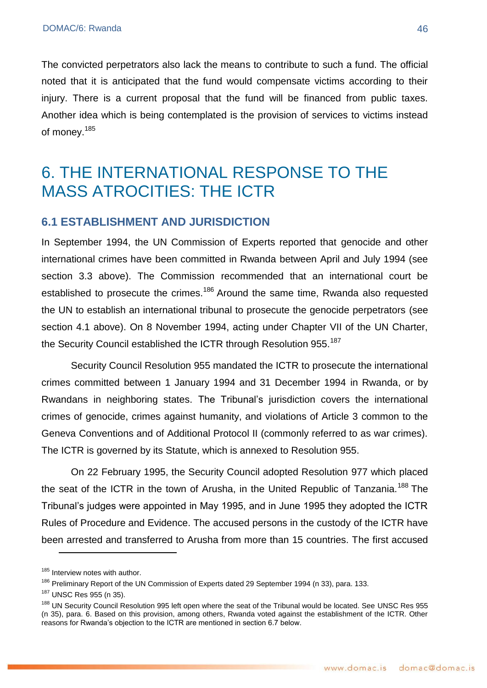The convicted perpetrators also lack the means to contribute to such a fund. The official noted that it is anticipated that the fund would compensate victims according to their injury. There is a current proposal that the fund will be financed from public taxes. Another idea which is being contemplated is the provision of services to victims instead of money.<sup>185</sup>

# 6. THE INTERNATIONAL RESPONSE TO THE MASS ATROCITIES: THE ICTR

# **6.1 ESTABLISHMENT AND JURISDICTION**

In September 1994, the UN Commission of Experts reported that genocide and other international crimes have been committed in Rwanda between April and July 1994 (see section 3.3 above). The Commission recommended that an international court be established to prosecute the crimes.<sup>186</sup> Around the same time, Rwanda also requested the UN to establish an international tribunal to prosecute the genocide perpetrators (see section 4.1 above). On 8 November 1994, acting under Chapter VII of the UN Charter, the Security Council established the ICTR through Resolution 955.<sup>187</sup>

Security Council Resolution 955 mandated the ICTR to prosecute the international crimes committed between 1 January 1994 and 31 December 1994 in Rwanda, or by Rwandans in neighboring states. The Tribunal's jurisdiction covers the international crimes of genocide, crimes against humanity, and violations of Article 3 common to the Geneva Conventions and of Additional Protocol II (commonly referred to as war crimes). The ICTR is governed by its Statute, which is annexed to Resolution 955.

On 22 February 1995, the Security Council adopted Resolution 977 which placed the seat of the ICTR in the town of Arusha, in the United Republic of Tanzania.<sup>188</sup> The Tribunal's judges were appointed in May 1995, and in June 1995 they adopted the ICTR Rules of Procedure and Evidence. The accused persons in the custody of the ICTR have been arrested and transferred to Arusha from more than 15 countries. The first accused

<sup>&</sup>lt;sup>185</sup> Interview notes with author.

<sup>&</sup>lt;sup>186</sup> Preliminary Report of the UN Commission of Experts dated 29 September 1994 (n 33), para. 133.

<sup>187</sup> UNSC Res 955 (n 35).

<sup>&</sup>lt;sup>188</sup> UN Security Council Resolution 995 left open where the seat of the Tribunal would be located. See UNSC Res 955 (n 35), para. 6. Based on this provision, among others, Rwanda voted against the establishment of the ICTR. Other reasons for Rwanda's objection to the ICTR are mentioned in section 6.7 below.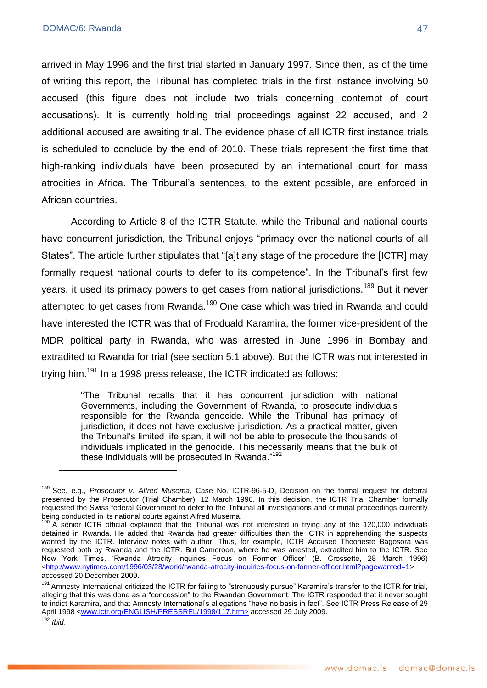arrived in May 1996 and the first trial started in January 1997. Since then, as of the time of writing this report, the Tribunal has completed trials in the first instance involving 50 accused (this figure does not include two trials concerning contempt of court accusations). It is currently holding trial proceedings against 22 accused, and 2 additional accused are awaiting trial. The evidence phase of all ICTR first instance trials is scheduled to conclude by the end of 2010. These trials represent the first time that high-ranking individuals have been prosecuted by an international court for mass atrocities in Africa. The Tribunal's sentences, to the extent possible, are enforced in African countries.

According to Article 8 of the ICTR Statute, while the Tribunal and national courts have concurrent jurisdiction, the Tribunal enjoys "primacy over the national courts of all States". The article further stipulates that "[a]t any stage of the procedure the [ICTR] may formally request national courts to defer to its competence". In the Tribunal's first few years, it used its primacy powers to get cases from national jurisdictions.<sup>189</sup> But it never attempted to get cases from Rwanda.<sup>190</sup> One case which was tried in Rwanda and could have interested the ICTR was that of Froduald Karamira, the former vice-president of the MDR political party in Rwanda, who was arrested in June 1996 in Bombay and extradited to Rwanda for trial (see section 5.1 above). But the ICTR was not interested in trving him.<sup>191</sup> In a 1998 press release, the ICTR indicated as follows:

> ―The Tribunal recalls that it has concurrent jurisdiction with national Governments, including the Government of Rwanda, to prosecute individuals responsible for the Rwanda genocide. While the Tribunal has primacy of jurisdiction, it does not have exclusive jurisdiction. As a practical matter, given the Tribunal's limited life span, it will not be able to prosecute the thousands of individuals implicated in the genocide. This necessarily means that the bulk of these individuals will be prosecuted in Rwanda." $192$

<sup>189</sup> See, e.g., *Prosecutor v. Alfred Musema*, Case No. ICTR-96-5-D, Decision on the formal request for deferral presented by the Prosecutor (Trial Chamber), 12 March 1996. In this decision, the ICTR Trial Chamber formally requested the Swiss federal Government to defer to the Tribunal all investigations and criminal proceedings currently being conducted in its national courts against Alfred Musema.

<sup>190</sup> A senior ICTR official explained that the Tribunal was not interested in trying any of the 120,000 individuals detained in Rwanda. He added that Rwanda had greater difficulties than the ICTR in apprehending the suspects wanted by the ICTR. Interview notes with author. Thus, for example, ICTR Accused Theoneste Bagosora was requested both by Rwanda and the ICTR. But Cameroon, where he was arrested, extradited him to the ICTR. See New York Times, ‗Rwanda Atrocity Inquiries Focus on Former Officer' (B. Crossette, 28 March 1996) [<http://www.nytimes.com/1996/03/28/world/rwanda-atrocity-inquiries-focus-on-former-officer.html?pagewanted=1>](http://www.nytimes.com/1996/03/28/world/rwanda-atrocity-inquiries-focus-on-former-officer.html?pagewanted=1) accessed 20 December 2009.

<sup>191</sup> Amnesty International criticized the ICTR for failing to "strenuously pursue" Karamira's transfer to the ICTR for trial, alleging that this was done as a "concession" to the Rwandan Government. The ICTR responded that it never sought to indict Karamira, and that Amnesty International's allegations "have no basis in fact". See ICTR Press Release of 29 April 1998 [<www.ictr.org/ENGLISH/PRESSREL/1998/117.htm>](http://www.ictr.org/ENGLISH/PRESSREL/1998/117.htm) accessed 29 July 2009. <sup>192</sup> *Ibid*.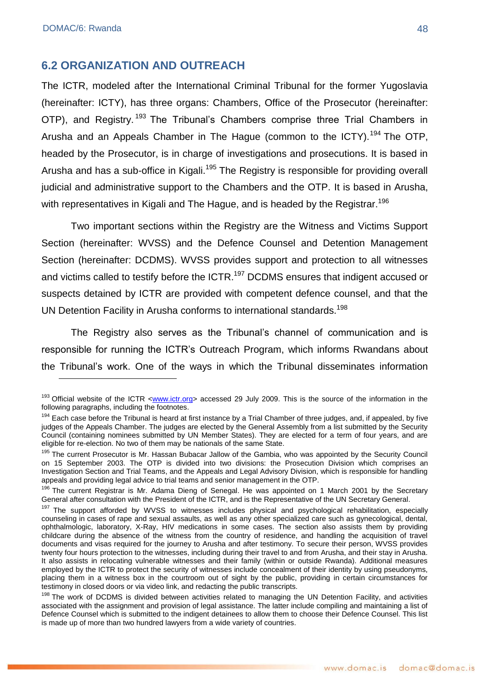### **6.2 ORGANIZATION AND OUTREACH**

The ICTR, modeled after the International Criminal Tribunal for the former Yugoslavia (hereinafter: ICTY), has three organs: Chambers, Office of the Prosecutor (hereinafter: OTP), and Registry.<sup>193</sup> The Tribunal's Chambers comprise three Trial Chambers in Arusha and an Appeals Chamber in The Hague (common to the ICTY).<sup>194</sup> The OTP, headed by the Prosecutor, is in charge of investigations and prosecutions. It is based in Arusha and has a sub-office in Kigali.<sup>195</sup> The Registry is responsible for providing overall judicial and administrative support to the Chambers and the OTP. It is based in Arusha, with representatives in Kigali and The Hague, and is headed by the Registrar. 196

Two important sections within the Registry are the Witness and Victims Support Section (hereinafter: WVSS) and the Defence Counsel and Detention Management Section (hereinafter: DCDMS). WVSS provides support and protection to all witnesses and victims called to testify before the ICTR.<sup>197</sup> DCDMS ensures that indigent accused or suspects detained by ICTR are provided with competent defence counsel, and that the UN Detention Facility in Arusha conforms to international standards.<sup>198</sup>

The Registry also serves as the Tribunal's channel of communication and is responsible for running the ICTR's Outreach Program, which informs Rwandans about the Tribunal's work. One of the ways in which the Tribunal disseminates information

<sup>&</sup>lt;sup>193</sup> Official website of the ICTR <www.ictr.org> accessed 29 July 2009. This is the source of the information in the following paragraphs, including the footnotes.

<sup>&</sup>lt;sup>194</sup> Each case before the Tribunal is heard at first instance by a Trial Chamber of three judges, and, if appealed, by five judges of the Appeals Chamber. The judges are elected by the General Assembly from a list submitted by the Security Council (containing nominees submitted by UN Member States). They are elected for a term of four years, and are eligible for re-election. No two of them may be nationals of the same State.

<sup>&</sup>lt;sup>195</sup> The current Prosecutor is Mr. Hassan Bubacar Jallow of the Gambia, who was appointed by the Security Council on 15 September 2003. The OTP is divided into two divisions: the Prosecution Division which comprises an Investigation Section and Trial Teams, and the Appeals and Legal Advisory Division, which is responsible for handling appeals and providing legal advice to trial teams and senior management in the OTP.

<sup>&</sup>lt;sup>196</sup> The current Registrar is Mr. Adama Dieng of Senegal. He was appointed on 1 March 2001 by the Secretary General after consultation with the President of the ICTR, and is the Representative of the UN Secretary General.

<sup>&</sup>lt;sup>197</sup> The support afforded by WVSS to witnesses includes physical and psychological rehabilitation, especially counseling in cases of rape and sexual assaults, as well as any other specialized care such as gynecological, dental, ophthalmologic, laboratory, X-Ray, HIV medications in some cases. The section also assists them by providing childcare during the absence of the witness from the country of residence, and handling the acquisition of travel documents and visas required for the journey to Arusha and after testimony. To secure their person, WVSS provides twenty four hours protection to the witnesses, including during their travel to and from Arusha, and their stay in Arusha. It also assists in relocating vulnerable witnesses and their family (within or outside Rwanda). Additional measures employed by the ICTR to protect the security of witnesses include concealment of their identity by using pseudonyms, placing them in a witness box in the courtroom out of sight by the public, providing in certain circumstances for testimony in closed doors or via video link, and redacting the public transcripts.

<sup>&</sup>lt;sup>198</sup> The work of DCDMS is divided between activities related to managing the UN Detention Facility, and activities associated with the assignment and provision of legal assistance. The latter include compiling and maintaining a list of Defence Counsel which is submitted to the indigent detainees to allow them to choose their Defence Counsel. This list is made up of more than two hundred lawyers from a wide variety of countries.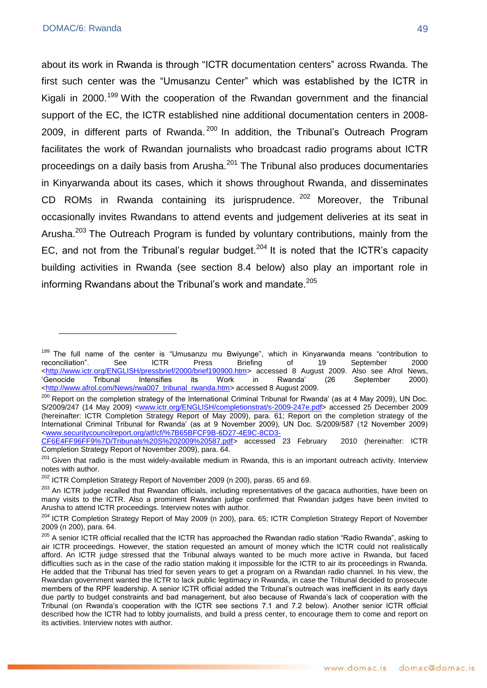about its work in Rwanda is through "ICTR documentation centers" across Rwanda. The first such center was the "Umusanzu Center" which was established by the ICTR in Kigali in 2000.<sup>199</sup> With the cooperation of the Rwandan government and the financial support of the EC, the ICTR established nine additional documentation centers in 2008- 2009, in different parts of Rwanda.<sup>200</sup> In addition, the Tribunal's Outreach Program facilitates the work of Rwandan journalists who broadcast radio programs about ICTR proceedings on a daily basis from Arusha.<sup>201</sup> The Tribunal also produces documentaries in Kinyarwanda about its cases, which it shows throughout Rwanda, and disseminates CD ROMs in Rwanda containing its jurisprudence. <sup>202</sup> Moreover, the Tribunal occasionally invites Rwandans to attend events and judgement deliveries at its seat in Arusha.<sup>203</sup> The Outreach Program is funded by voluntary contributions, mainly from the EC, and not from the Tribunal's regular budget.<sup>204</sup> It is noted that the ICTR's capacity building activities in Rwanda (see section 8.4 below) also play an important role in informing Rwandans about the Tribunal's work and mandate. $205$ 

<sup>&</sup>lt;sup>199</sup> The full name of the center is "Umusanzu mu Bwiyunge", which in Kinyarwanda means "contribution to reconciliation". See  $C = ICTR$  Press Briefing of 19 September 2000 reconciliation‖. See ICTR Press Briefing of 19 September 2000 [<http://www.ictr.org/ENGLISH/pressbrief/2000/brief190900.htm>](http://www.ictr.org/ENGLISH/pressbrief/2000/brief190900.htm) accessed 8 August 2009. Also see Afrol News, ‗Genocide Tribunal Intensifies its Work in Rwanda' (26 September 2000) [<http://www.afrol.com/News/rwa007\\_tribunal\\_rwanda.htm>](http://www.afrol.com/News/rwa007_tribunal_rwanda.htm) accessed 8 August 2009.

<sup>&</sup>lt;sup>200</sup> Report on the completion strategy of the International Criminal Tribunal for Rwanda' (as at 4 May 2009), UN Doc. S/2009/247 (14 May 2009) [<www.ictr.org/ENGLISH/completionstrat/s-2009-247e.pdf>](http://www.ictr.org/ENGLISH/completionstrat/s-2009-247e.pdf) accessed 25 December 2009 (hereinafter: ICTR Completion Strategy Report of May 2009), para. 61; Report on the completion strategy of the International Criminal Tribunal for Rwanda' (as at 9 November 2009), UN Doc. S/2009/587 (12 November 2009) [<www.securitycouncilreport.org/atf/cf/%7B65BFCF9B-6D27-4E9C-8CD3-](http://www.securitycouncilreport.org/atf/cf/%7B65BFCF9B-6D27-4E9C-8CD3-CF6E4FF96FF9%7D/Tribunals%20S%202009%20587.pdf)

[CF6E4FF96FF9%7D/Tribunals%20S%202009%20587.pdf>](http://www.securitycouncilreport.org/atf/cf/%7B65BFCF9B-6D27-4E9C-8CD3-CF6E4FF96FF9%7D/Tribunals%20S%202009%20587.pdf) accessed 23 February 2010 (hereinafter: ICTR Completion Strategy Report of November 2009), para. 64.

<sup>&</sup>lt;sup>201</sup> Given that radio is the most widely-available medium in Rwanda, this is an important outreach activity. Interview notes with author.

<sup>&</sup>lt;sup>202</sup> ICTR Completion Strategy Report of November 2009 (n 200), paras. 65 and 69.

<sup>&</sup>lt;sup>203</sup> An ICTR judge recalled that Rwandan officials, including representatives of the gacaca authorities, have been on many visits to the ICTR. Also a prominent Rwandan judge confirmed that Rwandan judges have been invited to Arusha to attend ICTR proceedings. Interview notes with author.

<sup>&</sup>lt;sup>204</sup> ICTR Completion Strategy Report of May 2009 (n 200), para. 65; ICTR Completion Strategy Report of November 2009 (n 200), para. 64.

<sup>&</sup>lt;sup>205</sup> A senior ICTR official recalled that the ICTR has approached the Rwandan radio station "Radio Rwanda", asking to air ICTR proceedings. However, the station requested an amount of money which the ICTR could not realistically afford. An ICTR judge stressed that the Tribunal always wanted to be much more active in Rwanda, but faced difficulties such as in the case of the radio station making it impossible for the ICTR to air its proceedings in Rwanda. He added that the Tribunal has tried for seven years to get a program on a Rwandan radio channel. In his view, the Rwandan government wanted the ICTR to lack public legitimacy in Rwanda, in case the Tribunal decided to prosecute members of the RPF leadership. A senior ICTR official added the Tribunal's outreach was inefficient in its early days due partly to budget constraints and bad management, but also because of Rwanda's lack of cooperation with the Tribunal (on Rwanda's cooperation with the ICTR see sections 7.1 and 7.2 below). Another senior ICTR official described how the ICTR had to lobby journalists, and build a press center, to encourage them to come and report on its activities. Interview notes with author.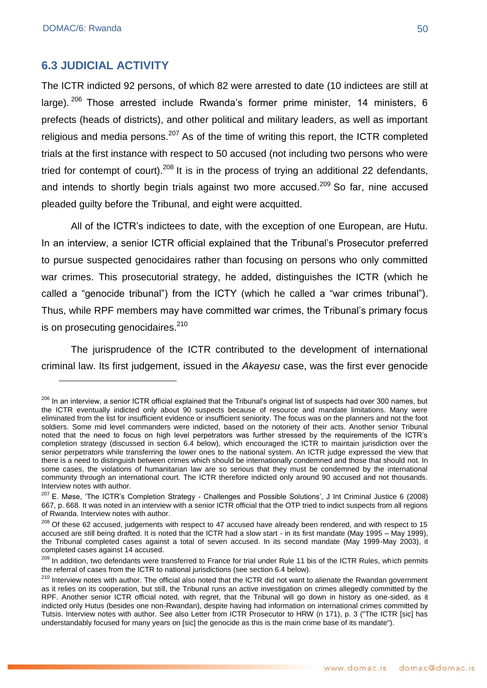## **6.3 JUDICIAL ACTIVITY**

The ICTR indicted 92 persons, of which 82 were arrested to date (10 indictees are still at large). <sup>206</sup> Those arrested include Rwanda's former prime minister, 14 ministers, 6 prefects (heads of districts), and other political and military leaders, as well as important religious and media persons.<sup>207</sup> As of the time of writing this report, the ICTR completed trials at the first instance with respect to 50 accused (not including two persons who were tried for contempt of court).<sup>208</sup> It is in the process of trying an additional 22 defendants, and intends to shortly begin trials against two more accused.<sup>209</sup> So far, nine accused pleaded guilty before the Tribunal, and eight were acquitted.

All of the ICTR's indictees to date, with the exception of one European, are Hutu. In an interview, a senior ICTR official explained that the Tribunal's Prosecutor preferred to pursue suspected genocidaires rather than focusing on persons who only committed war crimes. This prosecutorial strategy, he added, distinguishes the ICTR (which he called a "genocide tribunal") from the ICTY (which he called a "war crimes tribunal"). Thus, while RPF members may have committed war crimes, the Tribunal's primary focus is on prosecuting genocidaires.<sup>210</sup>

The jurisprudence of the ICTR contributed to the development of international criminal law. Its first judgement, issued in the *Akayesu* case, was the first ever genocide

<sup>&</sup>lt;sup>206</sup> In an interview, a senior ICTR official explained that the Tribunal's original list of suspects had over 300 names, but the ICTR eventually indicted only about 90 suspects because of resource and mandate limitations. Many were eliminated from the list for insufficient evidence or insufficient seniority. The focus was on the planners and not the foot soldiers. Some mid level commanders were indicted, based on the notoriety of their acts. Another senior Tribunal noted that the need to focus on high level perpetrators was further stressed by the requirements of the ICTR's completion strategy (discussed in section 6.4 below), which encouraged the ICTR to maintain jurisdiction over the senior perpetrators while transferring the lower ones to the national system. An ICTR judge expressed the view that there is a need to distinguish between crimes which should be internationally condemned and those that should not. In some cases, the violations of humanitarian law are so serious that they must be condemned by the international community through an international court. The ICTR therefore indicted only around 90 accused and not thousands. Interview notes with author.

 $207$  E. Møse, 'The ICTR's Completion Strategy - Challenges and Possible Solutions', J Int Criminal Justice 6 (2008) 667, p. 668. It was noted in an interview with a senior ICTR official that the OTP tried to indict suspects from all regions of Rwanda. Interview notes with author.

<sup>&</sup>lt;sup>208</sup> Of these 62 accused, judgements with respect to 47 accused have already been rendered, and with respect to 15 accused are still being drafted. It is noted that the ICTR had a slow start - in its first mandate (May 1995 – May 1999), the Tribunal completed cases against a total of seven accused. In its second mandate (May 1999-May 2003), it completed cases against 14 accused.

<sup>&</sup>lt;sup>209</sup> In addition, two defendants were transferred to France for trial under Rule 11 bis of the ICTR Rules, which permits the referral of cases from the ICTR to national jurisdictions (see section 6.4 below).

<sup>&</sup>lt;sup>210</sup> Interview notes with author. The official also noted that the ICTR did not want to alienate the Rwandan government as it relies on its cooperation, but still, the Tribunal runs an active investigation on crimes allegedly committed by the RPF. Another senior ICTR official noted, with regret, that the Tribunal will go down in history as one-sided, as it indicted only Hutus (besides one non-Rwandan), despite having had information on international crimes committed by Tutsis. Interview notes with author. See also Letter from ICTR Prosecutor to HRW (n 171), p. 3 ("The ICTR [sic] has understandably focused for many years on [sic] the genocide as this is the main crime base of its mandate").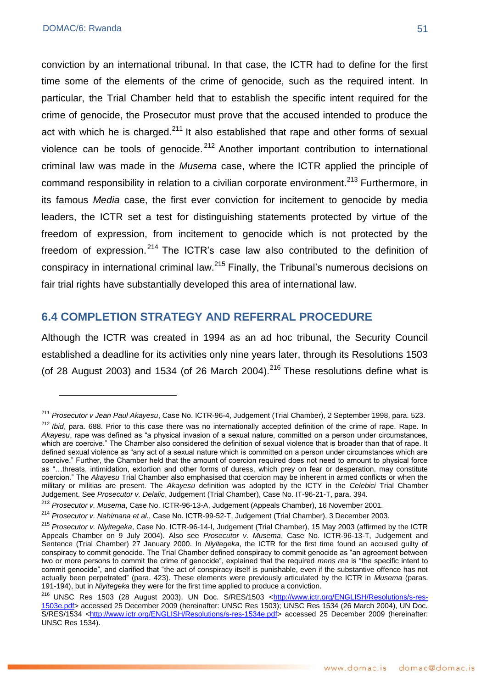conviction by an international tribunal. In that case, the ICTR had to define for the first time some of the elements of the crime of genocide, such as the required intent. In particular, the Trial Chamber held that to establish the specific intent required for the crime of genocide, the Prosecutor must prove that the accused intended to produce the act with which he is charged. $2^{11}$  It also established that rape and other forms of sexual violence can be tools of genocide.<sup>212</sup> Another important contribution to international criminal law was made in the *Musema* case, where the ICTR applied the principle of command responsibility in relation to a civilian corporate environment.<sup>213</sup> Furthermore. in its famous *Media* case, the first ever conviction for incitement to genocide by media leaders, the ICTR set a test for distinguishing statements protected by virtue of the freedom of expression, from incitement to genocide which is not protected by the freedom of expression.  $2^{14}$  The ICTR's case law also contributed to the definition of conspiracy in international criminal law.<sup>215</sup> Finally, the Tribunal's numerous decisions on fair trial rights have substantially developed this area of international law.

# **6.4 COMPLETION STRATEGY AND REFERRAL PROCEDURE**

Although the ICTR was created in 1994 as an ad hoc tribunal, the Security Council established a deadline for its activities only nine years later, through its Resolutions 1503 (of 28 August 2003) and 1534 (of 26 March 2004).<sup>216</sup> These resolutions define what is

<sup>211</sup> *Prosecutor v Jean Paul Akayesu*, Case No. ICTR-96-4, Judgement (Trial Chamber), 2 September 1998, para. 523.

<sup>&</sup>lt;sup>212</sup> *Ibid*, para. 688. Prior to this case there was no internationally accepted definition of the crime of rape. Rape. In *Akayesu*, rape was defined as "a physical invasion of a sexual nature, committed on a person under circumstances, which are coercive." The Chamber also considered the definition of sexual violence that is broader than that of rape. It defined sexual violence as "any act of a sexual nature which is committed on a person under circumstances which are coercive." Further, the Chamber held that the amount of coercion required does not need to amount to physical force as "...threats, intimidation, extortion and other forms of duress, which prey on fear or desperation, may constitute coercion.‖ The *Akayesu* Trial Chamber also emphasised that coercion may be inherent in armed conflicts or when the military or militias are present. The *Akayesu* definition was adopted by the ICTY in the *Celebici* Trial Chamber Judgement. See *Prosecutor v. Delalic*, Judgement (Trial Chamber), Case No. IT-96-21-T, para. 394.

<sup>213</sup> *Prosecutor v. Musema*, Case No. ICTR-96-13-A, Judgement (Appeals Chamber), 16 November 2001.

<sup>214</sup> *Prosecutor v. Nahimana et al.*, Case No. ICTR-99-52-T, Judgement (Trial Chamber), 3 December 2003.

<sup>215</sup> *Prosecutor v. Niyitegeka*, Case No. ICTR-96-14-I, Judgement (Trial Chamber), 15 May 2003 (affirmed by the ICTR Appeals Chamber on 9 July 2004). Also see *Prosecutor v. Musema*, Case No. ICTR-96-13-T, Judgement and Sentence (Trial Chamber) 27 January 2000. In *Niyitegeka*, the ICTR for the first time found an accused guilty of conspiracy to commit genocide. The Trial Chamber defined conspiracy to commit genocide as "an agreement between two or more persons to commit the crime of genocide", explained that the required *mens rea* is "the specific intent to commit genocide", and clarified that "the act of conspiracy itself is punishable, even if the substantive offence has not actually been perpetrated‖ (para. 423). These elements were previously articulated by the ICTR in *Musema* (paras. 191-194), but in *Niyitegeka* they were for the first time applied to produce a conviction.

<sup>&</sup>lt;sup>216</sup> UNSC Res 1503 (28 August 2003), UN Doc. S/RES/1503 [<http://www.ictr.org/ENGLISH/Resolutions/s-res-](http://www.ictr.org/ENGLISH/Resolutions/s-res-1503e.pdf)[1503e.pdf>](http://www.ictr.org/ENGLISH/Resolutions/s-res-1503e.pdf) accessed 25 December 2009 (hereinafter: UNSC Res 1503); UNSC Res 1534 (26 March 2004), UN Doc. S/RES/1534 [<http://www.ictr.org/ENGLISH/Resolutions/s-res-1534e.pdf>](http://www.ictr.org/ENGLISH/Resolutions/s-res-1534e.pdf) accessed 25 December 2009 (hereinafter: UNSC Res 1534).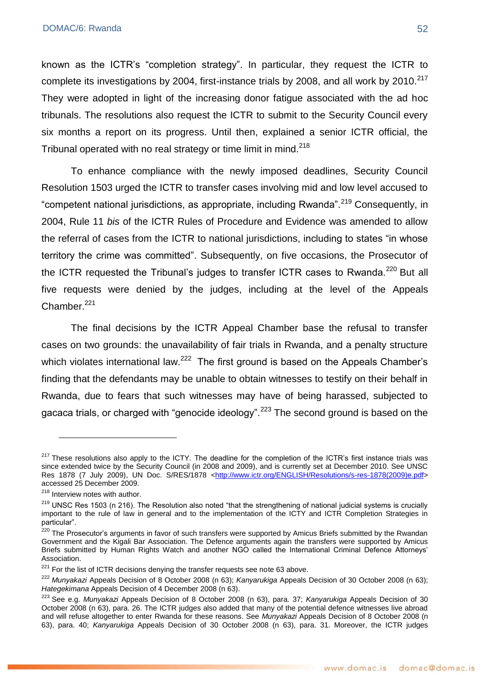known as the ICTR's "completion strategy". In particular, they request the ICTR to complete its investigations by 2004, first-instance trials by 2008, and all work by 2010.<sup>217</sup> They were adopted in light of the increasing donor fatigue associated with the ad hoc tribunals. The resolutions also request the ICTR to submit to the Security Council every six months a report on its progress. Until then, explained a senior ICTR official, the Tribunal operated with no real strategy or time limit in mind.<sup>218</sup>

To enhance compliance with the newly imposed deadlines, Security Council Resolution 1503 urged the ICTR to transfer cases involving mid and low level accused to "competent national jurisdictions, as appropriate, including Rwanda".<sup>219</sup> Consequently, in 2004, Rule 11 *bis* of the ICTR Rules of Procedure and Evidence was amended to allow the referral of cases from the ICTR to national jurisdictions, including to states "in whose territory the crime was committed". Subsequently, on five occasions, the Prosecutor of the ICTR requested the Tribunal's judges to transfer ICTR cases to Rwanda.<sup>220</sup> But all five requests were denied by the judges, including at the level of the Appeals Chamber.<sup>221</sup>

The final decisions by the ICTR Appeal Chamber base the refusal to transfer cases on two grounds: the unavailability of fair trials in Rwanda, and a penalty structure which violates international law.<sup>222</sup> The first ground is based on the Appeals Chamber's finding that the defendants may be unable to obtain witnesses to testify on their behalf in Rwanda, due to fears that such witnesses may have of being harassed, subjected to gacaca trials, or charged with "genocide ideology".<sup>223</sup> The second ground is based on the

<sup>&</sup>lt;sup>217</sup> These resolutions also apply to the ICTY. The deadline for the completion of the ICTR's first instance trials was since extended twice by the Security Council (in 2008 and 2009), and is currently set at December 2010. See UNSC Res 1878 (7 July 2009), UN Doc. S/RES/1878 [<http://www.ictr.org/ENGLISH/Resolutions/s-res-1878\(2009\)e.pdf>](http://www.ictr.org/ENGLISH/Resolutions/s-res-1878(2009)e.pdf) accessed 25 December 2009.

<sup>&</sup>lt;sup>218</sup> Interview notes with author.

 $219$  UNSC Res 1503 (n 216). The Resolution also noted "that the strengthening of national judicial systems is crucially important to the rule of law in general and to the implementation of the ICTY and ICTR Completion Strategies in particular".

<sup>&</sup>lt;sup>220</sup> The Prosecutor's arguments in favor of such transfers were supported by Amicus Briefs submitted by the Rwandan Government and the Kigali Bar Association. The Defence arguments again the transfers were supported by Amicus Briefs submitted by Human Rights Watch and another NGO called the International Criminal Defence Attorneys' Association.

 $221$  For the list of ICTR decisions denying the transfer requests see note 63 above.

<sup>222</sup> *Munyakazi* Appeals Decision of 8 October 2008 (n 63); *Kanyarukiga* Appeals Decision of 30 October 2008 (n 63); *Hategekimana* Appeals Decision of 4 December 2008 (n 63).

<sup>223</sup> See e.g. *Munyakazi* Appeals Decision of 8 October 2008 (n 63), para. 37; *Kanyarukiga* Appeals Decision of 30 October 2008 (n 63), para. 26. The ICTR judges also added that many of the potential defence witnesses live abroad and will refuse altogether to enter Rwanda for these reasons. See *Munyakazi* Appeals Decision of 8 October 2008 (n 63), para. 40; *Kanyarukiga* Appeals Decision of 30 October 2008 (n 63), para. 31. Moreover, the ICTR judges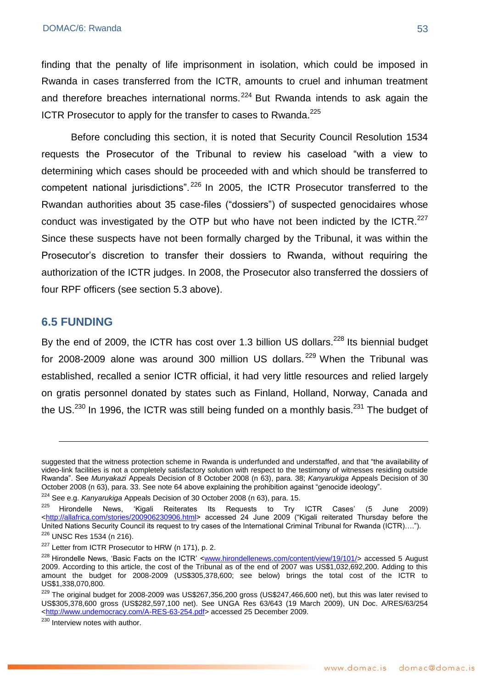finding that the penalty of life imprisonment in isolation, which could be imposed in Rwanda in cases transferred from the ICTR, amounts to cruel and inhuman treatment and therefore breaches international norms.<sup>224</sup> But Rwanda intends to ask again the ICTR Prosecutor to apply for the transfer to cases to Rwanda.<sup>225</sup>

Before concluding this section, it is noted that Security Council Resolution 1534 requests the Prosecutor of the Tribunal to review his caseload "with a view to determining which cases should be proceeded with and which should be transferred to competent national jurisdictions". $^{226}$  In 2005, the ICTR Prosecutor transferred to the Rwandan authorities about 35 case-files ("dossiers") of suspected genocidaires whose conduct was investigated by the OTP but who have not been indicted by the ICTR. $^{227}$ Since these suspects have not been formally charged by the Tribunal, it was within the Prosecutor's discretion to transfer their dossiers to Rwanda, without requiring the authorization of the ICTR judges. In 2008, the Prosecutor also transferred the dossiers of four RPF officers (see section 5.3 above).

### **6.5 FUNDING**

1

By the end of 2009, the ICTR has cost over 1.3 billion US dollars.<sup>228</sup> Its biennial budget for 2008-2009 alone was around 300 million US dollars.  $229$  When the Tribunal was established, recalled a senior ICTR official, it had very little resources and relied largely on gratis personnel donated by states such as Finland, Holland, Norway, Canada and the US. $^{230}$  In 1996, the ICTR was still being funded on a monthly basis. $^{231}$  The budget of

<sup>224</sup> See e.g. *Kanyarukiga* Appeals Decision of 30 October 2008 (n 63), para. 15.

suggested that the witness protection scheme in Rwanda is underfunded and understaffed, and that "the availability of video-link facilities is not a completely satisfactory solution with respect to the testimony of witnesses residing outside Rwanda‖. See *Munyakazi* Appeals Decision of 8 October 2008 (n 63), para. 38; *Kanyarukiga* Appeals Decision of 30 October 2008 (n 63), para. 33. See note 64 above explaining the prohibition against "genocide ideology".

 $225$  Hirondelle News, 'Kigali Reiterates Its Requests to Try ICTR Cases' (5 June 2009) [<http://allafrica.com/stories/200906230906.html>](http://allafrica.com/stories/200906230906.html) accessed 24 June 2009 ("Kigali reiterated Thursday before the United Nations Security Council its request to try cases of the International Criminal Tribunal for Rwanda (ICTR)...."). <sup>226</sup> UNSC Res 1534 (n 216).

<sup>&</sup>lt;sup>227</sup> Letter from ICTR Prosecutor to HRW (n 171), p. 2.

<sup>&</sup>lt;sup>228</sup> Hirondelle News, 'Basic Facts on the ICTR' [<www.hirondellenews.com/content/view/19/101/>](http://www.hirondellenews.com/content/view/19/101/) accessed 5 August 2009. According to this article, the cost of the Tribunal as of the end of 2007 was US\$1,032,692,200. Adding to this amount the budget for 2008-2009 (US\$305,378,600; see below) brings the total cost of the ICTR to US\$1,338,070,800.

 $229$  The original budget for 2008-2009 was US\$267,356,200 gross (US\$247,466,600 net), but this was later revised to US\$305,378,600 gross (US\$282,597,100 net). See UNGA Res 63/643 (19 March 2009), UN Doc. A/RES/63/254 [<http://www.undemocracy.com/A-RES-63-254.pdf>](http://www.undemocracy.com/A-RES-63-254.pdf) accessed 25 December 2009.

<sup>&</sup>lt;sup>230</sup> Interview notes with author.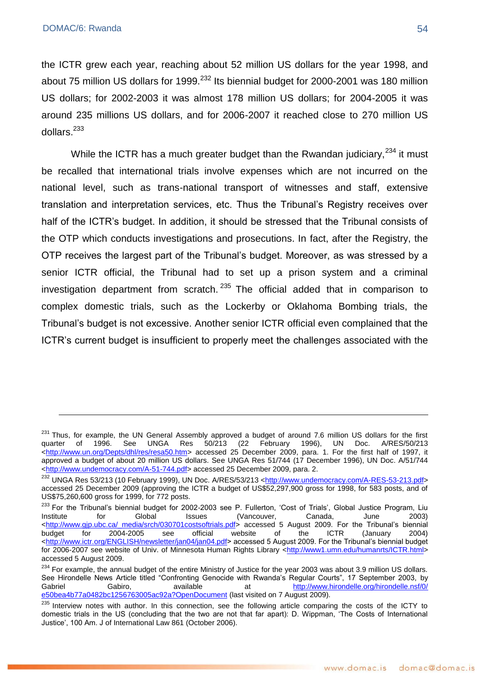<u>.</u>

the ICTR grew each year, reaching about 52 million US dollars for the year 1998, and about 75 million US dollars for 1999. $^{232}$  Its biennial budget for 2000-2001 was 180 million US dollars; for 2002-2003 it was almost 178 million US dollars; for 2004-2005 it was around 235 millions US dollars, and for 2006-2007 it reached close to 270 million US dollars.<sup>233</sup>

While the ICTR has a much greater budget than the Rwandan judiciary, $^{234}$  it must be recalled that international trials involve expenses which are not incurred on the national level, such as trans-national transport of witnesses and staff, extensive translation and interpretation services, etc. Thus the Tribunal's Registry receives over half of the ICTR's budget. In addition, it should be stressed that the Tribunal consists of the OTP which conducts investigations and prosecutions. In fact, after the Registry, the OTP receives the largest part of the Tribunal's budget. Moreover, as was stressed by a senior ICTR official, the Tribunal had to set up a prison system and a criminal investigation department from scratch.  $235$  The official added that in comparison to complex domestic trials, such as the Lockerby or Oklahoma Bombing trials, the Tribunal's budget is not excessive. Another senior ICTR official even complained that the ICTR's current budget is insufficient to properly meet the challenges associated with the

 $^{231}$  Thus, for example, the UN General Assembly approved a budget of around 7.6 million US dollars for the first quarter of 1996. See UNGA Res 50/213 (22 February 1996). UN Doc. A/RES/50/213 quarter of 1996. See UNGA Res 50/213 (22 February 1996), UN Doc. A/RES/50/213 [<http://www.un.org/Depts/dhl/res/resa50.htm>](http://www.un.org/Depts/dhl/res/resa50.htm) accessed 25 December 2009, para. 1. For the first half of 1997, it approved a budget of about 20 million US dollars. See UNGA Res 51/744 (17 December 1996), UN Doc. A/51/744 [<http://www.undemocracy.com/A-51-744.pdf>](http://www.undemocracy.com/A-51-744.pdf) accessed 25 December 2009, para. 2.

<sup>&</sup>lt;sup>232</sup> UNGA Res 53/213 (10 February 1999), UN Doc. A/RES/53/213 [<http://www.undemocracy.com/A-RES-53-213.pdf>](http://www.undemocracy.com/A-RES-53-213.pdf) accessed 25 December 2009 (approving the ICTR a budget of US\$52,297,900 gross for 1998, for 583 posts, and of US\$75,260,600 gross for 1999, for 772 posts.

<sup>&</sup>lt;sup>233</sup> For the Tribunal's biennial budget for 2002-2003 see P. Fullerton, 'Cost of Trials', Global Justice Program, Liu<br>Institute for Global Issues (Vancouver. Canada. June 2003) for Global Issues (Vancouver, Canada, June 2003) http://www.gjp.ubc.ca/\_media/srch/030701costsoftrials.pdf> accessed 5 August 2009. For the Tribunal's biennial<br>budget for 2004-2005 see official website of the ICTR (January 2004) budget for 2004-2005 see official website of the ICTR (January 2004) [<http://www.ictr.org/ENGLISH/newsletter/jan04/jan04.pdf>](http://www.ictr.org/ENGLISH/newsletter/jan04/jan04.pdf) accessed 5 August 2009. For the Tribunal's biennial budget for 2006-2007 see website of Univ. of Minnesota Human Rights Library [<http://www1.umn.edu/humanrts/ICTR.html>](http://www1.umn.edu/humanrts/ICTR.html) accessed 5 August 2009.

<sup>&</sup>lt;sup>234</sup> For example, the annual budget of the entire Ministry of Justice for the year 2003 was about 3.9 million US dollars. See Hirondelle News Article titled "Confronting Genocide with Rwanda's Regular Courts", 17 September 2003, by Gabriel Gabiro, available at http://www.hirondelle.org/hirondelle.nsf/0/ [e50bea4b77a0482bc1256763005ac92a?OpenDocument](http://www.hirondelle.org/hirondelle.nsf/0/%20e50bea4b77a0482bc1256763005ac92a?OpenDocument) (last visited on 7 August 2009).

<sup>&</sup>lt;sup>235</sup> Interview notes with author. In this connection, see the following article comparing the costs of the ICTY to domestic trials in the US (concluding that the two are not that far apart): D. Wippman, ‗The Costs of International Justice', 100 Am. J of International Law 861 (October 2006).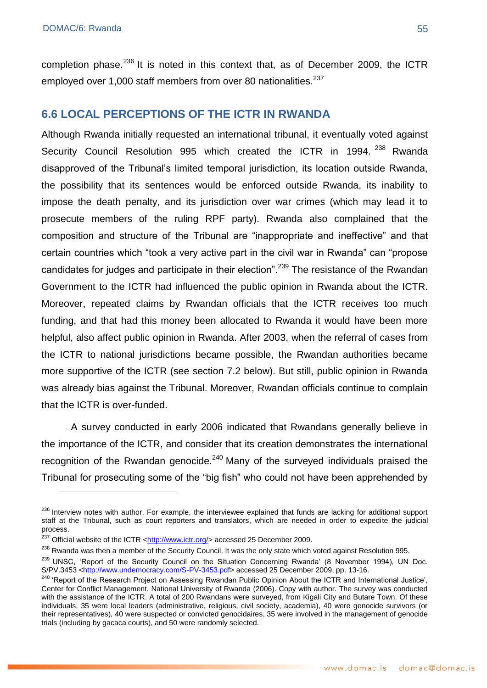<u>.</u>

completion phase. $^{236}$  It is noted in this context that, as of December 2009, the ICTR employed over 1,000 staff members from over 80 nationalities.<sup>237</sup>

# **6.6 LOCAL PERCEPTIONS OF THE ICTR IN RWANDA**

Although Rwanda initially requested an international tribunal, it eventually voted against Security Council Resolution 995 which created the ICTR in 1994. <sup>238</sup> Rwanda disapproved of the Tribunal's limited temporal jurisdiction, its location outside Rwanda, the possibility that its sentences would be enforced outside Rwanda, its inability to impose the death penalty, and its jurisdiction over war crimes (which may lead it to prosecute members of the ruling RPF party). Rwanda also complained that the composition and structure of the Tribunal are "inappropriate and ineffective" and that certain countries which "took a very active part in the civil war in Rwanda" can "propose candidates for judges and participate in their election".<sup>239</sup> The resistance of the Rwandan Government to the ICTR had influenced the public opinion in Rwanda about the ICTR. Moreover, repeated claims by Rwandan officials that the ICTR receives too much funding, and that had this money been allocated to Rwanda it would have been more helpful, also affect public opinion in Rwanda. After 2003, when the referral of cases from the ICTR to national jurisdictions became possible, the Rwandan authorities became more supportive of the ICTR (see section 7.2 below). But still, public opinion in Rwanda was already bias against the Tribunal. Moreover, Rwandan officials continue to complain that the ICTR is over-funded.

A survey conducted in early 2006 indicated that Rwandans generally believe in the importance of the ICTR, and consider that its creation demonstrates the international recognition of the Rwandan genocide.<sup>240</sup> Many of the surveyed individuals praised the Tribunal for prosecuting some of the "big fish" who could not have been apprehended by

<sup>&</sup>lt;sup>236</sup> Interview notes with author. For example, the interviewee explained that funds are lacking for additional support staff at the Tribunal, such as court reporters and translators, which are needed in order to expedite the judicial process.

 $^{237}$  Official website of the ICTR < $\frac{http://www.ictr.org/}{http://www.ictr.org/}{$  accessed 25 December 2009.

<sup>&</sup>lt;sup>238</sup> Rwanda was then a member of the Security Council. It was the only state which voted against Resolution 995.

<sup>&</sup>lt;sup>239</sup> UNSC, 'Report of the Security Council on the Situation Concerning Rwanda' (8 November 1994), UN Doc. S/PV.3453 [<http://www.undemocracy.com/S-PV-3453.pdf>](http://www.undemocracy.com/S-PV-3453.pdf) accessed 25 December 2009, pp. 13-16.

<sup>&</sup>lt;sup>240</sup> 'Report of the Research Project on Assessing Rwandan Public Opinion About the ICTR and International Justice', Center for Conflict Management, National University of Rwanda (2006). Copy with author. The survey was conducted with the assistance of the ICTR. A total of 200 Rwandans were surveyed, from Kigali City and Butare Town. Of these individuals, 35 were local leaders (administrative, religious, civil society, academia), 40 were genocide survivors (or their representatives), 40 were suspected or convicted genocidaires, 35 were involved in the management of genocide trials (including by gacaca courts), and 50 were randomly selected.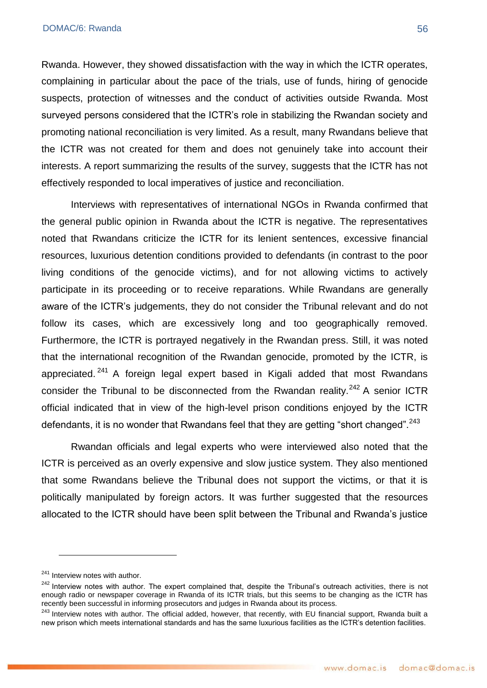Rwanda. However, they showed dissatisfaction with the way in which the ICTR operates, complaining in particular about the pace of the trials, use of funds, hiring of genocide suspects, protection of witnesses and the conduct of activities outside Rwanda. Most surveyed persons considered that the ICTR's role in stabilizing the Rwandan society and promoting national reconciliation is very limited. As a result, many Rwandans believe that the ICTR was not created for them and does not genuinely take into account their interests. A report summarizing the results of the survey, suggests that the ICTR has not effectively responded to local imperatives of justice and reconciliation.

Interviews with representatives of international NGOs in Rwanda confirmed that the general public opinion in Rwanda about the ICTR is negative. The representatives noted that Rwandans criticize the ICTR for its lenient sentences, excessive financial resources, luxurious detention conditions provided to defendants (in contrast to the poor living conditions of the genocide victims), and for not allowing victims to actively participate in its proceeding or to receive reparations. While Rwandans are generally aware of the ICTR's judgements, they do not consider the Tribunal relevant and do not follow its cases, which are excessively long and too geographically removed. Furthermore, the ICTR is portrayed negatively in the Rwandan press. Still, it was noted that the international recognition of the Rwandan genocide, promoted by the ICTR, is appreciated.  $241$  A foreign legal expert based in Kigali added that most Rwandans consider the Tribunal to be disconnected from the Rwandan reality. $242$  A senior ICTR official indicated that in view of the high-level prison conditions enjoyed by the ICTR defendants, it is no wonder that Rwandans feel that they are getting "short changed".<sup>243</sup>

Rwandan officials and legal experts who were interviewed also noted that the ICTR is perceived as an overly expensive and slow justice system. They also mentioned that some Rwandans believe the Tribunal does not support the victims, or that it is politically manipulated by foreign actors. It was further suggested that the resources allocated to the ICTR should have been split between the Tribunal and Rwanda's justice

<sup>&</sup>lt;sup>241</sup> Interview notes with author.

<sup>&</sup>lt;sup>242</sup> Interview notes with author. The expert complained that, despite the Tribunal's outreach activities, there is not enough radio or newspaper coverage in Rwanda of its ICTR trials, but this seems to be changing as the ICTR has recently been successful in informing prosecutors and judges in Rwanda about its process.

<sup>&</sup>lt;sup>243</sup> Interview notes with author. The official added, however, that recently, with EU financial support, Rwanda built a new prison which meets international standards and has the same luxurious facilities as the ICTR's detention facilities.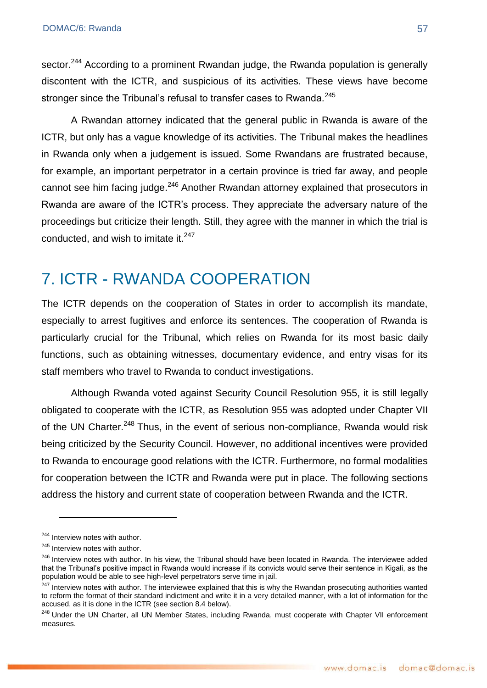sector.<sup>244</sup> According to a prominent Rwandan judge, the Rwanda population is generally discontent with the ICTR, and suspicious of its activities. These views have become stronger since the Tribunal's refusal to transfer cases to Rwanda.<sup>245</sup>

A Rwandan attorney indicated that the general public in Rwanda is aware of the ICTR, but only has a vague knowledge of its activities. The Tribunal makes the headlines in Rwanda only when a judgement is issued. Some Rwandans are frustrated because, for example, an important perpetrator in a certain province is tried far away, and people cannot see him facing judge.<sup>246</sup> Another Rwandan attorney explained that prosecutors in Rwanda are aware of the ICTR's process. They appreciate the adversary nature of the proceedings but criticize their length. Still, they agree with the manner in which the trial is conducted, and wish to imitate it. $247$ 

# 7. ICTR - RWANDA COOPERATION

The ICTR depends on the cooperation of States in order to accomplish its mandate, especially to arrest fugitives and enforce its sentences. The cooperation of Rwanda is particularly crucial for the Tribunal, which relies on Rwanda for its most basic daily functions, such as obtaining witnesses, documentary evidence, and entry visas for its staff members who travel to Rwanda to conduct investigations.

Although Rwanda voted against Security Council Resolution 955, it is still legally obligated to cooperate with the ICTR, as Resolution 955 was adopted under Chapter VII of the UN Charter.<sup>248</sup> Thus, in the event of serious non-compliance, Rwanda would risk being criticized by the Security Council. However, no additional incentives were provided to Rwanda to encourage good relations with the ICTR. Furthermore, no formal modalities for cooperation between the ICTR and Rwanda were put in place. The following sections address the history and current state of cooperation between Rwanda and the ICTR.

<sup>&</sup>lt;sup>244</sup> Interview notes with author.

<sup>&</sup>lt;sup>245</sup> Interview notes with author.

<sup>&</sup>lt;sup>246</sup> Interview notes with author. In his view, the Tribunal should have been located in Rwanda. The interviewee added that the Tribunal's positive impact in Rwanda would increase if its convicts would serve their sentence in Kigali, as the population would be able to see high-level perpetrators serve time in jail.

<sup>&</sup>lt;sup>247</sup> Interview notes with author. The interviewee explained that this is why the Rwandan prosecuting authorities wanted to reform the format of their standard indictment and write it in a very detailed manner, with a lot of information for the accused, as it is done in the ICTR (see section 8.4 below).

<sup>&</sup>lt;sup>248</sup> Under the UN Charter, all UN Member States, including Rwanda, must cooperate with Chapter VII enforcement measures.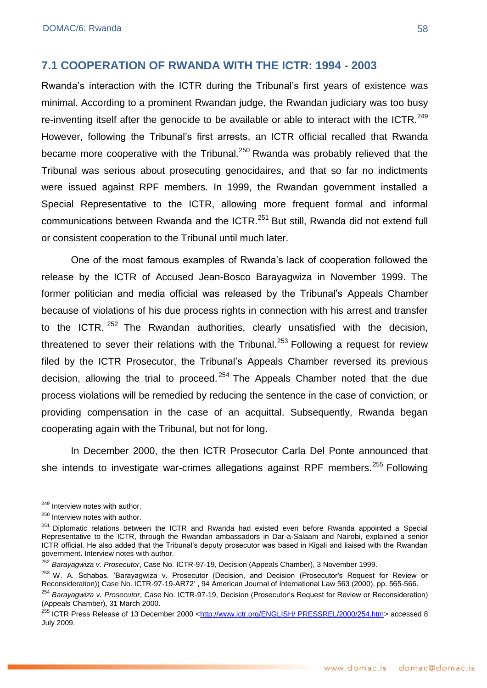#### **7.1 COOPERATION OF RWANDA WITH THE ICTR: 1994 - 2003**

Rwanda's interaction with the ICTR during the Tribunal's first years of existence was minimal. According to a prominent Rwandan judge, the Rwandan judiciary was too busy re-inventing itself after the genocide to be available or able to interact with the ICTR.<sup>249</sup> However, following the Tribunal's first arrests, an ICTR official recalled that Rwanda became more cooperative with the Tribunal.<sup>250</sup> Rwanda was probably relieved that the Tribunal was serious about prosecuting genocidaires, and that so far no indictments were issued against RPF members. In 1999, the Rwandan government installed a Special Representative to the ICTR, allowing more frequent formal and informal communications between Rwanda and the ICTR.<sup>251</sup> But still, Rwanda did not extend full or consistent cooperation to the Tribunal until much later.

One of the most famous examples of Rwanda's lack of cooperation followed the release by the ICTR of Accused Jean-Bosco Barayagwiza in November 1999. The former politician and media official was released by the Tribunal's Appeals Chamber because of violations of his due process rights in connection with his arrest and transfer to the ICTR, <sup>252</sup> The Rwandan authorities, clearly unsatisfied with the decision, threatened to sever their relations with the Tribunal.<sup>253</sup> Following a request for review filed by the ICTR Prosecutor, the Tribunal's Appeals Chamber reversed its previous decision, allowing the trial to proceed. <sup>254</sup> The Appeals Chamber noted that the due process violations will be remedied by reducing the sentence in the case of conviction, or providing compensation in the case of an acquittal. Subsequently, Rwanda began cooperating again with the Tribunal, but not for long.

In December 2000, the then ICTR Prosecutor Carla Del Ponte announced that she intends to investigate war-crimes allegations against RPF members.<sup>255</sup> Following

<sup>&</sup>lt;sup>249</sup> Interview notes with author.

<sup>&</sup>lt;sup>250</sup> Interview notes with author.

<sup>&</sup>lt;sup>251</sup> Diplomatic relations between the ICTR and Rwanda had existed even before Rwanda appointed a Special Representative to the ICTR, through the Rwandan ambassadors in Dar-a-Salaam and Nairobi, explained a senior ICTR official. He also added that the Tribunal's deputy prosecutor was based in Kigali and liaised with the Rwandan government. Interview notes with author.

<sup>252</sup> *Barayagwiza v. Prosecutor*, Case No. ICTR-97-19, Decision (Appeals Chamber), 3 November 1999.

<sup>&</sup>lt;sup>253</sup> W. A. Schabas, 'Barayagwiza v. Prosecutor (Decision, and Decision (Prosecutor's Request for Review or Reconsideration)) Case No. ICTR-97-19-AR72' , 94 American Journal of International Law 563 (2000), pp. 565-566.

<sup>254</sup> *Barayagwiza v. Prosecutor*, Case No. ICTR-97-19, Decision (Prosecutor's Request for Review or Reconsideration) (Appeals Chamber), 31 March 2000.

<sup>&</sup>lt;sup>255</sup> ICTR Press Release of 13 December 2000 [<http://www.ictr.org/ENGLISH/ PRESSREL/2000/254.htm>](http://www.ictr.org/ENGLISH/%20PRESSREL/2000/254.htm) accessed 8 July 2009.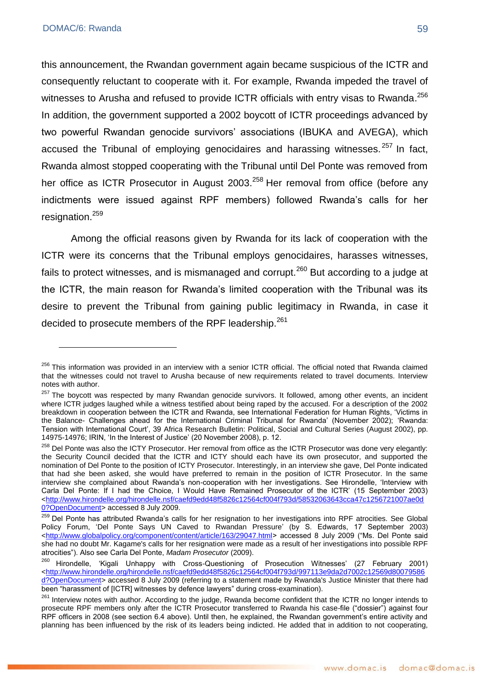this announcement, the Rwandan government again became suspicious of the ICTR and consequently reluctant to cooperate with it. For example, Rwanda impeded the travel of witnesses to Arusha and refused to provide ICTR officials with entry visas to Rwanda.<sup>256</sup> In addition, the government supported a 2002 boycott of ICTR proceedings advanced by two powerful Rwandan genocide survivors' associations (IBUKA and AVEGA), which accused the Tribunal of employing genocidaires and harassing witnesses.  $257$  In fact. Rwanda almost stopped cooperating with the Tribunal until Del Ponte was removed from her office as ICTR Prosecutor in August 2003.<sup>258</sup> Her removal from office (before any indictments were issued against RPF members) followed Rwanda's calls for her resignation.<sup>259</sup>

Among the official reasons given by Rwanda for its lack of cooperation with the ICTR were its concerns that the Tribunal employs genocidaires, harasses witnesses, fails to protect witnesses, and is mismanaged and corrupt.<sup>260</sup> But according to a judge at the ICTR, the main reason for Rwanda's limited cooperation with the Tribunal was its desire to prevent the Tribunal from gaining public legitimacy in Rwanda, in case it decided to prosecute members of the RPF leadership.<sup>261</sup>

<sup>&</sup>lt;sup>256</sup> This information was provided in an interview with a senior ICTR official. The official noted that Rwanda claimed that the witnesses could not travel to Arusha because of new requirements related to travel documents. Interview notes with author.

<sup>&</sup>lt;sup>257</sup> The boycott was respected by many Rwandan genocide survivors. It followed, among other events, an incident where ICTR judges laughed while a witness testified about being raped by the accused. For a description of the 2002 breakdown in cooperation between the ICTR and Rwanda, see International Federation for Human Rights, 'Victims in the Balance- Challenges ahead for the International Criminal Tribunal for Rwanda' (November 2002); 'Rwanda: Tension with International Court', 39 [Africa Research Bulletin: Political, Social and Cultural Series](https://tango.huji.ac.il/Web/journal/117994797/home,CVPNHost=www3.interscience.wiley.com,CVPNProtocol=http,CVPNOrg=abs) (August 2002), pp. 14975-14976; IRIN, 'In the Interest of Justice' (20 November 2008), p. 12.

<sup>&</sup>lt;sup>258</sup> Del Ponte was also the ICTY Prosecutor. Her removal from office as the ICTR Prosecutor was done very elegantly: the Security Council decided that the ICTR and ICTY should each have its own prosecutor, and supported the nomination of Del Ponte to the position of ICTY Prosecutor. Interestingly, in an interview she gave, Del Ponte indicated that had she been asked, she would have preferred to remain in the position of ICTR Prosecutor. In the same interview she complained about Rwanda's non-cooperation with her investigations. See Hirondelle, 'Interview with Carla Del Ponte: If I had the Choice, I Would Have Remained Prosecutor of the ICTR' (15 September 2003) [<http://www.hirondelle.org/hirondelle.nsf/caefd9edd48f5826c12564cf004f793d/58532063643cca47c1256721007ae0d](http://www.hirondelle.org/hirondelle.nsf/caefd9edd48f5826c12564cf004f793d/58532063643cca47c1256721007ae0d0?OpenDocument) [0?OpenDocument>](http://www.hirondelle.org/hirondelle.nsf/caefd9edd48f5826c12564cf004f793d/58532063643cca47c1256721007ae0d0?OpenDocument) accessed 8 July 2009.

<sup>&</sup>lt;sup>259</sup> Del Ponte has attributed Rwanda's calls for her resignation to her investigations into RPF atrocities. See Global Policy Forum, 'Del Ponte Says UN Caved to Rwandan Pressure' (by S. Edwards, 17 September 2003) [<http://www.globalpolicy.org/component/content/article/163/29047.html>](http://www.globalpolicy.org/component/content/article/163/29047.html) accessed 8 July 2009 ("Ms. Del Ponte said she had no doubt Mr. Kagame's calls for her resignation were made as a result of her investigations into possible RPF atrocities‖). Also see Carla Del Ponte, *Madam Prosecutor* (2009).

<sup>&</sup>lt;sup>260</sup> Hirondelle, 'Kigali Unhappy with Cross-Questioning of Prosecution Witnesses' (27 February 2001) [<http://www.hirondelle.org/hirondelle.nsf/caefd9edd48f5826c12564cf004f793d/9](http://www.hirondelle.org/hirondelle.nsf/caefd9edd48f5826c12564cf004f793d/)97113e9da2d7002c12569d80079586 d?OpenDocument> accessed 8 July 2009 (referring to a statement made by Rwanda's Justice Minister that there had been "harassment of [ICTR] witnesses by defence lawyers" during cross-examination).

<sup>&</sup>lt;sup>261</sup> Interview notes with author. According to the judge, Rwanda become confident that the ICTR no longer intends to prosecute RPF members only after the ICTR Prosecutor transferred to Rwanda his case-file ("dossier") against four RPF officers in 2008 (see section 6.4 above). Until then, he explained, the Rwandan government's entire activity and planning has been influenced by the risk of its leaders being indicted. He added that in addition to not cooperating,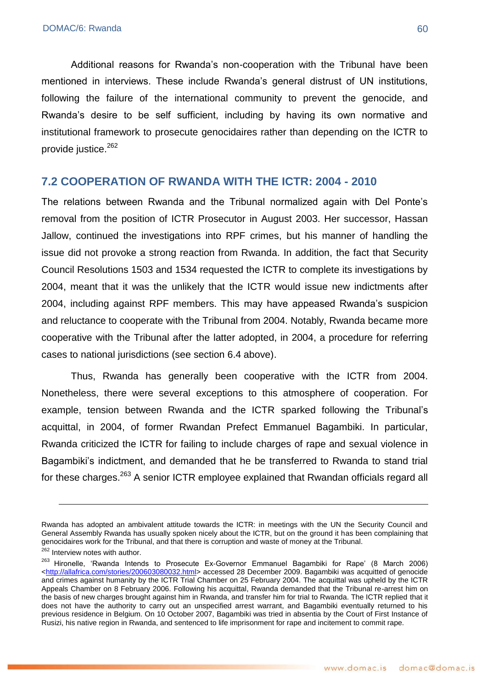Additional reasons for Rwanda's non-cooperation with the Tribunal have been mentioned in interviews. These include Rwanda's general distrust of UN institutions, following the failure of the international community to prevent the genocide, and Rwanda's desire to be self sufficient, including by having its own normative and institutional framework to prosecute genocidaires rather than depending on the ICTR to provide justice.<sup>262</sup>

#### **7.2 COOPERATION OF RWANDA WITH THE ICTR: 2004 - 2010**

The relations between Rwanda and the Tribunal normalized again with Del Ponte's removal from the position of ICTR Prosecutor in August 2003. Her successor, Hassan Jallow, continued the investigations into RPF crimes, but his manner of handling the issue did not provoke a strong reaction from Rwanda. In addition, the fact that Security Council Resolutions 1503 and 1534 requested the ICTR to complete its investigations by 2004, meant that it was the unlikely that the ICTR would issue new indictments after 2004, including against RPF members. This may have appeased Rwanda's suspicion and reluctance to cooperate with the Tribunal from 2004. Notably, Rwanda became more cooperative with the Tribunal after the latter adopted, in 2004, a procedure for referring cases to national jurisdictions (see section 6.4 above).

Thus, Rwanda has generally been cooperative with the ICTR from 2004. Nonetheless, there were several exceptions to this atmosphere of cooperation. For example, tension between Rwanda and the ICTR sparked following the Tribunal's acquittal, in 2004, of former Rwandan Prefect Emmanuel Bagambiki. In particular, Rwanda criticized the ICTR for failing to include charges of rape and sexual violence in Bagambiki's indictment, and demanded that he be transferred to Rwanda to stand trial for these charges.<sup>263</sup> A senior ICTR employee explained that Rwandan officials regard all

Rwanda has adopted an ambivalent attitude towards the ICTR: in meetings with the UN the Security Council and General Assembly Rwanda has usually spoken nicely about the ICTR, but on the ground it has been complaining that genocidaires work for the Tribunal, and that there is corruption and waste of money at the Tribunal.

<sup>&</sup>lt;sup>262</sup> Interview notes with author.

<sup>&</sup>lt;sup>263</sup> Hironelle, 'Rwanda Intends to Prosecute Ex-Governor Emmanuel Bagambiki for Rape' (8 March 2006) [<http://allafrica.com/stories/200603080032.html>](http://allafrica.com/stories/200603080032.html) accessed 28 December 2009. Bagambiki was acquitted of genocide and crimes against humanity by the ICTR Trial Chamber on 25 February 2004. The acquittal was upheld by the ICTR Appeals Chamber on 8 February 2006. Following his acquittal, Rwanda demanded that the Tribunal re-arrest him on the basis of new charges brought against him in Rwanda, and transfer him for trial to Rwanda. The ICTR replied that it does not have the authority to carry out an unspecified arrest warrant, and Bagambiki eventually returned to his previous residence in Belgium. On 10 October 2007, Bagambiki was tried in absentia by the Court of First Instance of Rusizi, his native region in Rwanda, and sentenced to life imprisonment for rape and incitement to commit rape.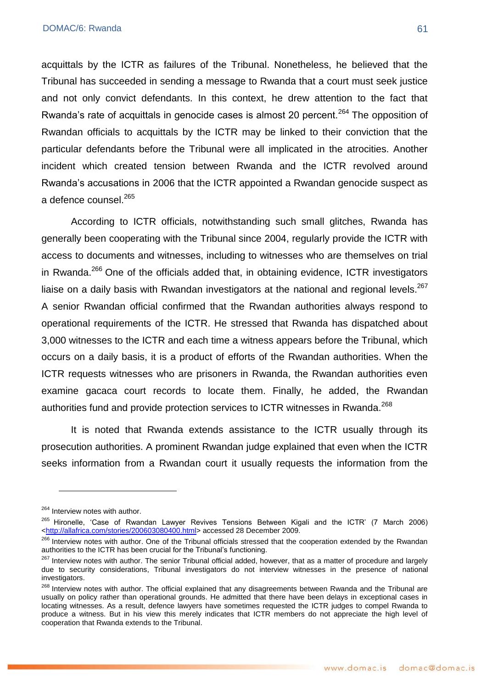acquittals by the ICTR as failures of the Tribunal. Nonetheless, he believed that the Tribunal has succeeded in sending a message to Rwanda that a court must seek justice and not only convict defendants. In this context, he drew attention to the fact that Rwanda's rate of acquittals in genocide cases is almost 20 percent.<sup>264</sup> The opposition of Rwandan officials to acquittals by the ICTR may be linked to their conviction that the particular defendants before the Tribunal were all implicated in the atrocities. Another incident which created tension between Rwanda and the ICTR revolved around Rwanda's accusations in 2006 that the ICTR appointed a Rwandan genocide suspect as a defence counsel.<sup>265</sup>

According to ICTR officials, notwithstanding such small glitches, Rwanda has generally been cooperating with the Tribunal since 2004, regularly provide the ICTR with access to documents and witnesses, including to witnesses who are themselves on trial in Rwanda. $^{266}$  One of the officials added that, in obtaining evidence, ICTR investigators liaise on a daily basis with Rwandan investigators at the national and regional levels.<sup>267</sup> A senior Rwandan official confirmed that the Rwandan authorities always respond to operational requirements of the ICTR. He stressed that Rwanda has dispatched about 3,000 witnesses to the ICTR and each time a witness appears before the Tribunal, which occurs on a daily basis, it is a product of efforts of the Rwandan authorities. When the ICTR requests witnesses who are prisoners in Rwanda, the Rwandan authorities even examine gacaca court records to locate them. Finally, he added, the Rwandan authorities fund and provide protection services to ICTR witnesses in Rwanda.<sup>268</sup>

It is noted that Rwanda extends assistance to the ICTR usually through its prosecution authorities. A prominent Rwandan judge explained that even when the ICTR seeks information from a Rwandan court it usually requests the information from the

<sup>&</sup>lt;sup>264</sup> Interview notes with author.

<sup>&</sup>lt;sup>265</sup> Hironelle, 'Case of Rwandan Lawyer Revives Tensions Between Kigali and the ICTR' (7 March 2006) [<http://allafrica.com/stories/200603080400.html>](http://allafrica.com/stories/200603080400.html) accessed 28 December 2009.

<sup>&</sup>lt;sup>266</sup> Interview notes with author. One of the Tribunal officials stressed that the cooperation extended by the Rwandan authorities to the ICTR has been crucial for the Tribunal's functioning.

<sup>&</sup>lt;sup>267</sup> Interview notes with author. The senior Tribunal official added, however, that as a matter of procedure and largely due to security considerations, Tribunal investigators do not interview witnesses in the presence of national investigators.

<sup>&</sup>lt;sup>268</sup> Interview notes with author. The official explained that any disagreements between Rwanda and the Tribunal are usually on policy rather than operational grounds. He admitted that there have been delays in exceptional cases in locating witnesses. As a result, defence lawyers have sometimes requested the ICTR judges to compel Rwanda to produce a witness. But in his view this merely indicates that ICTR members do not appreciate the high level of cooperation that Rwanda extends to the Tribunal.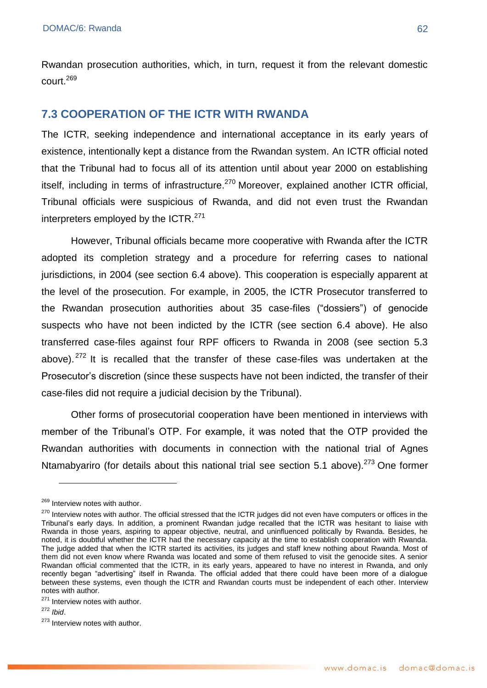Rwandan prosecution authorities, which, in turn, request it from the relevant domestic court.<sup>269</sup>

# **7.3 COOPERATION OF THE ICTR WITH RWANDA**

The ICTR, seeking independence and international acceptance in its early years of existence, intentionally kept a distance from the Rwandan system. An ICTR official noted that the Tribunal had to focus all of its attention until about year 2000 on establishing itself, including in terms of infrastructure. $270$  Moreover, explained another ICTR official, Tribunal officials were suspicious of Rwanda, and did not even trust the Rwandan interpreters employed by the ICTR.<sup>271</sup>

However, Tribunal officials became more cooperative with Rwanda after the ICTR adopted its completion strategy and a procedure for referring cases to national jurisdictions, in 2004 (see section 6.4 above). This cooperation is especially apparent at the level of the prosecution. For example, in 2005, the ICTR Prosecutor transferred to the Rwandan prosecution authorities about 35 case-files ("dossiers") of genocide suspects who have not been indicted by the ICTR (see section 6.4 above). He also transferred case-files against four RPF officers to Rwanda in 2008 (see section 5.3 above).<sup>272</sup> It is recalled that the transfer of these case-files was undertaken at the Prosecutor's discretion (since these suspects have not been indicted, the transfer of their case-files did not require a judicial decision by the Tribunal).

Other forms of prosecutorial cooperation have been mentioned in interviews with member of the Tribunal's OTP. For example, it was noted that the OTP provided the Rwandan authorities with documents in connection with the national trial of Agnes Ntamabyariro (for details about this national trial see section 5.1 above).<sup>273</sup> One former

<sup>271</sup> Interview notes with author.

<sup>272</sup> *Ibid*.

<sup>&</sup>lt;sup>269</sup> Interview notes with author.

<sup>&</sup>lt;sup>270</sup> Interview notes with author. The official stressed that the ICTR judges did not even have computers or offices in the Tribunal's early days. In addition, a prominent Rwandan judge recalled that the ICTR was hesitant to liaise with Rwanda in those years, aspiring to appear objective, neutral, and uninfluenced politically by Rwanda. Besides, he noted, it is doubtful whether the ICTR had the necessary capacity at the time to establish cooperation with Rwanda. The judge added that when the ICTR started its activities, its judges and staff knew nothing about Rwanda. Most of them did not even know where Rwanda was located and some of them refused to visit the genocide sites. A senior Rwandan official commented that the ICTR, in its early years, appeared to have no interest in Rwanda, and only recently began "advertising" itself in Rwanda. The official added that there could have been more of a dialogue between these systems, even though the ICTR and Rwandan courts must be independent of each other. Interview notes with author.

<sup>&</sup>lt;sup>273</sup> Interview notes with author.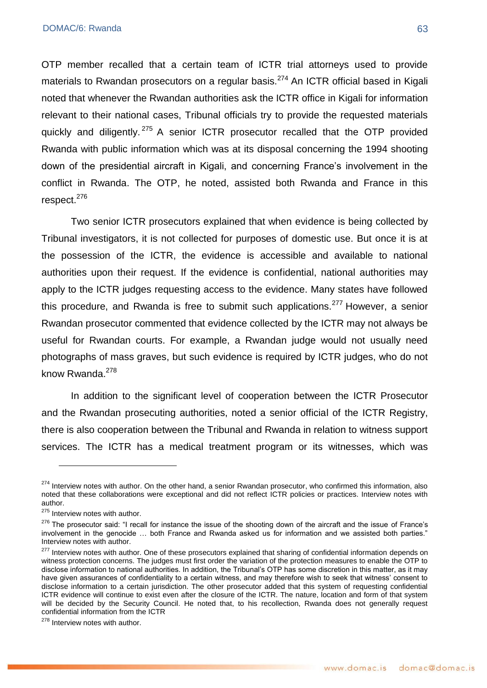OTP member recalled that a certain team of ICTR trial attorneys used to provide materials to Rwandan prosecutors on a regular basis.<sup>274</sup> An ICTR official based in Kigali noted that whenever the Rwandan authorities ask the ICTR office in Kigali for information relevant to their national cases, Tribunal officials try to provide the requested materials quickly and diligently. <sup>275</sup> A senior ICTR prosecutor recalled that the OTP provided Rwanda with public information which was at its disposal concerning the 1994 shooting down of the presidential aircraft in Kigali, and concerning France's involvement in the conflict in Rwanda. The OTP, he noted, assisted both Rwanda and France in this respect.<sup>276</sup>

Two senior ICTR prosecutors explained that when evidence is being collected by Tribunal investigators, it is not collected for purposes of domestic use. But once it is at the possession of the ICTR, the evidence is accessible and available to national authorities upon their request. If the evidence is confidential, national authorities may apply to the ICTR judges requesting access to the evidence. Many states have followed this procedure, and Rwanda is free to submit such applications.<sup>277</sup> However, a senior Rwandan prosecutor commented that evidence collected by the ICTR may not always be useful for Rwandan courts. For example, a Rwandan judge would not usually need photographs of mass graves, but such evidence is required by ICTR judges, who do not know Rwanda. $278$ 

In addition to the significant level of cooperation between the ICTR Prosecutor and the Rwandan prosecuting authorities, noted a senior official of the ICTR Registry, there is also cooperation between the Tribunal and Rwanda in relation to witness support services. The ICTR has a medical treatment program or its witnesses, which was

<sup>&</sup>lt;sup>274</sup> Interview notes with author. On the other hand, a senior Rwandan prosecutor, who confirmed this information, also noted that these collaborations were exceptional and did not reflect ICTR policies or practices. Interview notes with author.

<sup>&</sup>lt;sup>275</sup> Interview notes with author.

<sup>276</sup> The prosecutor said: "I recall for instance the issue of the shooting down of the aircraft and the issue of France's involvement in the genocide ... both France and Rwanda asked us for information and we assisted both parties." Interview notes with author.

<sup>&</sup>lt;sup>277</sup> Interview notes with author. One of these prosecutors explained that sharing of confidential information depends on witness protection concerns. The judges must first order the variation of the protection measures to enable the OTP to disclose information to national authorities. In addition, the Tribunal's OTP has some discretion in this matter, as it may have given assurances of confidentiality to a certain witness, and may therefore wish to seek that witness' consent to disclose information to a certain jurisdiction. The other prosecutor added that this system of requesting confidential ICTR evidence will continue to exist even after the closure of the ICTR. The nature, location and form of that system will be decided by the Security Council. He noted that, to his recollection, Rwanda does not generally request confidential information from the ICTR

<sup>&</sup>lt;sup>278</sup> Interview notes with author.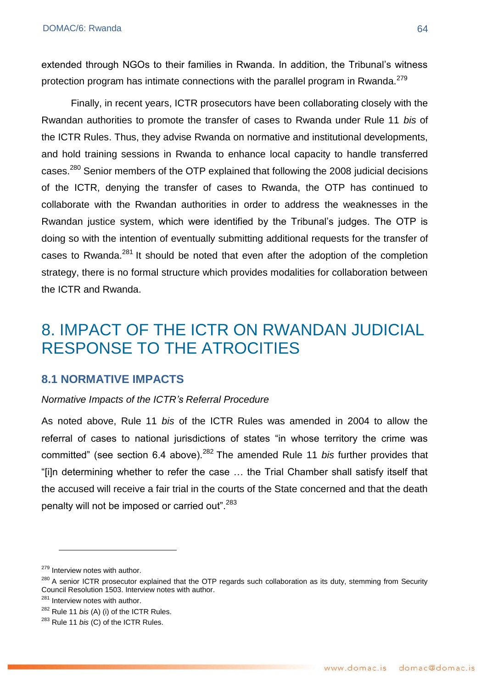extended through NGOs to their families in Rwanda. In addition, the Tribunal's witness protection program has intimate connections with the parallel program in Rwanda.<sup>279</sup>

Finally, in recent years, ICTR prosecutors have been collaborating closely with the Rwandan authorities to promote the transfer of cases to Rwanda under Rule 11 *bis* of the ICTR Rules. Thus, they advise Rwanda on normative and institutional developments, and hold training sessions in Rwanda to enhance local capacity to handle transferred cases.<sup>280</sup> Senior members of the OTP explained that following the 2008 judicial decisions of the ICTR, denying the transfer of cases to Rwanda, the OTP has continued to collaborate with the Rwandan authorities in order to address the weaknesses in the Rwandan justice system, which were identified by the Tribunal's judges. The OTP is doing so with the intention of eventually submitting additional requests for the transfer of cases to Rwanda.<sup>281</sup> It should be noted that even after the adoption of the completion strategy, there is no formal structure which provides modalities for collaboration between the ICTR and Rwanda.

# 8. IMPACT OF THE ICTR ON RWANDAN JUDICIAL RESPONSE TO THE ATROCITIES

### **8.1 NORMATIVE IMPACTS**

#### *Normative Impacts of the ICTR's Referral Procedure*

As noted above, Rule 11 *bis* of the ICTR Rules was amended in 2004 to allow the referral of cases to national jurisdictions of states "in whose territory the crime was committed" (see section 6.4 above).<sup>282</sup> The amended Rule 11 *bis* further provides that ―[i]n determining whether to refer the case … the Trial Chamber shall satisfy itself that the accused will receive a fair trial in the courts of the State concerned and that the death penalty will not be imposed or carried out".<sup>283</sup>

<sup>&</sup>lt;sup>279</sup> Interview notes with author.

<sup>&</sup>lt;sup>280</sup> A senior ICTR prosecutor explained that the OTP regards such collaboration as its duty, stemming from Security Council Resolution 1503. Interview notes with author.

<sup>&</sup>lt;sup>281</sup> Interview notes with author.

<sup>282</sup> Rule 11 *bis* (A) (i) of the ICTR Rules.

<sup>283</sup> Rule 11 *bis* (C) of the ICTR Rules.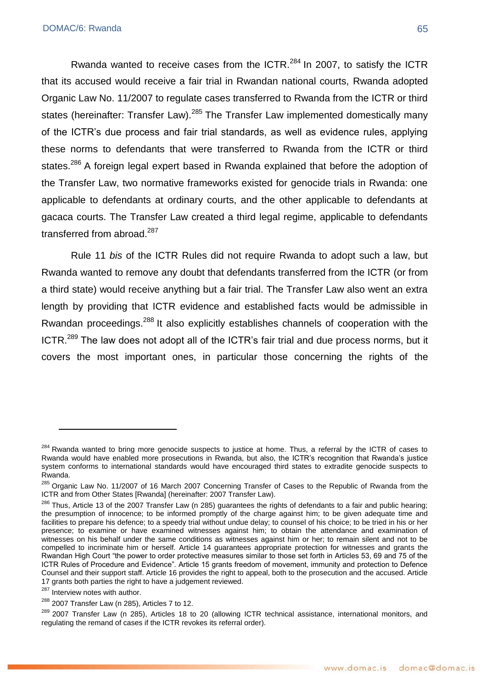Rwanda wanted to receive cases from the  $ICTR$ <sup>284</sup> In 2007, to satisfy the ICTR that its accused would receive a fair trial in Rwandan national courts, Rwanda adopted Organic Law No. 11/2007 to regulate cases transferred to Rwanda from the ICTR or third states (hereinafter: Transfer Law).<sup>285</sup> The Transfer Law implemented domestically many of the ICTR's due process and fair trial standards, as well as evidence rules, applying these norms to defendants that were transferred to Rwanda from the ICTR or third states.<sup>286</sup> A foreign legal expert based in Rwanda explained that before the adoption of the Transfer Law, two normative frameworks existed for genocide trials in Rwanda: one applicable to defendants at ordinary courts, and the other applicable to defendants at gacaca courts. The Transfer Law created a third legal regime, applicable to defendants transferred from abroad.<sup>287</sup>

Rule 11 *bis* of the ICTR Rules did not require Rwanda to adopt such a law, but Rwanda wanted to remove any doubt that defendants transferred from the ICTR (or from a third state) would receive anything but a fair trial. The Transfer Law also went an extra length by providing that ICTR evidence and established facts would be admissible in Rwandan proceedings.<sup>288</sup> It also explicitly establishes channels of cooperation with the ICTR.<sup>289</sup> The law does not adopt all of the ICTR's fair trial and due process norms, but it covers the most important ones, in particular those concerning the rights of the

<sup>&</sup>lt;sup>284</sup> Rwanda wanted to bring more genocide suspects to justice at home. Thus, a referral by the ICTR of cases to Rwanda would have enabled more prosecutions in Rwanda, but also, the ICTR's recognition that Rwanda's justice system conforms to international standards would have encouraged third states to extradite genocide suspects to Rwanda.

<sup>&</sup>lt;sup>285</sup> Organic Law No. 11/2007 of 16 March 2007 Concerning Transfer of Cases to the Republic of Rwanda from the ICTR and from Other States [Rwanda] (hereinafter: 2007 Transfer Law).

<sup>&</sup>lt;sup>286</sup> Thus. Article 13 of the 2007 Transfer Law (n 285) guarantees the rights of defendants to a fair and public hearing; the presumption of innocence; to be informed promptly of the charge against him; to be given adequate time and facilities to prepare his defence; to a speedy trial without undue delay; to counsel of his choice; to be tried in his or her presence; to examine or have examined witnesses against him; to obtain the attendance and examination of witnesses on his behalf under the same conditions as witnesses against him or her; to remain silent and not to be compelled to incriminate him or herself. Article 14 guarantees appropriate protection for witnesses and grants the Rwandan High Court "the power to order protective measures similar to those set forth in Articles 53, 69 and 75 of the ICTR Rules of Procedure and Evidence". Article 15 grants freedom of movement, immunity and protection to Defence Counsel and their support staff. Article 16 provides the right to appeal, both to the prosecution and the accused. Article 17 grants both parties the right to have a judgement reviewed.

<sup>&</sup>lt;sup>287</sup> Interview notes with author.

<sup>&</sup>lt;sup>288</sup> 2007 Transfer Law (n 285), Articles 7 to 12.

<sup>&</sup>lt;sup>289</sup> 2007 Transfer Law (n 285), Articles 18 to 20 (allowing ICTR technical assistance, international monitors, and regulating the remand of cases if the ICTR revokes its referral order).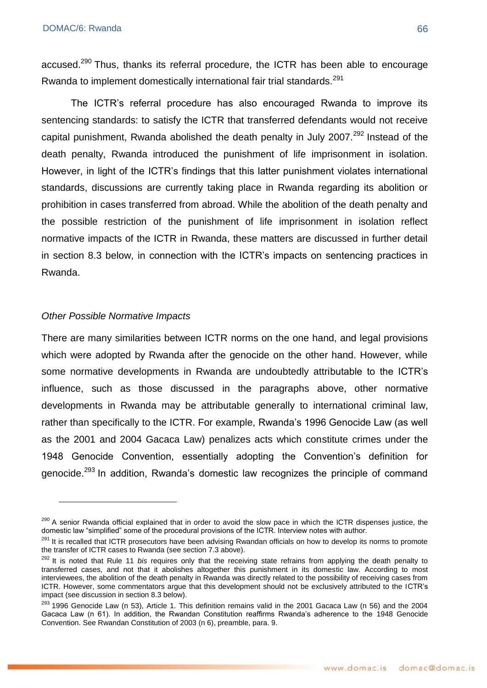accused.<sup>290</sup> Thus, thanks its referral procedure, the ICTR has been able to encourage Rwanda to implement domestically international fair trial standards.<sup>291</sup>

The ICTR's referral procedure has also encouraged Rwanda to improve its sentencing standards: to satisfy the ICTR that transferred defendants would not receive capital punishment, Rwanda abolished the death penalty in July 2007.<sup>292</sup> Instead of the death penalty, Rwanda introduced the punishment of life imprisonment in isolation. However, in light of the ICTR's findings that this latter punishment violates international standards, discussions are currently taking place in Rwanda regarding its abolition or prohibition in cases transferred from abroad. While the abolition of the death penalty and the possible restriction of the punishment of life imprisonment in isolation reflect normative impacts of the ICTR in Rwanda, these matters are discussed in further detail in section 8.3 below, in connection with the ICTR's impacts on sentencing practices in Rwanda.

#### *Other Possible Normative Impacts*

<u>.</u>

There are many similarities between ICTR norms on the one hand, and legal provisions which were adopted by Rwanda after the genocide on the other hand. However, while some normative developments in Rwanda are undoubtedly attributable to the ICTR's influence, such as those discussed in the paragraphs above, other normative developments in Rwanda may be attributable generally to international criminal law, rather than specifically to the ICTR. For example, Rwanda's 1996 Genocide Law (as well as the 2001 and 2004 Gacaca Law) penalizes acts which constitute crimes under the 1948 Genocide Convention, essentially adopting the Convention's definition for genocide.<sup>293</sup> In addition, Rwanda's domestic law recognizes the principle of command

<sup>&</sup>lt;sup>290</sup> A senior Rwanda official explained that in order to avoid the slow pace in which the ICTR dispenses justice, the domestic law "simplified" some of the procedural provisions of the ICTR. Interview notes with author.

<sup>&</sup>lt;sup>291</sup> It is recalled that ICTR prosecutors have been advising Rwandan officials on how to develop its norms to promote the transfer of ICTR cases to Rwanda (see section 7.3 above).

<sup>&</sup>lt;sup>292</sup> It is noted that Rule 11 *bis* requires only that the receiving state refrains from applying the death penalty to transferred cases, and not that it abolishes altogether this punishment in its domestic law. According to most interviewees, the abolition of the death penalty in Rwanda was directly related to the possibility of receiving cases from ICTR. However, some commentators argue that this development should not be exclusively attributed to the ICTR's impact (see discussion in section 8.3 below).

 $293$  1996 Genocide Law (n 53), Article 1. This definition remains valid in the 2001 Gacaca Law (n 56) and the 2004 Gacaca Law (n 61). In addition, the Rwandan Constitution reaffirms Rwanda's adherence to the 1948 Genocide Convention. See Rwandan Constitution of 2003 (n 6), preamble, para. 9.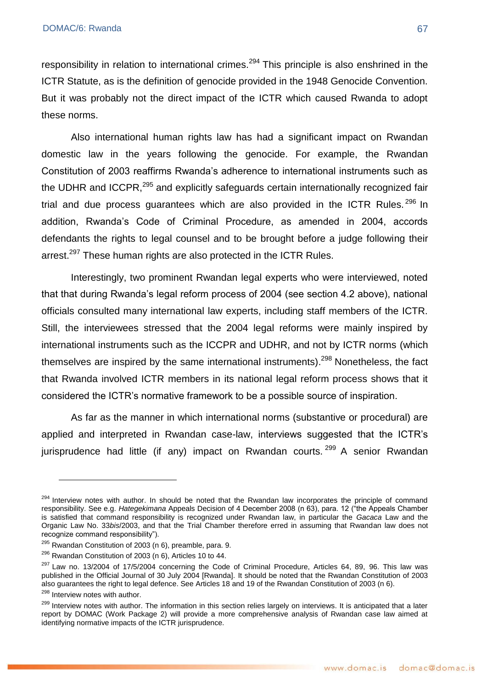responsibility in relation to international crimes.<sup>294</sup> This principle is also enshrined in the ICTR Statute, as is the definition of genocide provided in the 1948 Genocide Convention. But it was probably not the direct impact of the ICTR which caused Rwanda to adopt these norms.

Also international human rights law has had a significant impact on Rwandan domestic law in the years following the genocide. For example, the Rwandan Constitution of 2003 reaffirms Rwanda's adherence to international instruments such as the UDHR and ICCPR,<sup>295</sup> and explicitly safeguards certain internationally recognized fair trial and due process guarantees which are also provided in the ICTR Rules.  $296$  In addition, Rwanda's Code of Criminal Procedure, as amended in 2004, accords defendants the rights to legal counsel and to be brought before a judge following their arrest.<sup>297</sup> These human rights are also protected in the ICTR Rules.

Interestingly, two prominent Rwandan legal experts who were interviewed, noted that that during Rwanda's legal reform process of 2004 (see section 4.2 above), national officials consulted many international law experts, including staff members of the ICTR. Still, the interviewees stressed that the 2004 legal reforms were mainly inspired by international instruments such as the ICCPR and UDHR, and not by ICTR norms (which themselves are inspired by the same international instruments).<sup>298</sup> Nonetheless, the fact that Rwanda involved ICTR members in its national legal reform process shows that it considered the ICTR's normative framework to be a possible source of inspiration.

As far as the manner in which international norms (substantive or procedural) are applied and interpreted in Rwandan case-law, interviews suggested that the ICTR's iurisprudence had little (if any) impact on Rwandan courts.  $299$  A senior Rwandan

<sup>&</sup>lt;sup>294</sup> Interview notes with author. In should be noted that the Rwandan law incorporates the principle of command responsibility. See e.g. *Hategekimana* Appeals Decision of 4 December 2008 (n 63), para. 12 ("the Appeals Chamber is satisfied that command responsibility is recognized under Rwandan law, in particular the *Gacaca* Law and the Organic Law No. 33*bis*/2003, and that the Trial Chamber therefore erred in assuming that Rwandan law does not recognize command responsibility").

 $295$  Rwandan Constitution of 2003 (n 6), preamble, para. 9.

 $296$  Rwandan Constitution of 2003 (n 6), Articles 10 to 44.

 $297$  Law no. 13/2004 of 17/5/2004 concerning the Code of Criminal Procedure, Articles 64, 89, 96. This law was published in the Official Journal of 30 July 2004 [Rwanda]. It should be noted that the Rwandan Constitution of 2003 also guarantees the right to legal defence. See Articles 18 and 19 of the Rwandan Constitution of 2003 (n 6).

<sup>&</sup>lt;sup>298</sup> Interview notes with author.

<sup>&</sup>lt;sup>299</sup> Interview notes with author. The information in this section relies largely on interviews. It is anticipated that a later report by DOMAC (Work Package 2) will provide a more comprehensive analysis of Rwandan case law aimed at identifying normative impacts of the ICTR jurisprudence.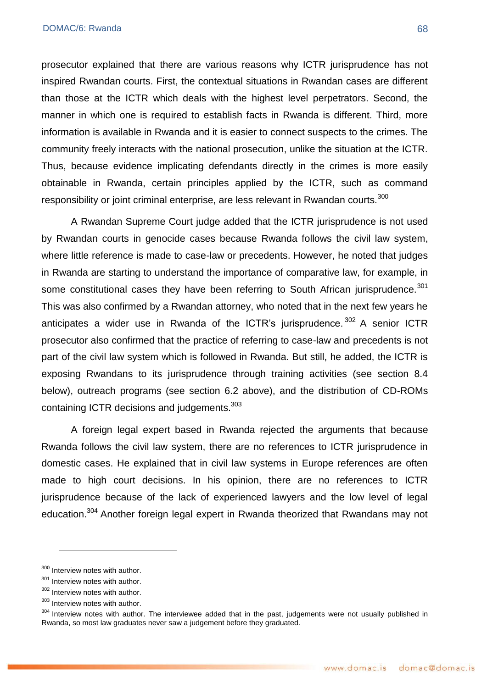prosecutor explained that there are various reasons why ICTR jurisprudence has not inspired Rwandan courts. First, the contextual situations in Rwandan cases are different than those at the ICTR which deals with the highest level perpetrators. Second, the manner in which one is required to establish facts in Rwanda is different. Third, more information is available in Rwanda and it is easier to connect suspects to the crimes. The community freely interacts with the national prosecution, unlike the situation at the ICTR. Thus, because evidence implicating defendants directly in the crimes is more easily obtainable in Rwanda, certain principles applied by the ICTR, such as command responsibility or joint criminal enterprise, are less relevant in Rwandan courts.<sup>300</sup>

A Rwandan Supreme Court judge added that the ICTR jurisprudence is not used by Rwandan courts in genocide cases because Rwanda follows the civil law system, where little reference is made to case-law or precedents. However, he noted that judges in Rwanda are starting to understand the importance of comparative law, for example, in some constitutional cases they have been referring to South African jurisprudence.<sup>301</sup> This was also confirmed by a Rwandan attorney, who noted that in the next few years he anticipates a wider use in Rwanda of the ICTR's jurisprudence.  $302$  A senior ICTR prosecutor also confirmed that the practice of referring to case-law and precedents is not part of the civil law system which is followed in Rwanda. But still, he added, the ICTR is exposing Rwandans to its jurisprudence through training activities (see section 8.4 below), outreach programs (see section 6.2 above), and the distribution of CD-ROMs containing ICTR decisions and judgements.<sup>303</sup>

A foreign legal expert based in Rwanda rejected the arguments that because Rwanda follows the civil law system, there are no references to ICTR jurisprudence in domestic cases. He explained that in civil law systems in Europe references are often made to high court decisions. In his opinion, there are no references to ICTR jurisprudence because of the lack of experienced lawyers and the low level of legal education.<sup>304</sup> Another foreign legal expert in Rwanda theorized that Rwandans may not

<sup>300</sup> Interview notes with author.

 $301$  Interview notes with author.

<sup>302</sup> Interview notes with author.

<sup>&</sup>lt;sup>303</sup> Interview notes with author.

<sup>304</sup> Interview notes with author. The interviewee added that in the past, judgements were not usually published in Rwanda, so most law graduates never saw a judgement before they graduated.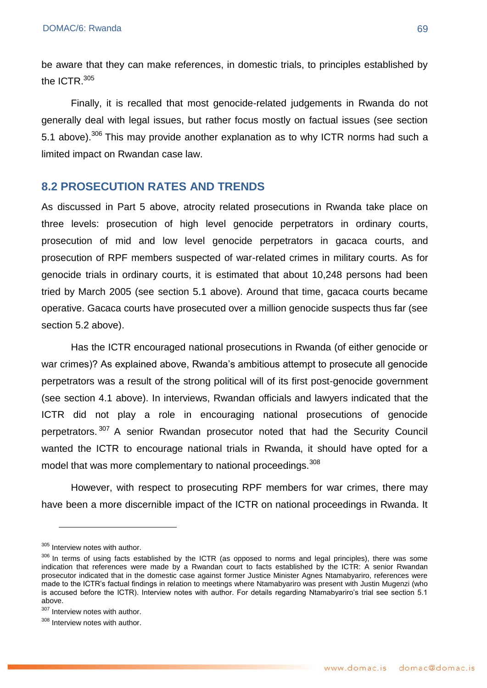be aware that they can make references, in domestic trials, to principles established by the  $ICTR$ <sup>305</sup>

Finally, it is recalled that most genocide-related judgements in Rwanda do not generally deal with legal issues, but rather focus mostly on factual issues (see section 5.1 above).<sup>306</sup> This mav provide another explanation as to why ICTR norms had such a limited impact on Rwandan case law.

#### **8.2 PROSECUTION RATES AND TRENDS**

As discussed in Part 5 above, atrocity related prosecutions in Rwanda take place on three levels: prosecution of high level genocide perpetrators in ordinary courts, prosecution of mid and low level genocide perpetrators in gacaca courts, and prosecution of RPF members suspected of war-related crimes in military courts. As for genocide trials in ordinary courts, it is estimated that about 10,248 persons had been tried by March 2005 (see section 5.1 above). Around that time, gacaca courts became operative. Gacaca courts have prosecuted over a million genocide suspects thus far (see section 5.2 above).

Has the ICTR encouraged national prosecutions in Rwanda (of either genocide or war crimes)? As explained above, Rwanda's ambitious attempt to prosecute all genocide perpetrators was a result of the strong political will of its first post-genocide government (see section 4.1 above). In interviews, Rwandan officials and lawyers indicated that the ICTR did not play a role in encouraging national prosecutions of genocide perpetrators. <sup>307</sup> A senior Rwandan prosecutor noted that had the Security Council wanted the ICTR to encourage national trials in Rwanda, it should have opted for a model that was more complementary to national proceedings. 308

However, with respect to prosecuting RPF members for war crimes, there may have been a more discernible impact of the ICTR on national proceedings in Rwanda. It

<sup>305</sup> Interview notes with author.

<sup>&</sup>lt;sup>306</sup> In terms of using facts established by the ICTR (as opposed to norms and legal principles), there was some indication that references were made by a Rwandan court to facts established by the ICTR: A senior Rwandan prosecutor indicated that in the domestic case against former Justice Minister Agnes Ntamabyariro, references were made to the ICTR's factual findings in relation to meetings where Ntamabyariro was present with Justin Mugenzi (who is accused before the ICTR). Interview notes with author. For details regarding Ntamabyariro's trial see section 5.1 above.

<sup>307</sup> Interview notes with author.

<sup>308</sup> Interview notes with author.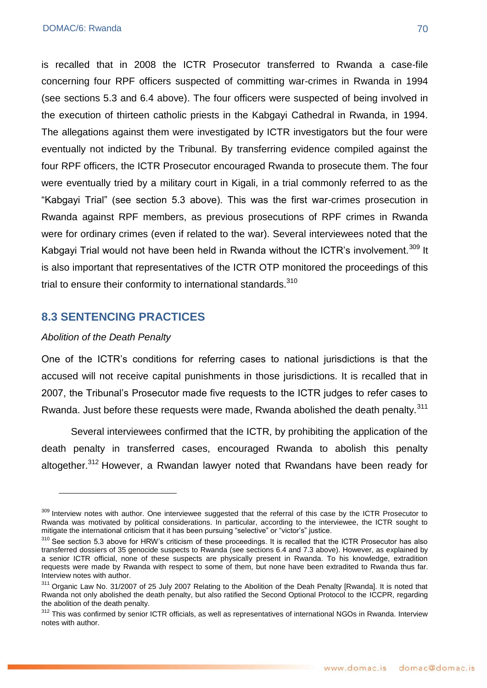is recalled that in 2008 the ICTR Prosecutor transferred to Rwanda a case-file concerning four RPF officers suspected of committing war-crimes in Rwanda in 1994 (see sections 5.3 and 6.4 above). The four officers were suspected of being involved in the execution of thirteen catholic priests in the Kabgayi Cathedral in Rwanda, in 1994. The allegations against them were investigated by ICTR investigators but the four were eventually not indicted by the Tribunal. By transferring evidence compiled against the four RPF officers, the ICTR Prosecutor encouraged Rwanda to prosecute them. The four were eventually tried by a military court in Kigali, in a trial commonly referred to as the ―Kabgayi Trial‖ (see section 5.3 above). This was the first war-crimes prosecution in Rwanda against RPF members, as previous prosecutions of RPF crimes in Rwanda were for ordinary crimes (even if related to the war). Several interviewees noted that the Kabgayi Trial would not have been held in Rwanda without the ICTR's involvement.<sup>309</sup> It is also important that representatives of the ICTR OTP monitored the proceedings of this trial to ensure their conformity to international standards.<sup>310</sup>

# **8.3 SENTENCING PRACTICES**

#### *Abolition of the Death Penalty*

1

One of the ICTR's conditions for referring cases to national jurisdictions is that the accused will not receive capital punishments in those jurisdictions. It is recalled that in 2007, the Tribunal's Prosecutor made five requests to the ICTR judges to refer cases to Rwanda. Just before these requests were made, Rwanda abolished the death penalty.<sup>311</sup>

Several interviewees confirmed that the ICTR, by prohibiting the application of the death penalty in transferred cases, encouraged Rwanda to abolish this penalty altogether.<sup>312</sup> However, a Rwandan lawyer noted that Rwandans have been ready for

<sup>&</sup>lt;sup>309</sup> Interview notes with author. One interviewee suggested that the referral of this case by the ICTR Prosecutor to Rwanda was motivated by political considerations. In particular, according to the interviewee, the ICTR sought to mitigate the international criticism that it has been pursuing "selective" or "victor's" justice.

 $310$  See section 5.3 above for HRW's criticism of these proceedings. It is recalled that the ICTR Prosecutor has also transferred dossiers of 35 genocide suspects to Rwanda (see sections 6.4 and 7.3 above). However, as explained by a senior ICTR official, none of these suspects are physically present in Rwanda. To his knowledge, extradition requests were made by Rwanda with respect to some of them, but none have been extradited to Rwanda thus far. Interview notes with author.

<sup>&</sup>lt;sup>311</sup> Organic Law No. 31/2007 of 25 July 2007 Relating to the Abolition of the Deah Penalty [Rwanda]. It is noted that Rwanda not only abolished the death penalty, but also ratified the Second Optional Protocol to the ICCPR, regarding the abolition of the death penalty.

<sup>312</sup> This was confirmed by senior ICTR officials, as well as representatives of international NGOs in Rwanda. Interview notes with author.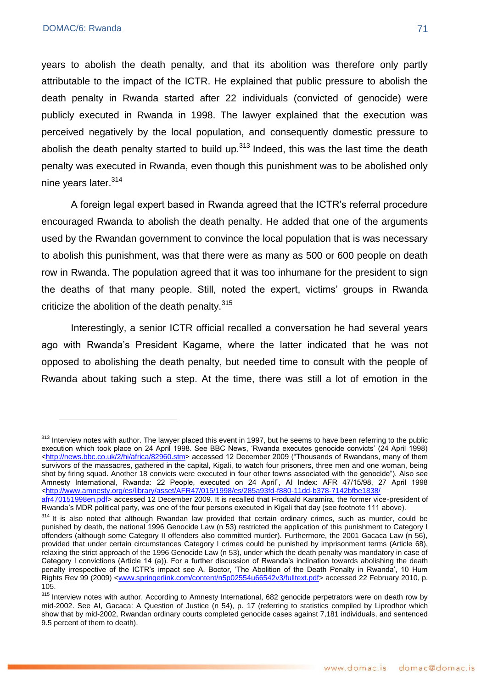<u>.</u>

years to abolish the death penalty, and that its abolition was therefore only partly attributable to the impact of the ICTR. He explained that public pressure to abolish the death penalty in Rwanda started after 22 individuals (convicted of genocide) were publicly executed in Rwanda in 1998. The lawyer explained that the execution was perceived negatively by the local population, and consequently domestic pressure to abolish the death penalty started to build up. $^{313}$  Indeed, this was the last time the death penalty was executed in Rwanda, even though this punishment was to be abolished only nine years later.<sup>314</sup>

A foreign legal expert based in Rwanda agreed that the ICTR's referral procedure encouraged Rwanda to abolish the death penalty. He added that one of the arguments used by the Rwandan government to convince the local population that is was necessary to abolish this punishment, was that there were as many as 500 or 600 people on death row in Rwanda. The population agreed that it was too inhumane for the president to sign the deaths of that many people. Still, noted the expert, victims' groups in Rwanda criticize the abolition of the death penalty.<sup>315</sup>

Interestingly, a senior ICTR official recalled a conversation he had several years ago with Rwanda's President Kagame, where the latter indicated that he was not opposed to abolishing the death penalty, but needed time to consult with the people of Rwanda about taking such a step. At the time, there was still a lot of emotion in the

<sup>&</sup>lt;sup>313</sup> Interview notes with author. The lawyer placed this event in 1997, but he seems to have been referring to the public execution which took place on 24 April 1998. See BBC News, 'Rwanda executes genocide convicts' (24 April 1998) [<http://news.bbc.co.uk/2/hi/africa/82960.stm>](http://news.bbc.co.uk/2/hi/africa/82960.stm) accessed 12 December 2009 ("Thousands of Rwandans, many of them survivors of the massacres, gathered in the capital, Kigali, to watch four prisoners, three men and one woman, being shot by firing squad. Another 18 convicts were executed in four other towns associated with the genocide"). Also see Amnesty International, Rwanda: 22 People, executed on 24 April", AI Index: AFR 47/15/98, 27 April 1998 [<http://www.amnesty.org/es/library/asset/AFR47/015/1998/es/285a93fd-f880-11dd-b378-7142bfbe1838/](http://www.amnesty.org/es/library/asset/AFR47/015/1998/es/285a93fd-f880-11dd-b378-7142bfbe1838/%20afr470151998en.pdf)  [afr470151998en.pdf>](http://www.amnesty.org/es/library/asset/AFR47/015/1998/es/285a93fd-f880-11dd-b378-7142bfbe1838/%20afr470151998en.pdf) accessed 12 December 2009. It is recalled that Froduald Karamira, the former vice-president of Rwanda's MDR political party, was one of the four persons executed in Kigali that day (see footnote 111 above).

<sup>&</sup>lt;sup>314</sup> It is also noted that although Rwandan law provided that certain ordinary crimes, such as murder, could be punished by death, the national 1996 Genocide Law (n 53) restricted the application of this punishment to Category I offenders (although some Category II offenders also committed murder). Furthermore, the 2001 Gacaca Law (n 56), provided that under certain circumstances Category I crimes could be punished by imprisonment terms (Article 68), relaxing the strict approach of the 1996 Genocide Law (n 53), under which the death penalty was mandatory in case of Category I convictions (Article 14 (a)). For a further discussion of Rwanda's inclination towards abolishing the death penalty irrespective of the ICTR's impact see A. Boctor, 'The Abolition of the Death Penalty in Rwanda', 10 Hum Rights Rev 99 (2009) [<www.springerlink.com/content/n5p02554u66542v3/fulltext.pdf>](http://www.springerlink.com/content/n5p02554u66542v3/fulltext.pdf) accessed 22 February 2010, p. 105.

<sup>315</sup> Interview notes with author. According to Amnesty International, 682 genocide perpetrators were on death row by mid-2002. See AI, Gacaca: A Question of Justice (n 54), p. 17 (referring to statistics compiled by Liprodhor which show that by mid-2002, Rwandan ordinary courts completed genocide cases against 7,181 individuals, and sentenced 9.5 percent of them to death).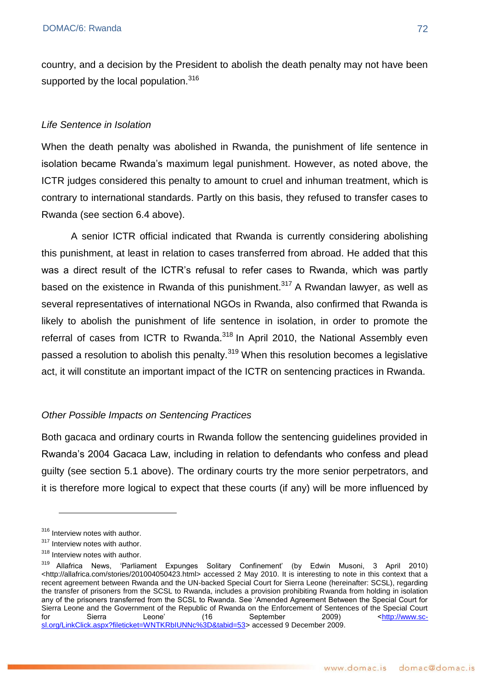country, and a decision by the President to abolish the death penalty may not have been supported by the local population.<sup>316</sup>

#### *Life Sentence in Isolation*

When the death penalty was abolished in Rwanda, the punishment of life sentence in isolation became Rwanda's maximum legal punishment. However, as noted above, the ICTR judges considered this penalty to amount to cruel and inhuman treatment, which is contrary to international standards. Partly on this basis, they refused to transfer cases to Rwanda (see section 6.4 above).

A senior ICTR official indicated that Rwanda is currently considering abolishing this punishment, at least in relation to cases transferred from abroad. He added that this was a direct result of the ICTR's refusal to refer cases to Rwanda, which was partly based on the existence in Rwanda of this punishment.<sup>317</sup> A Rwandan lawyer, as well as several representatives of international NGOs in Rwanda, also confirmed that Rwanda is likely to abolish the punishment of life sentence in isolation, in order to promote the referral of cases from ICTR to Rwanda.<sup>318</sup> In April 2010, the National Assembly even passed a resolution to abolish this penalty.<sup>319</sup> When this resolution becomes a legislative act, it will constitute an important impact of the ICTR on sentencing practices in Rwanda.

#### *Other Possible Impacts on Sentencing Practices*

Both gacaca and ordinary courts in Rwanda follow the sentencing guidelines provided in Rwanda's 2004 Gacaca Law, including in relation to defendants who confess and plead guilty (see section 5.1 above). The ordinary courts try the more senior perpetrators, and it is therefore more logical to expect that these courts (if any) will be more influenced by

<sup>316</sup> Interview notes with author.

<sup>&</sup>lt;sup>317</sup> Interview notes with author.

<sup>&</sup>lt;sup>318</sup> Interview notes with author.

<sup>&</sup>lt;sup>319</sup> Allafrica News, 'Parliament Expunges Solitary Confinement' (by Edwin Musoni, 3 April 2010) [<http://allafrica.com/stories/201004050423.html>](http://allafrica.com/stories/201004050423.html) accessed 2 May 2010. It is interesting to note in this context that a recent agreement between Rwanda and the UN-backed Special Court for Sierra Leone (hereinafter: SCSL), regarding the transfer of prisoners from the SCSL to Rwanda, includes a provision prohibiting Rwanda from holding in isolation any of the prisoners transferred from the SCSL to Rwanda. See ‗Amended Agreement Between the Special Court for Sierra Leone and the Government of the Republic of Rwanda on the Enforcement of Sentences of the Special Court for Sierra Leone' (16 September 2009) [<http://www.sc](http://www.sc-sl.org/LinkClick.aspx?fileticket=WNTKRbIUNNc%3D&tabid=53)[sl.org/LinkClick.aspx?fileticket=WNTKRbIUNNc%3D&tabid=53>](http://www.sc-sl.org/LinkClick.aspx?fileticket=WNTKRbIUNNc%3D&tabid=53) accessed 9 December 2009.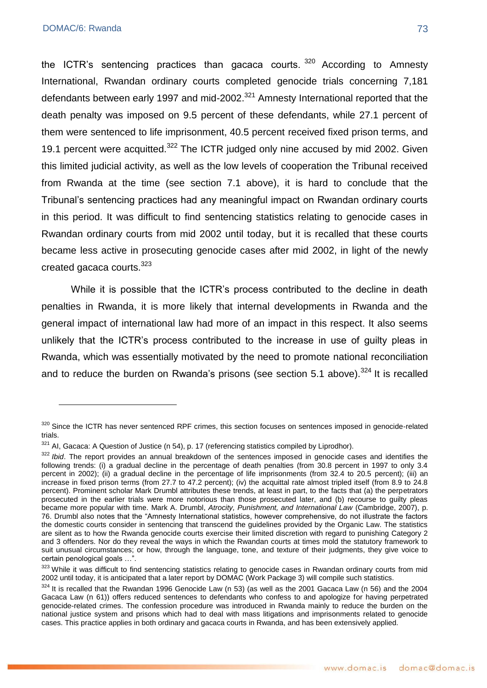1

the ICTR's sentencing practices than gacaca courts.  $320$  According to Amnesty International, Rwandan ordinary courts completed genocide trials concerning 7,181 defendants between early 1997 and mid-2002. $321$  Amnesty International reported that the death penalty was imposed on 9.5 percent of these defendants, while 27.1 percent of them were sentenced to life imprisonment, 40.5 percent received fixed prison terms, and 19.1 percent were acquitted. $322$  The ICTR judged only nine accused by mid 2002. Given this limited judicial activity, as well as the low levels of cooperation the Tribunal received from Rwanda at the time (see section 7.1 above), it is hard to conclude that the Tribunal's sentencing practices had any meaningful impact on Rwandan ordinary courts in this period. It was difficult to find sentencing statistics relating to genocide cases in Rwandan ordinary courts from mid 2002 until today, but it is recalled that these courts became less active in prosecuting genocide cases after mid 2002, in light of the newly created gacaca courts.<sup>323</sup>

While it is possible that the ICTR's process contributed to the decline in death penalties in Rwanda, it is more likely that internal developments in Rwanda and the general impact of international law had more of an impact in this respect. It also seems unlikely that the ICTR's process contributed to the increase in use of guilty pleas in Rwanda, which was essentially motivated by the need to promote national reconciliation and to reduce the burden on Rwanda's prisons (see section 5.1 above).<sup>324</sup> It is recalled

<sup>320</sup> Since the ICTR has never sentenced RPF crimes, this section focuses on sentences imposed in genocide-related trials.

<sup>321</sup> AI. Gacaca: A Question of Justice (n 54), p. 17 (referencing statistics compiled by Liprodhor).

<sup>&</sup>lt;sup>322</sup> *Ibid*. The report provides an annual breakdown of the sentences imposed in genocide cases and identifies the following trends: (i) a gradual decline in the percentage of death penalties (from 30.8 percent in 1997 to only 3.4 percent in 2002); (ii) a gradual decline in the percentage of life imprisonments (from 32.4 to 20.5 percent); (iii) an increase in fixed prison terms (from 27.7 to 47.2 percent); (iv) the acquittal rate almost tripled itself (from 8.9 to 24.8 percent). Prominent scholar Mark Drumbl attributes these trends, at least in part, to the facts that (a) the perpetrators prosecuted in the earlier trials were more notorious than those prosecuted later, and (b) recourse to guilty pleas became more popular with time. Mark A. Drumbl, *Atrocity, Punishment, and International Law* (Cambridge, 2007), p. 76. Drumbl also notes that the "Amnesty International statistics, however comprehensive, do not illustrate the factors the domestic courts consider in sentencing that transcend the guidelines provided by the Organic Law. The statistics are silent as to how the Rwanda genocide courts exercise their limited discretion with regard to punishing Category 2 and 3 offenders. Nor do they reveal the ways in which the Rwandan courts at times mold the statutory framework to suit unusual circumstances; or how, through the language, tone, and texture of their judgments, they give voice to certain penological goals ...".

<sup>323</sup> While it was difficult to find sentencing statistics relating to genocide cases in Rwandan ordinary courts from mid 2002 until today, it is anticipated that a later report by DOMAC (Work Package 3) will compile such statistics.

 $324$  It is recalled that the Rwandan 1996 Genocide Law (n 53) (as well as the 2001 Gacaca Law (n 56) and the 2004 Gacaca Law (n 61)) offers reduced sentences to defendants who confess to and apologize for having perpetrated genocide-related crimes. The confession procedure was introduced in Rwanda mainly to reduce the burden on the national justice system and prisons which had to deal with mass litigations and imprisonments related to genocide cases. This practice applies in both ordinary and gacaca courts in Rwanda, and has been extensively applied.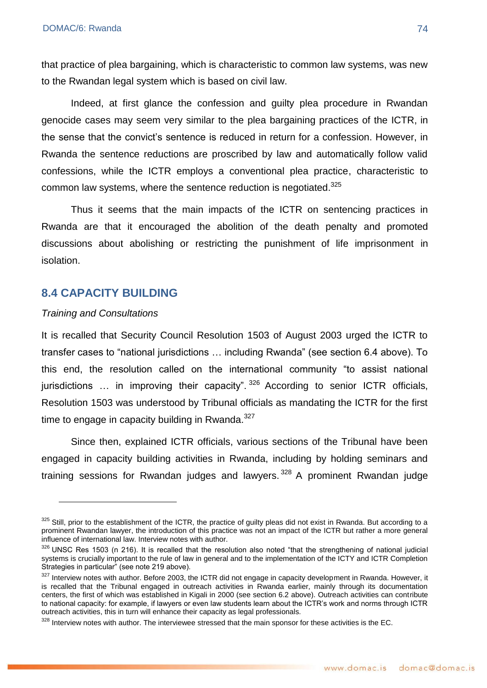that practice of plea bargaining, which is characteristic to common law systems, was new to the Rwandan legal system which is based on civil law.

Indeed, at first glance the confession and guilty plea procedure in Rwandan genocide cases may seem very similar to the plea bargaining practices of the ICTR, in the sense that the convict's sentence is reduced in return for a confession. However, in Rwanda the sentence reductions are proscribed by law and automatically follow valid confessions, while the ICTR employs a conventional plea practice, characteristic to common law systems, where the sentence reduction is negotiated.<sup>325</sup>

Thus it seems that the main impacts of the ICTR on sentencing practices in Rwanda are that it encouraged the abolition of the death penalty and promoted discussions about abolishing or restricting the punishment of life imprisonment in isolation.

### **8.4 CAPACITY BUILDING**

#### *Training and Consultations*

<u>.</u>

It is recalled that Security Council Resolution 1503 of August 2003 urged the ICTR to transfer cases to "national jurisdictions ... including Rwanda" (see section 6.4 above). To this end, the resolution called on the international community "to assist national jurisdictions ... in improving their capacity".  $326$  According to senior ICTR officials, Resolution 1503 was understood by Tribunal officials as mandating the ICTR for the first time to engage in capacity building in Rwanda.<sup>327</sup>

Since then, explained ICTR officials, various sections of the Tribunal have been engaged in capacity building activities in Rwanda, including by holding seminars and training sessions for Rwandan judges and lawyers.<sup>328</sup> A prominent Rwandan judge

<sup>325</sup> Still, prior to the establishment of the ICTR, the practice of guilty pleas did not exist in Rwanda. But according to a prominent Rwandan lawyer, the introduction of this practice was not an impact of the ICTR but rather a more general influence of international law. Interview notes with author.

 $326$  UNSC Res 1503 (n 216). It is recalled that the resolution also noted "that the strengthening of national judicial systems is crucially important to the rule of law in general and to the implementation of the ICTY and ICTR Completion Strategies in particular<sup>"</sup> (see note 219 above).

<sup>327</sup> Interview notes with author. Before 2003, the ICTR did not engage in capacity development in Rwanda. However, it is recalled that the Tribunal engaged in outreach activities in Rwanda earlier, mainly through its documentation centers, the first of which was established in Kigali in 2000 (see section 6.2 above). Outreach activities can contribute to national capacity: for example, if lawyers or even law students learn about the ICTR's work and norms through ICTR outreach activities, this in turn will enhance their capacity as legal professionals.

 $328$  Interview notes with author. The interviewee stressed that the main sponsor for these activities is the EC.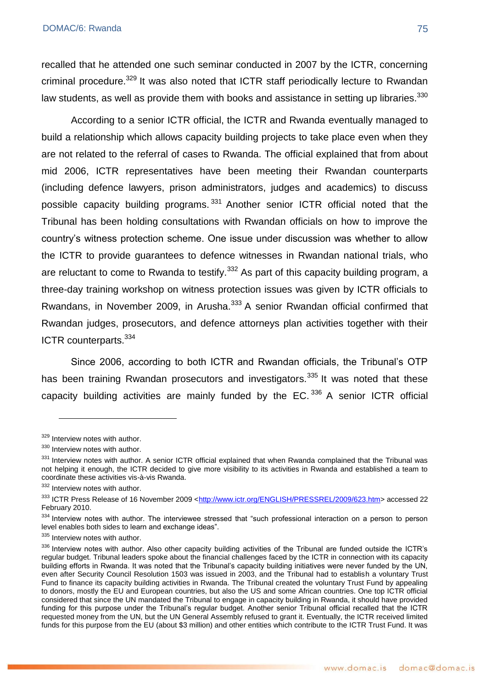recalled that he attended one such seminar conducted in 2007 by the ICTR, concerning criminal procedure.<sup>329</sup> It was also noted that ICTR staff periodically lecture to Rwandan law students, as well as provide them with books and assistance in setting up libraries.<sup>330</sup>

According to a senior ICTR official, the ICTR and Rwanda eventually managed to build a relationship which allows capacity building projects to take place even when they are not related to the referral of cases to Rwanda. The official explained that from about mid 2006, ICTR representatives have been meeting their Rwandan counterparts (including defence lawyers, prison administrators, judges and academics) to discuss possible capacity building programs.<sup>331</sup> Another senior ICTR official noted that the Tribunal has been holding consultations with Rwandan officials on how to improve the country's witness protection scheme. One issue under discussion was whether to allow the ICTR to provide guarantees to defence witnesses in Rwandan national trials, who are reluctant to come to Rwanda to testify.<sup>332</sup> As part of this capacity building program, a three-day training workshop on witness protection issues was given by ICTR officials to Rwandans, in November 2009, in Arusha.<sup>333</sup> A senior Rwandan official confirmed that Rwandan judges, prosecutors, and defence attorneys plan activities together with their ICTR counterparts.<sup>334</sup>

Since 2006, according to both ICTR and Rwandan officials, the Tribunal's OTP has been training Rwandan prosecutors and investigators.<sup>335</sup> It was noted that these capacity building activities are mainly funded by the  $EC$ .  $336$  A senior ICTR official

1

<sup>329</sup> Interview notes with author.

<sup>330</sup> Interview notes with author.

<sup>331</sup> Interview notes with author. A senior ICTR official explained that when Rwanda complained that the Tribunal was not helping it enough, the ICTR decided to give more visibility to its activities in Rwanda and established a team to coordinate these activities vis-à-vis Rwanda.

<sup>332</sup> Interview notes with author.

<sup>&</sup>lt;sup>333</sup> ICTR Press Release of 16 November 2009 [<http://www.ictr.org/ENGLISH/PRESSREL/2009/623.htm>](http://www.ictr.org/ENGLISH/PRESSREL/2009/623.htm) accessed 22 February 2010.

<sup>334</sup> Interview notes with author. The interviewee stressed that "such professional interaction on a person to person level enables both sides to learn and exchange ideas".

<sup>335</sup> Interview notes with author.

<sup>336</sup> Interview notes with author. Also other capacity building activities of the Tribunal are funded outside the ICTR's regular budget. Tribunal leaders spoke about the financial challenges faced by the ICTR in connection with its capacity building efforts in Rwanda. It was noted that the Tribunal's capacity building initiatives were never funded by the UN, even after Security Council Resolution 1503 was issued in 2003, and the Tribunal had to establish a voluntary Trust Fund to finance its capacity building activities in Rwanda. The Tribunal created the voluntary Trust Fund by appealing to donors, mostly the EU and European countries, but also the US and some African countries. One top ICTR official considered that since the UN mandated the Tribunal to engage in capacity building in Rwanda, it should have provided funding for this purpose under the Tribunal's regular budget. Another senior Tribunal official recalled that the ICTR requested money from the UN, but the UN General Assembly refused to grant it. Eventually, the ICTR received limited funds for this purpose from the EU (about \$3 million) and other entities which contribute to the ICTR Trust Fund. It was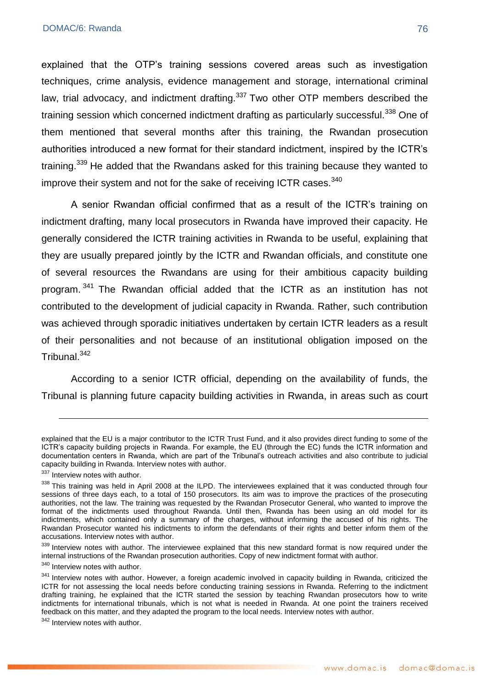explained that the OTP's training sessions covered areas such as investigation techniques, crime analysis, evidence management and storage, international criminal law, trial advocacy, and indictment drafting. $337$  Two other OTP members described the training session which concerned indictment drafting as particularly successful.<sup>338</sup> One of them mentioned that several months after this training, the Rwandan prosecution authorities introduced a new format for their standard indictment, inspired by the ICTR's training.<sup>339</sup> He added that the Rwandans asked for this training because they wanted to improve their system and not for the sake of receiving ICTR cases.<sup>340</sup>

A senior Rwandan official confirmed that as a result of the ICTR's training on indictment drafting, many local prosecutors in Rwanda have improved their capacity. He generally considered the ICTR training activities in Rwanda to be useful, explaining that they are usually prepared jointly by the ICTR and Rwandan officials, and constitute one of several resources the Rwandans are using for their ambitious capacity building program. <sup>341</sup> The Rwandan official added that the ICTR as an institution has not contributed to the development of judicial capacity in Rwanda. Rather, such contribution was achieved through sporadic initiatives undertaken by certain ICTR leaders as a result of their personalities and not because of an institutional obligation imposed on the Tribunal.<sup>342</sup>

According to a senior ICTR official, depending on the availability of funds, the Tribunal is planning future capacity building activities in Rwanda, in areas such as court

1

explained that the EU is a major contributor to the ICTR Trust Fund, and it also provides direct funding to some of the ICTR's capacity building projects in Rwanda. For example, the EU (through the EC) funds the ICTR information and documentation centers in Rwanda, which are part of the Tribunal's outreach activities and also contribute to judicial capacity building in Rwanda. Interview notes with author.

<sup>337</sup> Interview notes with author.

<sup>338</sup> This training was held in April 2008 at the ILPD. The interviewees explained that it was conducted through four sessions of three days each, to a total of 150 prosecutors. Its aim was to improve the practices of the prosecuting authorities, not the law. The training was requested by the Rwandan Prosecutor General, who wanted to improve the format of the indictments used throughout Rwanda. Until then, Rwanda has been using an old model for its indictments, which contained only a summary of the charges, without informing the accused of his rights. The Rwandan Prosecutor wanted his indictments to inform the defendants of their rights and better inform them of the accusations. Interview notes with author.

<sup>339</sup> Interview notes with author. The interviewee explained that this new standard format is now required under the internal instructions of the Rwandan prosecution authorities. Copy of new indictment format with author.

<sup>&</sup>lt;sup>340</sup> Interview notes with author.

<sup>341</sup> Interview notes with author. However, a foreign academic involved in capacity building in Rwanda, criticized the ICTR for not assessing the local needs before conducting training sessions in Rwanda. Referring to the indictment drafting training, he explained that the ICTR started the session by teaching Rwandan prosecutors how to write indictments for international tribunals, which is not what is needed in Rwanda. At one point the trainers received feedback on this matter, and they adapted the program to the local needs. Interview notes with author.

<sup>&</sup>lt;sup>342</sup> Interview notes with author.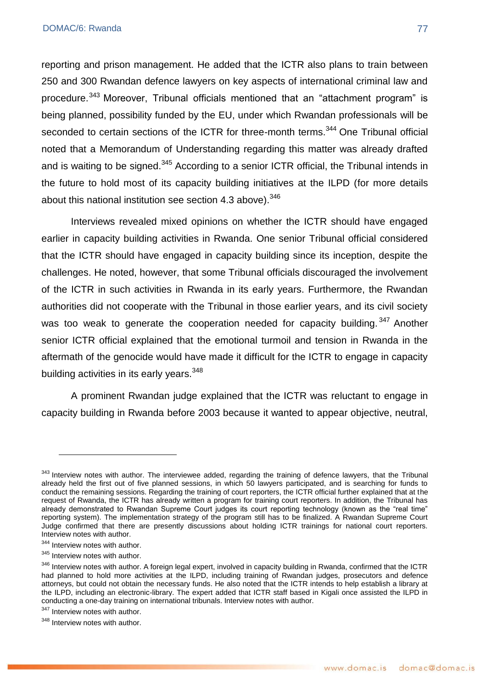reporting and prison management. He added that the ICTR also plans to train between 250 and 300 Rwandan defence lawyers on key aspects of international criminal law and procedure.<sup>343</sup> Moreover, Tribunal officials mentioned that an "attachment program" is being planned, possibility funded by the EU, under which Rwandan professionals will be seconded to certain sections of the ICTR for three-month terms.<sup>344</sup> One Tribunal official noted that a Memorandum of Understanding regarding this matter was already drafted and is waiting to be signed.<sup>345</sup> According to a senior ICTR official, the Tribunal intends in the future to hold most of its capacity building initiatives at the ILPD (for more details about this national institution see section 4.3 above).<sup>346</sup>

Interviews revealed mixed opinions on whether the ICTR should have engaged earlier in capacity building activities in Rwanda. One senior Tribunal official considered that the ICTR should have engaged in capacity building since its inception, despite the challenges. He noted, however, that some Tribunal officials discouraged the involvement of the ICTR in such activities in Rwanda in its early years. Furthermore, the Rwandan authorities did not cooperate with the Tribunal in those earlier years, and its civil society was too weak to generate the cooperation needed for capacity building.<sup>347</sup> Another senior ICTR official explained that the emotional turmoil and tension in Rwanda in the aftermath of the genocide would have made it difficult for the ICTR to engage in capacity building activities in its early years.<sup>348</sup>

A prominent Rwandan judge explained that the ICTR was reluctant to engage in capacity building in Rwanda before 2003 because it wanted to appear objective, neutral,

<u>.</u>

<sup>343</sup> Interview notes with author. The interviewee added, regarding the training of defence lawyers, that the Tribunal already held the first out of five planned sessions, in which 50 lawyers participated, and is searching for funds to conduct the remaining sessions. Regarding the training of court reporters, the ICTR official further explained that at the request of Rwanda, the ICTR has already written a program for training court reporters. In addition, the Tribunal has already demonstrated to Rwandan Supreme Court judges its court reporting technology (known as the "real time" reporting system). The implementation strategy of the program still has to be finalized. A Rwandan Supreme Court Judge confirmed that there are presently discussions about holding ICTR trainings for national court reporters. Interview notes with author.

<sup>344</sup> Interview notes with author.

<sup>345</sup> Interview notes with author.

<sup>&</sup>lt;sup>346</sup> Interview notes with author. A foreign legal expert, involved in capacity building in Rwanda, confirmed that the ICTR had planned to hold more activities at the ILPD, including training of Rwandan judges, prosecutors and defence attorneys, but could not obtain the necessary funds. He also noted that the ICTR intends to help establish a library at the ILPD, including an electronic-library. The expert added that ICTR staff based in Kigali once assisted the ILPD in conducting a one-day training on international tribunals. Interview notes with author.

<sup>&</sup>lt;sup>347</sup> Interview notes with author.

<sup>&</sup>lt;sup>348</sup> Interview notes with author.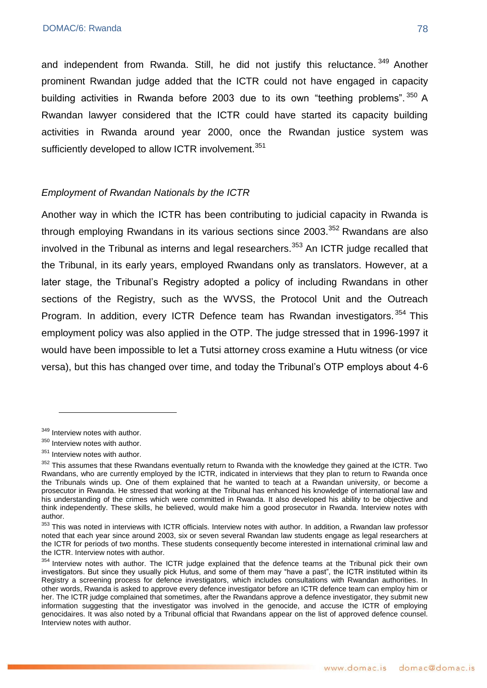and independent from Rwanda. Still, he did not justify this reluctance.<sup>349</sup> Another prominent Rwandan judge added that the ICTR could not have engaged in capacity building activities in Rwanda before 2003 due to its own "teething problems".  $350$  A Rwandan lawyer considered that the ICTR could have started its capacity building activities in Rwanda around year 2000, once the Rwandan justice system was sufficiently developed to allow ICTR involvement.<sup>351</sup>

### *Employment of Rwandan Nationals by the ICTR*

Another way in which the ICTR has been contributing to judicial capacity in Rwanda is through employing Rwandans in its various sections since  $2003$ .<sup>352</sup> Rwandans are also involved in the Tribunal as interns and legal researchers.<sup>353</sup> An ICTR judge recalled that the Tribunal, in its early years, employed Rwandans only as translators. However, at a later stage, the Tribunal's Registry adopted a policy of including Rwandans in other sections of the Registry, such as the WVSS, the Protocol Unit and the Outreach Program. In addition, every ICTR Defence team has Rwandan investigators.<sup>354</sup> This employment policy was also applied in the OTP. The judge stressed that in 1996-1997 it would have been impossible to let a Tutsi attorney cross examine a Hutu witness (or vice versa), but this has changed over time, and today the Tribunal's OTP employs about 4-6

<u>.</u>

<sup>349</sup> Interview notes with author.

<sup>&</sup>lt;sup>350</sup> Interview notes with author.

<sup>351</sup> Interview notes with author.

<sup>&</sup>lt;sup>352</sup> This assumes that these Rwandans eventually return to Rwanda with the knowledge they gained at the ICTR. Two Rwandans, who are currently employed by the ICTR, indicated in interviews that they plan to return to Rwanda once the Tribunals winds up. One of them explained that he wanted to teach at a Rwandan university, or become a prosecutor in Rwanda. He stressed that working at the Tribunal has enhanced his knowledge of international law and his understanding of the crimes which were committed in Rwanda. It also developed his ability to be objective and think independently. These skills, he believed, would make him a good prosecutor in Rwanda. Interview notes with author.

<sup>&</sup>lt;sup>353</sup> This was noted in interviews with ICTR officials. Interview notes with author. In addition, a Rwandan law professor noted that each year since around 2003, six or seven several Rwandan law students engage as legal researchers at the ICTR for periods of two months. These students consequently become interested in international criminal law and the ICTR. Interview notes with author.

<sup>354</sup> Interview notes with author. The ICTR judge explained that the defence teams at the Tribunal pick their own investigators. But since they usually pick Hutus, and some of them may "have a past", the ICTR instituted within its Registry a screening process for defence investigators, which includes consultations with Rwandan authorities. In other words, Rwanda is asked to approve every defence investigator before an ICTR defence team can employ him or her. The ICTR judge complained that sometimes, after the Rwandans approve a defence investigator, they submit new information suggesting that the investigator was involved in the genocide, and accuse the ICTR of employing genocidaires. It was also noted by a Tribunal official that Rwandans appear on the list of approved defence counsel. Interview notes with author.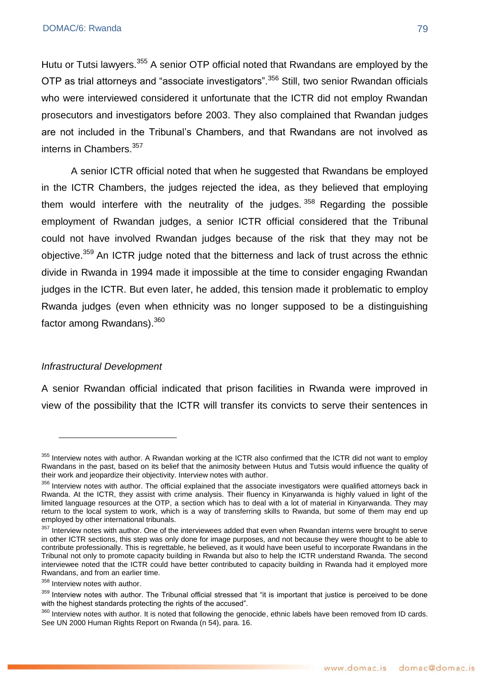Hutu or Tutsi lawyers.<sup>355</sup> A senior OTP official noted that Rwandans are employed by the OTP as trial attorneys and "associate investigators".<sup>356</sup> Still, two senior Rwandan officials who were interviewed considered it unfortunate that the ICTR did not employ Rwandan prosecutors and investigators before 2003. They also complained that Rwandan judges are not included in the Tribunal's Chambers, and that Rwandans are not involved as interns in Chambers.<sup>357</sup>

A senior ICTR official noted that when he suggested that Rwandans be employed in the ICTR Chambers, the judges rejected the idea, as they believed that employing them would interfere with the neutrality of the judges.  $358$  Regarding the possible employment of Rwandan judges, a senior ICTR official considered that the Tribunal could not have involved Rwandan judges because of the risk that they may not be obiective.<sup>359</sup> An ICTR judge noted that the bitterness and lack of trust across the ethnic divide in Rwanda in 1994 made it impossible at the time to consider engaging Rwandan judges in the ICTR. But even later, he added, this tension made it problematic to employ Rwanda judges (even when ethnicity was no longer supposed to be a distinguishing factor among Rwandans).<sup>360</sup>

### *Infrastructural Development*

<u>.</u>

A senior Rwandan official indicated that prison facilities in Rwanda were improved in view of the possibility that the ICTR will transfer its convicts to serve their sentences in

<sup>355</sup> Interview notes with author. A Rwandan working at the ICTR also confirmed that the ICTR did not want to employ Rwandans in the past, based on its belief that the animosity between Hutus and Tutsis would influence the quality of their work and jeopardize their objectivity. Interview notes with author.

<sup>356</sup> Interview notes with author. The official explained that the associate investigators were qualified attorneys back in Rwanda. At the ICTR, they assist with crime analysis. Their fluency in Kinyarwanda is highly valued in light of the limited language resources at the OTP, a section which has to deal with a lot of material in Kinyarwanda. They may return to the local system to work, which is a way of transferring skills to Rwanda, but some of them may end up employed by other international tribunals.

<sup>&</sup>lt;sup>357</sup> Interview notes with author. One of the interviewees added that even when Rwandan interns were brought to serve in other ICTR sections, this step was only done for image purposes, and not because they were thought to be able to contribute professionally. This is regrettable, he believed, as it would have been useful to incorporate Rwandans in the Tribunal not only to promote capacity building in Rwanda but also to help the ICTR understand Rwanda. The second interviewee noted that the ICTR could have better contributed to capacity building in Rwanda had it employed more Rwandans, and from an earlier time.

<sup>&</sup>lt;sup>358</sup> Interview notes with author.

<sup>359</sup> Interview notes with author. The Tribunal official stressed that "it is important that justice is perceived to be done with the highest standards protecting the rights of the accused".

<sup>360</sup> Interview notes with author. It is noted that following the genocide, ethnic labels have been removed from ID cards. See UN 2000 Human Rights Report on Rwanda (n 54), para. 16.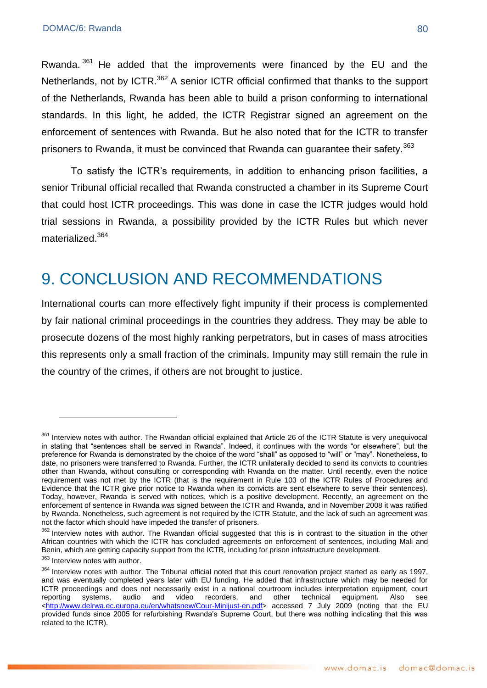Rwanda.<sup>361</sup> He added that the improvements were financed by the EU and the Netherlands, not by ICTR.<sup>362</sup> A senior ICTR official confirmed that thanks to the support of the Netherlands, Rwanda has been able to build a prison conforming to international standards. In this light, he added, the ICTR Registrar signed an agreement on the enforcement of sentences with Rwanda. But he also noted that for the ICTR to transfer prisoners to Rwanda, it must be convinced that Rwanda can guarantee their safety.<sup>363</sup>

To satisfy the ICTR's requirements, in addition to enhancing prison facilities, a senior Tribunal official recalled that Rwanda constructed a chamber in its Supreme Court that could host ICTR proceedings. This was done in case the ICTR judges would hold trial sessions in Rwanda, a possibility provided by the ICTR Rules but which never materialized.<sup>364</sup>

## 9. CONCLUSION AND RECOMMENDATIONS

International courts can more effectively fight impunity if their process is complemented by fair national criminal proceedings in the countries they address. They may be able to prosecute dozens of the most highly ranking perpetrators, but in cases of mass atrocities this represents only a small fraction of the criminals. Impunity may still remain the rule in the country of the crimes, if others are not brought to justice.

<u>.</u>

<sup>361</sup> Interview notes with author. The Rwandan official explained that Article 26 of the ICTR Statute is very unequivocal in stating that "sentences shall be served in Rwanda". Indeed, it continues with the words "or elsewhere", but the preference for Rwanda is demonstrated by the choice of the word "shall" as opposed to "will" or "may". Nonetheless, to date, no prisoners were transferred to Rwanda. Further, the ICTR unilaterally decided to send its convicts to countries other than Rwanda, without consulting or corresponding with Rwanda on the matter. Until recently, even the notice requirement was not met by the ICTR (that is the requirement in Rule 103 of the ICTR Rules of Procedures and Evidence that the ICTR give prior notice to Rwanda when its convicts are sent elsewhere to serve their sentences). Today, however, Rwanda is served with notices, which is a positive development. Recently, an agreement on the enforcement of sentence in Rwanda was signed between the ICTR and Rwanda, and in November 2008 it was ratified by Rwanda. Nonetheless, such agreement is not required by the ICTR Statute, and the lack of such an agreement was not the factor which should have impeded the transfer of prisoners.

<sup>362</sup> Interview notes with author. The Rwandan official suggested that this is in contrast to the situation in the other African countries with which the ICTR has concluded agreements on enforcement of sentences, including Mali and Benin, which are getting capacity support from the ICTR, including for prison infrastructure development.

<sup>&</sup>lt;sup>363</sup> Interview notes with author.

<sup>&</sup>lt;sup>364</sup> Interview notes with author. The Tribunal official noted that this court renovation project started as early as 1997, and was eventually completed years later with EU funding. He added that infrastructure which may be needed for ICTR proceedings and does not necessarily exist in a national courtroom includes interpretation equipment, court reporting systems, audio and video recorders, and other technical equipment. Also see [<http://www.delrwa.ec.europa.eu/en/whatsnew/Cour-Minijust-en.pdf>](http://www.delrwa.ec.europa.eu/en/whatsnew/Cour-Minijust-en.pdf) accessed 7 July 2009 (noting that the EU provided funds since 2005 for refurbishing Rwanda's Supreme Court, but there was nothing indicating that this was related to the ICTR).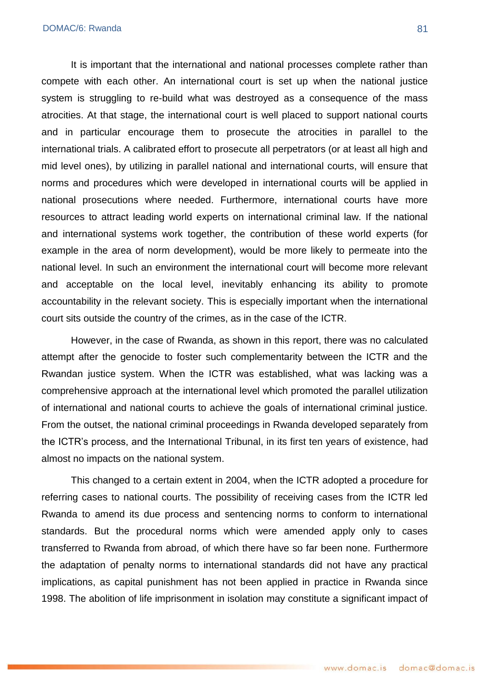It is important that the international and national processes complete rather than compete with each other. An international court is set up when the national justice system is struggling to re-build what was destroyed as a consequence of the mass atrocities. At that stage, the international court is well placed to support national courts and in particular encourage them to prosecute the atrocities in parallel to the international trials. A calibrated effort to prosecute all perpetrators (or at least all high and mid level ones), by utilizing in parallel national and international courts, will ensure that norms and procedures which were developed in international courts will be applied in national prosecutions where needed. Furthermore, international courts have more resources to attract leading world experts on international criminal law. If the national and international systems work together, the contribution of these world experts (for example in the area of norm development), would be more likely to permeate into the national level. In such an environment the international court will become more relevant and acceptable on the local level, inevitably enhancing its ability to promote accountability in the relevant society. This is especially important when the international court sits outside the country of the crimes, as in the case of the ICTR.

However, in the case of Rwanda, as shown in this report, there was no calculated attempt after the genocide to foster such complementarity between the ICTR and the Rwandan justice system. When the ICTR was established, what was lacking was a comprehensive approach at the international level which promoted the parallel utilization of international and national courts to achieve the goals of international criminal justice. From the outset, the national criminal proceedings in Rwanda developed separately from the ICTR's process, and the International Tribunal, in its first ten years of existence, had almost no impacts on the national system.

This changed to a certain extent in 2004, when the ICTR adopted a procedure for referring cases to national courts. The possibility of receiving cases from the ICTR led Rwanda to amend its due process and sentencing norms to conform to international standards. But the procedural norms which were amended apply only to cases transferred to Rwanda from abroad, of which there have so far been none. Furthermore the adaptation of penalty norms to international standards did not have any practical implications, as capital punishment has not been applied in practice in Rwanda since 1998. The abolition of life imprisonment in isolation may constitute a significant impact of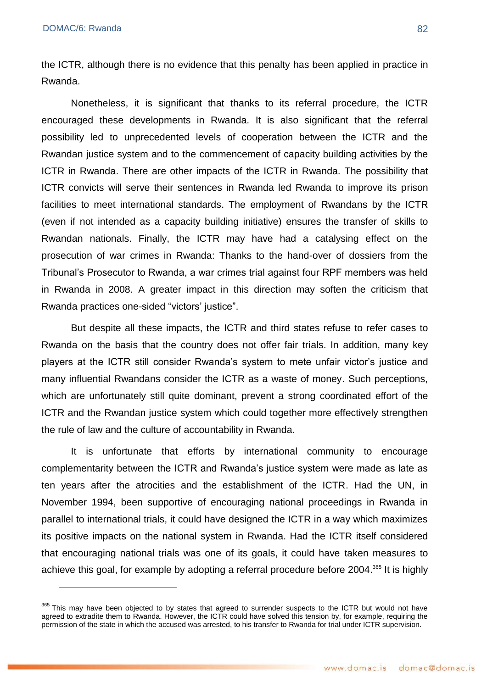<u>.</u>

the ICTR, although there is no evidence that this penalty has been applied in practice in Rwanda.

Nonetheless, it is significant that thanks to its referral procedure, the ICTR encouraged these developments in Rwanda. It is also significant that the referral possibility led to unprecedented levels of cooperation between the ICTR and the Rwandan justice system and to the commencement of capacity building activities by the ICTR in Rwanda. There are other impacts of the ICTR in Rwanda. The possibility that ICTR convicts will serve their sentences in Rwanda led Rwanda to improve its prison facilities to meet international standards. The employment of Rwandans by the ICTR (even if not intended as a capacity building initiative) ensures the transfer of skills to Rwandan nationals. Finally, the ICTR may have had a catalysing effect on the prosecution of war crimes in Rwanda: Thanks to the hand-over of dossiers from the Tribunal's Prosecutor to Rwanda, a war crimes trial against four RPF members was held in Rwanda in 2008. A greater impact in this direction may soften the criticism that Rwanda practices one-sided "victors' justice".

But despite all these impacts, the ICTR and third states refuse to refer cases to Rwanda on the basis that the country does not offer fair trials. In addition, many key players at the ICTR still consider Rwanda's system to mete unfair victor's justice and many influential Rwandans consider the ICTR as a waste of money. Such perceptions, which are unfortunately still quite dominant, prevent a strong coordinated effort of the ICTR and the Rwandan justice system which could together more effectively strengthen the rule of law and the culture of accountability in Rwanda.

It is unfortunate that efforts by international community to encourage complementarity between the ICTR and Rwanda's justice system were made as late as ten years after the atrocities and the establishment of the ICTR. Had the UN, in November 1994, been supportive of encouraging national proceedings in Rwanda in parallel to international trials, it could have designed the ICTR in a way which maximizes its positive impacts on the national system in Rwanda. Had the ICTR itself considered that encouraging national trials was one of its goals, it could have taken measures to achieve this goal, for example by adopting a referral procedure before 2004.<sup>365</sup> It is highly

<sup>&</sup>lt;sup>365</sup> This may have been objected to by states that agreed to surrender suspects to the ICTR but would not have agreed to extradite them to Rwanda. However, the ICTR could have solved this tension by, for example, requiring the permission of the state in which the accused was arrested, to his transfer to Rwanda for trial under ICTR supervision.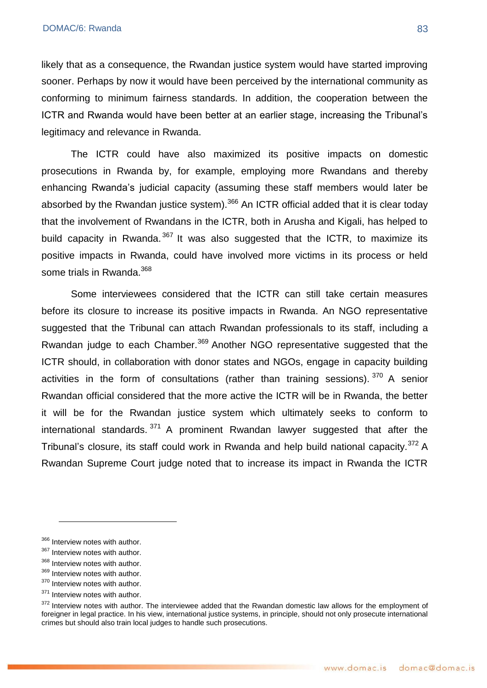likely that as a consequence, the Rwandan justice system would have started improving sooner. Perhaps by now it would have been perceived by the international community as conforming to minimum fairness standards. In addition, the cooperation between the ICTR and Rwanda would have been better at an earlier stage, increasing the Tribunal's legitimacy and relevance in Rwanda.

The ICTR could have also maximized its positive impacts on domestic prosecutions in Rwanda by, for example, employing more Rwandans and thereby enhancing Rwanda's judicial capacity (assuming these staff members would later be absorbed by the Rwandan justice system).<sup>366</sup> An ICTR official added that it is clear today that the involvement of Rwandans in the ICTR, both in Arusha and Kigali, has helped to build capacity in Rwanda.<sup>367</sup> It was also suggested that the ICTR, to maximize its positive impacts in Rwanda, could have involved more victims in its process or held some trials in Rwanda.<sup>368</sup>

Some interviewees considered that the ICTR can still take certain measures before its closure to increase its positive impacts in Rwanda. An NGO representative suggested that the Tribunal can attach Rwandan professionals to its staff, including a Rwandan judge to each Chamber.<sup>369</sup> Another NGO representative suggested that the ICTR should, in collaboration with donor states and NGOs, engage in capacity building activities in the form of consultations (rather than training sessions).  $370$  A senior Rwandan official considered that the more active the ICTR will be in Rwanda, the better it will be for the Rwandan justice system which ultimately seeks to conform to international standards.  $371$  A prominent Rwandan lawyer suggested that after the Tribunal's closure, its staff could work in Rwanda and help build national capacity.<sup>372</sup> A Rwandan Supreme Court judge noted that to increase its impact in Rwanda the ICTR

1

<sup>366</sup> Interview notes with author.

<sup>367</sup> Interview notes with author.

<sup>368</sup> Interview notes with author.

<sup>369</sup> Interview notes with author.

<sup>&</sup>lt;sup>370</sup> Interview notes with author.

<sup>&</sup>lt;sup>371</sup> Interview notes with author.

<sup>&</sup>lt;sup>372</sup> Interview notes with author. The interviewee added that the Rwandan domestic law allows for the employment of foreigner in legal practice. In his view, international justice systems, in principle, should not only prosecute international crimes but should also train local judges to handle such prosecutions.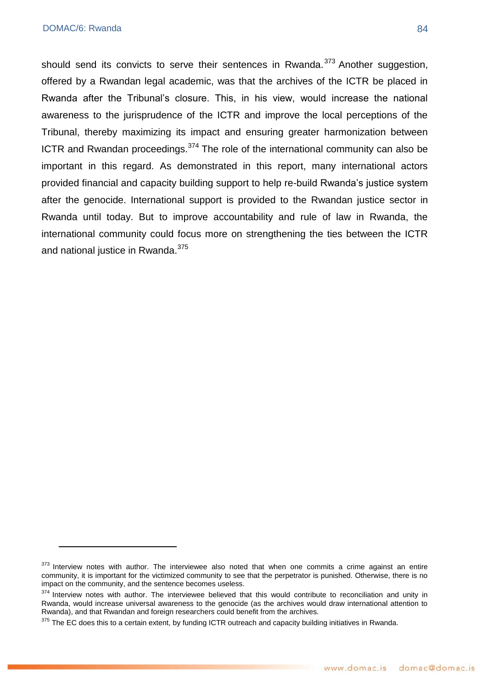#### DOMAC/6: Rwanda 84

1

should send its convicts to serve their sentences in Rwanda. $373$  Another suggestion, offered by a Rwandan legal academic, was that the archives of the ICTR be placed in Rwanda after the Tribunal's closure. This, in his view, would increase the national awareness to the jurisprudence of the ICTR and improve the local perceptions of the Tribunal, thereby maximizing its impact and ensuring greater harmonization between ICTR and Rwandan proceedings. $374$  The role of the international community can also be important in this regard. As demonstrated in this report, many international actors provided financial and capacity building support to help re-build Rwanda's justice system after the genocide. International support is provided to the Rwandan justice sector in Rwanda until today. But to improve accountability and rule of law in Rwanda, the international community could focus more on strengthening the ties between the ICTR and national justice in Rwanda.<sup>375</sup>

<sup>&</sup>lt;sup>373</sup> Interview notes with author. The interviewee also noted that when one commits a crime against an entire community, it is important for the victimized community to see that the perpetrator is punished. Otherwise, there is no impact on the community, and the sentence becomes useless.

<sup>374</sup> Interview notes with author. The interviewee believed that this would contribute to reconciliation and unity in Rwanda, would increase universal awareness to the genocide (as the archives would draw international attention to Rwanda), and that Rwandan and foreign researchers could benefit from the archives.

 $375$  The EC does this to a certain extent, by funding ICTR outreach and capacity building initiatives in Rwanda.